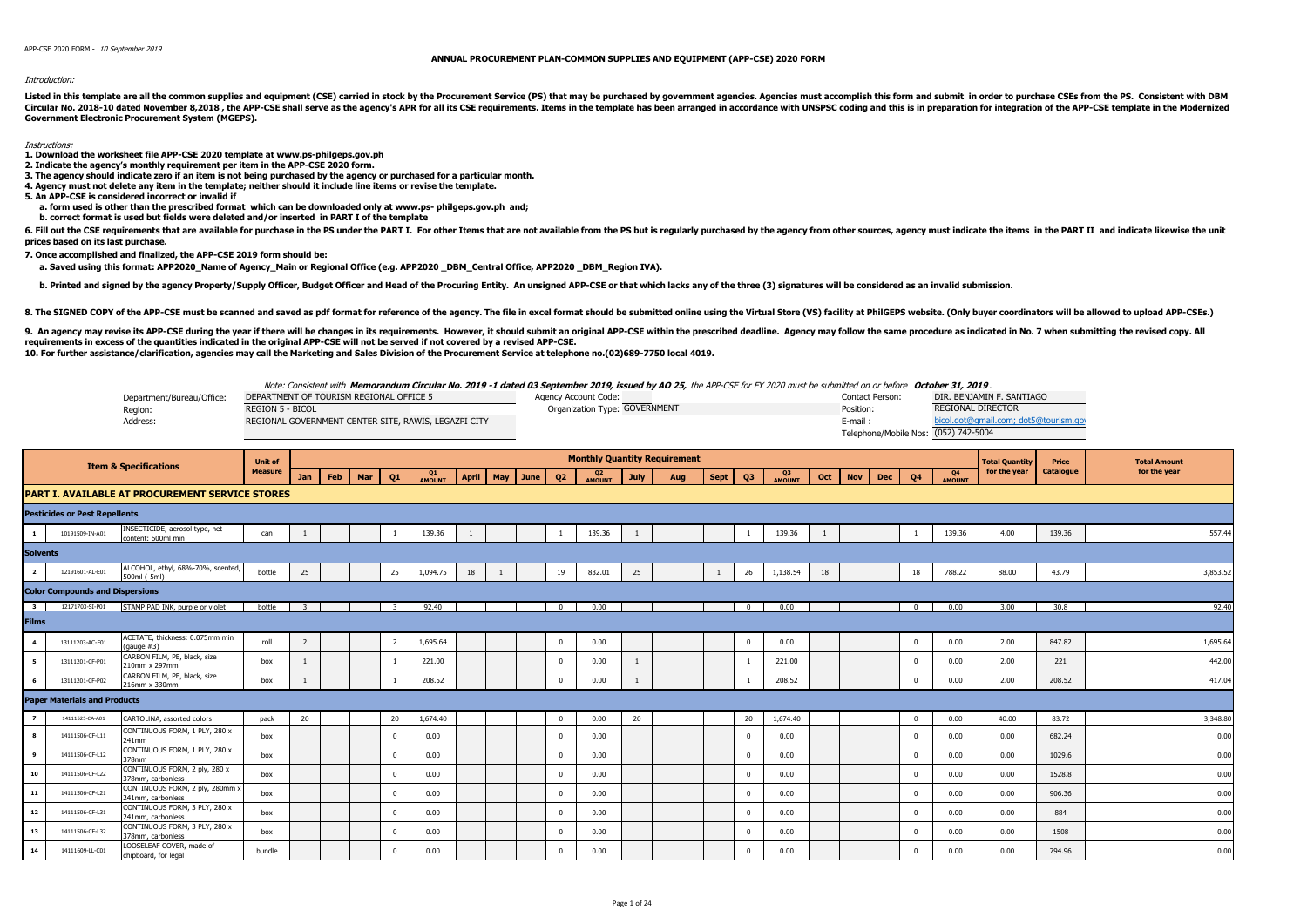## Introduction:

Listed in this template are all the common supplies and equipment (CSE) carried in stock by the Procurement Service (PS) that may be purchased by government agencies. Agencies must accomplish this form and submit in order Circular No. 2018-10 dated November 8,2018, the APP-CSE shall serve as the agency's APR for all its CSE requirements. Items in the template has been arranged in accordance with UNSPSC coding and this is in preparation of i **Government Electronic Procurement System (MGEPS).** 

## Instructions:

- **1. Download the worksheet file APP-CSE 2020 template at www.ps-philgeps.gov.ph**
- **2. Indicate the agency's monthly requirement per item in the APP-CSE 2020 form.**
- **3. The agency should indicate zero if an item is not being purchased by the agency or purchased for a particular month.**
- **4. Agency must not delete any item in the template; neither should it include line items or revise the template.**
- **5. An APP-CSE is considered incorrect or invalid if**
- **a. form used is other than the prescribed format which can be downloaded only at www.ps- philgeps.gov.ph and;**
- **b. correct format is used but fields were deleted and/or inserted in PART I of the template**

6. Fill out the CSE requirements that are available for purchase in the PS under the PART I. For other Items that are not available from the PS but is reqularly purchased by the agency from other sources, agency must indic **prices based on its last purchase.**

**7. Once accomplished and finalized, the APP-CSE 2019 form should be:**

a. Saved using this format: APP2020 Name of Agency Main or Regional Office (e.g. APP2020 \_DBM\_Central Office, APP2020 \_DBM\_Region IVA).

b. Printed and signed by the agency Property/Supply Officer, Budget Officer and Head of the Procuring Entity. An unsigned APP-CSE or that which lacks any of the three (3) signatures will be considered as an invalid submiss

8. The SIGNED COPY of the APP-CSE must be scanned and saved as pdf format for reference of the agency. The file in excel format should be submitted online using the Virtual Store (VS) facility at PhilGEPS website. (Only bu

9. An agency may revise its APP-CSE during the year if there will be changes in its requirements. However, it should submit an original APP-CSE within the prescribed deadline. Agency may follow the same procedure as indica **requirements in excess of the quantities indicated in the original APP-CSE will not be served if not covered by a revised APP-CSE. 10. For further assistance/clarification, agencies may call the Marketing and Sales Division of the Procurement Service at telephone no.(02)689-7750 local 4019.**

Note: Consistent with **Memorandum Circular No. 2019 -1 dated 03 September 2019, issued by AO 25,** the APP-CSE for FY 2020 must be submitted on or before **October 31, 2019** .

|                           | $\cdots$                                             |                               |                                      |                                      |
|---------------------------|------------------------------------------------------|-------------------------------|--------------------------------------|--------------------------------------|
| Department/Bureau/Office: | DEPARTMENT OF TOURISM REGIONAL OFFICE 5              | Agency Account Code:          | Contact Person:                      | DIR. BENJAMIN F. SANTIAGO            |
| Region:                   | <b>REGION 5 - BICOL</b>                              | Organization Type: GOVERNMENT | Position:                            | <b>REGIONAL DIRECTOR</b>             |
| Address:                  | REGIONAL GOVERNMENT CENTER SITE, RAWIS, LEGAZPI CITY |                               | E-mail                               | bicol.dot@gmail.com; dot5@tourism.go |
|                           |                                                      |                               | Telephone/Mobile Nos: (052) 742-5004 |                                      |

|                         |                                        | <b>Item &amp; Specifications</b>                       | <b>Unit of</b> |                |     |     |          |              |       |          |                |                          |             | <b>Monthly Quantity Requirement</b> |             |                |              |     |            |            |              |                          | <b>Total Quantity</b> | Price     | <b>Total Amount</b> |
|-------------------------|----------------------------------------|--------------------------------------------------------|----------------|----------------|-----|-----|----------|--------------|-------|----------|----------------|--------------------------|-------------|-------------------------------------|-------------|----------------|--------------|-----|------------|------------|--------------|--------------------------|-----------------------|-----------|---------------------|
|                         |                                        |                                                        | <b>Measure</b> | Jan            | Feb | Mar | Q1       | Q1<br>AMOUNT | April | May June | Q <sub>2</sub> | Q <sub>2</sub><br>AMOUNT | <b>July</b> | Aug                                 | <b>Sept</b> | Q <sub>3</sub> | Q3<br>AMOUNT | Oct | <b>Nov</b> | <b>Dec</b> | Q4           | Q <sub>4</sub><br>AMOUNT | for the year          | Catalogue | for the year        |
|                         |                                        | <b>PART I. AVAILABLE AT PROCUREMENT SERVICE STORES</b> |                |                |     |     |          |              |       |          |                |                          |             |                                     |             |                |              |     |            |            |              |                          |                       |           |                     |
|                         | <b>Pesticides or Pest Repellents</b>   |                                                        |                |                |     |     |          |              |       |          |                |                          |             |                                     |             |                |              |     |            |            |              |                          |                       |           |                     |
| <b>1</b>                | 10191509-IN-A01                        | INSECTICIDE, aerosol type, net<br>content: 600ml min   | can            |                |     |     |          | 139.36       |       |          |                | 139.36                   |             |                                     |             |                | 139.36       |     |            |            |              | 139.36                   | 4.00                  | 139.36    | 557.44              |
| <b>Solvents</b>         |                                        |                                                        |                |                |     |     |          |              |       |          |                |                          |             |                                     |             |                |              |     |            |            |              |                          |                       |           |                     |
| $\overline{2}$          | 12191601-AL-E01                        | ALCOHOL, ethyl, 68%-70%, scented,<br>500ml (-5ml)      | bottle         | 25             |     |     | 25       | 1,094.75     | 18    |          | 19             | 832.01                   | 25          |                                     | 1           | 26             | 1,138.54     | 18  |            |            | 18           | 788.22                   | 88.00                 | 43.79     | 3,853.52            |
|                         | <b>Color Compounds and Dispersions</b> |                                                        |                |                |     |     |          |              |       |          |                |                          |             |                                     |             |                |              |     |            |            |              |                          |                       |           |                     |
| $\overline{\mathbf{3}}$ | 12171703-SI-P01                        | STAMP PAD INK, purple or violet                        | bottle         | $\mathbf{z}$   |     |     | - 3      | 92.40        |       |          | $\Omega$       | 0.00                     |             |                                     |             | $\Omega$       | 0.00         |     |            |            | $\Omega$     | 0.00                     | 3.00                  | 30.8      | 92.40               |
| <b>Films</b>            |                                        |                                                        |                |                |     |     |          |              |       |          |                |                          |             |                                     |             |                |              |     |            |            |              |                          |                       |           |                     |
| $\overline{4}$          | 13111203-AC-F01                        | ACETATE, thickness: 0.075mm min<br>(gauge #3)          | roll           | $\overline{2}$ |     |     |          | 1,695.64     |       |          | $\mathbf 0$    | 0.00                     |             |                                     |             | $\overline{0}$ | 0.00         |     |            |            | $^{\circ}$   | 0.00                     | 2.00                  | 847.82    | 1,695.64            |
| 5                       | 13111201-CF-P01                        | CARBON FILM, PE, black, size<br>210mm x 297mm          | box            |                |     |     |          | 221.00       |       |          | $\Omega$       | 0.00                     |             |                                     |             |                | 221.00       |     |            |            | $\Omega$     | 0.00                     | 2.00                  | 221       | 442.00              |
| 6                       | 13111201-CF-P02                        | CARBON FILM, PE, black, size<br>216mm x 330mm          | box            |                |     |     |          | 208.52       |       |          | $\Omega$       | 0.00                     |             |                                     |             |                | 208.52       |     |            |            | $\Omega$     | 0.00                     | 2.00                  | 208.52    | 417.04              |
|                         | <b>Paper Materials and Products</b>    |                                                        |                |                |     |     |          |              |       |          |                |                          |             |                                     |             |                |              |     |            |            |              |                          |                       |           |                     |
| $\overline{z}$          | 14111525-CA-A01                        | CARTOLINA, assorted colors                             | pack           | 20             |     |     | 20       | 1,674.40     |       |          | $\Omega$       | 0.00                     | 20          |                                     |             | 20             | 1.674.40     |     |            |            | $\mathbf{0}$ | 0.00                     | 40.00                 | 83.72     | 3,348.80            |
| $\bf{8}$                | 14111506-CF-L11                        | CONTINUOUS FORM, 1 PLY, 280 x<br>241mm                 | box            |                |     |     | $\Omega$ | 0.00         |       |          | $\Omega$       | 0.00                     |             |                                     |             | $\Omega$       | 0.00         |     |            |            | $\Omega$     | 0.00                     | 0.00                  | 682.24    | 0.00                |
| 9                       | 14111506-CF-L12                        | CONTINUOUS FORM, 1 PLY, 280 x<br>378mm                 | box            |                |     |     | $\Omega$ | 0.00         |       |          | $\Omega$       | 0.00                     |             |                                     |             | $\Omega$       | 0.00         |     |            |            | $\Omega$     | 0.00                     | 0.00                  | 1029.6    | 0.00                |
| 10                      | 14111506-CF-L22                        | CONTINUOUS FORM, 2 ply, 280 x<br>378mm, carbonless     | box            |                |     |     | $\Omega$ | 0.00         |       |          | $\Omega$       | 0.00                     |             |                                     |             | $\Omega$       | 0.00         |     |            |            | $\Omega$     | 0.00                     | 0.00                  | 1528.8    | 0.00                |
| 11                      | 14111506-CF-L21                        | CONTINUOUS FORM, 2 ply, 280mm x<br>241mm, carbonless   | box            |                |     |     | $\Omega$ | 0.00         |       |          | $\mathbf{0}$   | 0.00                     |             |                                     |             | $\Omega$       | 0.00         |     |            |            | $^{\circ}$   | 0.00                     | 0.00                  | 906.36    | 0.00                |
| 12                      | 14111506-CF-L31                        | CONTINUOUS FORM, 3 PLY, 280 x<br>241mm, carbonless     | box            |                |     |     | $\Omega$ | 0.00         |       |          | $\Omega$       | 0.00                     |             |                                     |             | $\Omega$       | 0.00         |     |            |            | $\Omega$     | 0.00                     | 0.00                  | 884       | 0.00                |
| 13                      | 14111506-CF-L32                        | CONTINUOUS FORM, 3 PLY, 280 x<br>378mm, carbonless     | box            |                |     |     | $\Omega$ | 0.00         |       |          | $\Omega$       | 0.00                     |             |                                     |             | $\Omega$       | 0.00         |     |            |            | $\Omega$     | 0.00                     | 0.00                  | 1508      | 0.00                |
| 14                      | 14111609-LL-C01                        | LOOSELEAF COVER, made of<br>chipboard, for legal       | bundle         |                |     |     |          | 0.00         |       |          |                | 0.00                     |             |                                     |             | $\Omega$       | 0.00         |     |            |            |              | 0.00                     | 0.00                  | 794.96    | 0.00                |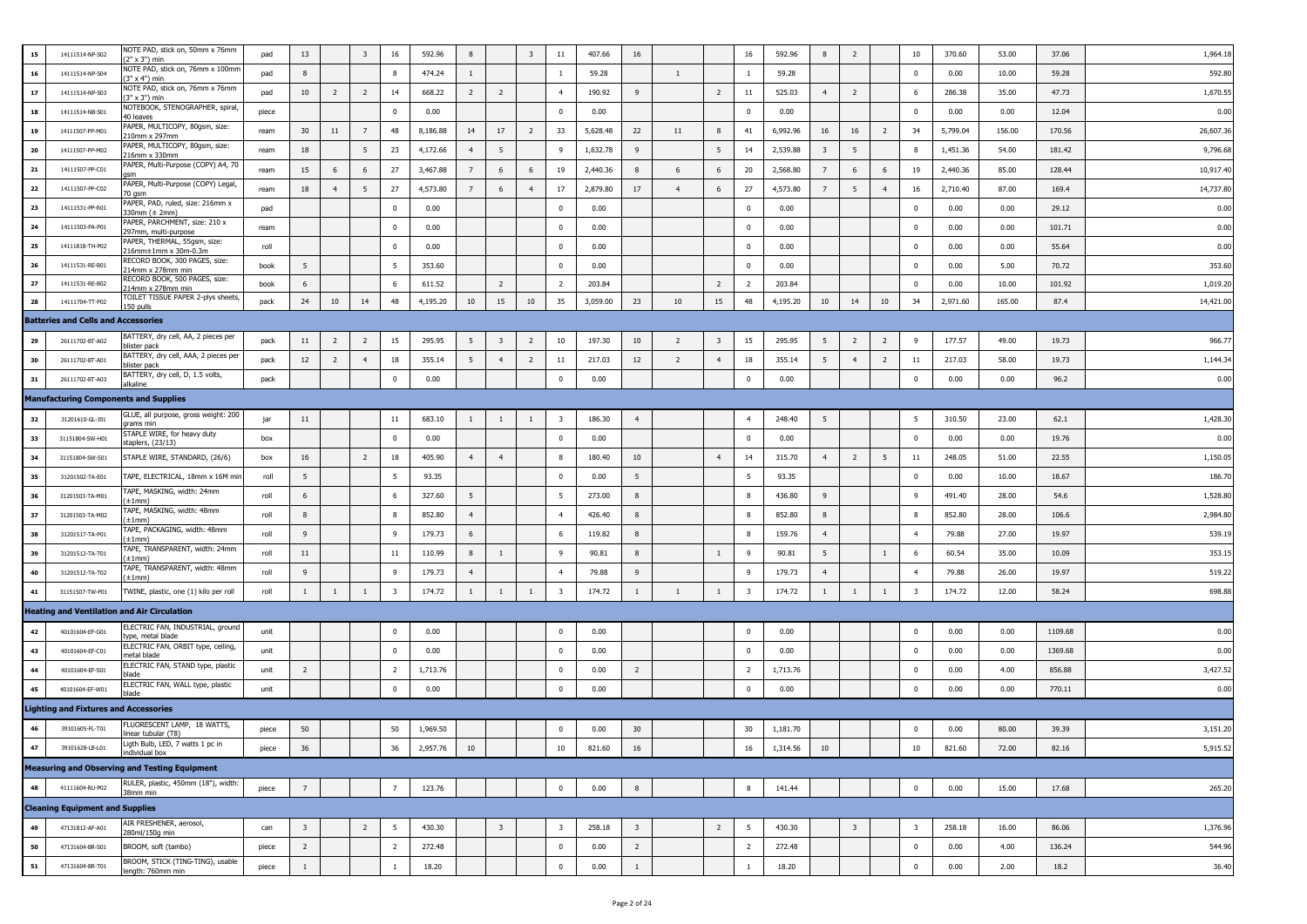| 15         | 14111514-NP-S02                              | NOTE PAD, stick on, 50mm x 76mm<br>2" x 3") min           | pad   | 13                      |                | 3              | 16             | 592.96   | 8               |                         | $\overline{\mathbf{3}}$ | 11                      | 407.66   | 16                      |                |                | 16             | 592.96   | 8                       | $\overline{2}$          |                | 10                      | 370.60   | 53.00  | 37.06   | 1,964.1   |
|------------|----------------------------------------------|-----------------------------------------------------------|-------|-------------------------|----------------|----------------|----------------|----------|-----------------|-------------------------|-------------------------|-------------------------|----------|-------------------------|----------------|----------------|----------------|----------|-------------------------|-------------------------|----------------|-------------------------|----------|--------|---------|-----------|
| 16         | 14111514-NP-S04                              | NOTE PAD, stick on, 76mm x 100mm<br>3" x 4") min          | pad   | 8                       |                |                | 8              | 474.24   | $\mathbf{1}$    |                         |                         | $\mathbf{1}$            | 59.28    |                         | $\mathbf{1}$   |                | -1             | 59.28    |                         |                         |                | $\overline{0}$          | 0.00     | 10.00  | 59.28   | 592.8     |
| 17         | 14111514-NP-S03                              | NOTE PAD, stick on, 76mm x 76mm<br>3" x 3") min           | pad   | 10                      | $\overline{2}$ | $\overline{2}$ | 14             | 668.22   | $\overline{2}$  | $\overline{2}$          |                         | $\overline{4}$          | 190.92   | 9                       |                | $\overline{2}$ | 11             | 525.03   | 4                       | $\overline{2}$          |                | 6                       | 286.38   | 35.00  | 47.73   | 1,670.5   |
| 18         | 14111514-NB-S01                              | NOTEBOOK, STENOGRAPHER, spiral,<br>40 leaves              | piece |                         |                |                | $\Omega$       | 0.00     |                 |                         |                         | $\mathbf{0}$            | 0.00     |                         |                |                | $\mathbf 0$    | 0.00     |                         |                         |                | $\overline{0}$          | 0.00     | 0.00   | 12.04   | 0.00      |
| 19         | 14111507-PP-M01                              | PAPER, MULTICOPY, 80gsm, size:<br>210mm x 297mm           | ream  | 30                      | 11             | 7              | 48             | 8,186.88 | 14              | $17$                    | $\overline{2}$          | 33                      | 5,628.48 | 22                      | 11             | 8              | 41             | 6,992.96 | 16                      | 16                      | $\overline{2}$ | 34                      | 5,799.04 | 156.00 | 170.56  | 26,607.3  |
| 20         | 14111507-PP-M02                              | PAPER, MULTICOPY, 80gsm, size:<br>216mm x 330mm           | ream  | 18                      |                | 5              | 23             | 4,172.66 | $\overline{4}$  | 5                       |                         | 9                       | 1,632.78 | 9                       |                | -5             | 14             | 2,539.88 | $\overline{\mathbf{3}}$ | 5                       |                | 8                       | 1,451.36 | 54.00  | 181.42  | 9,796.68  |
| 21         | 14111507-PP-C01                              | PAPER, Multi-Purpose (COPY) A4, 70<br>ารทา                | ream  | 15                      | 6              | 6              | 27             | 3,467.88 | $\overline{7}$  | 6                       | 6                       | 19                      | 2,440.36 | 8                       | 6              | 6              | 20             | 2,568.80 | $\overline{7}$          | 6                       | 6              | 19                      | 2,440.36 | 85.00  | 128.44  | 10,917.40 |
| 22         | 14111507-PP-C02                              | PAPER, Multi-Purpose (COPY) Legal,<br>70 gsm              | ream  | 18                      | $\overline{4}$ | 5              | 27             | 4,573.80 | $7\overline{ }$ | 6                       | $\overline{4}$          | 17                      | 2,879.80 | 17                      | $\overline{4}$ | 6              | 27             | 4,573.80 | $7\overline{ }$         | 5                       | $\overline{4}$ | 16                      | 2,710.40 | 87.00  | 169.4   | 14,737.8  |
| 23         | 14111531-PP-R01                              | PAPER, PAD, ruled, size: 216mm x<br>330mm (± 2mm)         | pad   |                         |                |                | $^{\circ}$     | 0.00     |                 |                         |                         | $\pmb{0}$               | 0.00     |                         |                |                | $\overline{0}$ | 0.00     |                         |                         |                | $\mathbf 0$             | 0.00     | 0.00   | 29.12   | 0.00      |
| ${\bf 24}$ | 14111503-PA-P01                              | PAPER, PARCHMENT, size: 210 x<br>297mm, multi-purpose     | ream  |                         |                |                | $\mathbf{0}$   | 0.00     |                 |                         |                         | $\mathbf 0$             | 0.00     |                         |                |                | $\mathbf 0$    | 0.00     |                         |                         |                | $\overline{0}$          | 0.00     | 0.00   | 101.71  | 0.00      |
| 25         | 14111818-TH-P02                              | PAPER, THERMAL, 55qsm, size:<br>16mm±1mm x 30m-0.3m       | roll  |                         |                |                | $\mathbf{0}$   | 0.00     |                 |                         |                         | $\mathbf 0$             | 0.00     |                         |                |                | $\mathbf 0$    | 0.00     |                         |                         |                | $\overline{0}$          | 0.00     | 0.00   | 55.64   | 0.00      |
| ${\bf 26}$ | 14111531-RE-B01                              | RECORD BOOK, 300 PAGES, size:<br>214mm x 278mm min        | book  | 5                       |                |                | - 5            | 353.60   |                 |                         |                         | $\bf{0}$                | 0.00     |                         |                |                | $\mathbf 0$    | 0.00     |                         |                         |                | $\overline{0}$          | 0.00     | 5.00   | 70.72   | 353.60    |
| 27         | 14111531-RE-B02                              | RECORD BOOK, 500 PAGES, size:<br>214mm x 278mm min        | book  | 6                       |                |                | 6              | 611.52   |                 | $\overline{2}$          |                         | $\overline{2}$          | 203.84   |                         |                | $\overline{2}$ | $\overline{2}$ | 203.84   |                         |                         |                | $\overline{0}$          | 0.00     | 10.00  | 101.92  | 1,019.2   |
| 28         | 14111704-TT-P02                              | TOILET TISSUE PAPER 2-plys sheets,<br>50 pulls            | pack  | 24                      | 10             | 14             | 48             | 4,195.20 | 10              | 15                      | 10                      | 35                      | 3,059.00 | 23                      | 10             | 15             | 48             | 4,195.20 | 10                      | 14                      | 10             | 34                      | 2,971.60 | 165.00 | 87.4    | 14,421.0  |
|            | <b>Batteries and Cells and Accessories</b>   |                                                           |       |                         |                |                |                |          |                 |                         |                         |                         |          |                         |                |                |                |          |                         |                         |                |                         |          |        |         |           |
| 29         | 26111702-BT-A02                              | BATTERY, dry cell, AA, 2 pieces per<br>olister pack       | pack  | $11\,$                  | $\overline{2}$ | $\overline{2}$ | 15             | 295.95   | -5              | $\overline{\mathbf{3}}$ | $\overline{2}$          | 10                      | 197.30   | 10                      | $\overline{2}$ | 3              | 15             | 295.95   | 5                       | $\overline{2}$          | $\overline{2}$ | 9                       | 177.57   | 49.00  | 19.73   | 966.7     |
| 30         | 26111702-BT-A01                              | BATTERY, dry cell, AAA, 2 pieces pe<br>plister pack       | pack  | 12                      | $\overline{2}$ | $\overline{4}$ | 18             | 355.14   | 5               | $\overline{4}$          | $\overline{2}$          | 11                      | 217.03   | 12                      | $\overline{2}$ | $\overline{4}$ | 18             | 355.14   | 5                       | $\overline{4}$          | $\overline{2}$ | 11                      | 217.03   | 58.00  | 19.73   | 1,144.3   |
| 31         | 26111702-BT-A03                              | BATTERY, dry cell, D, 1.5 volts,<br>alkaline              | pack  |                         |                |                | $\mathbf{0}$   | 0.00     |                 |                         |                         | $\bf{0}$                | 0.00     |                         |                |                | $\mathbf 0$    | 0.00     |                         |                         |                | $\mathbf 0$             | 0.00     | 0.00   | 96.2    | 0.00      |
|            | <b>Manufacturing Components and Supplies</b> |                                                           |       |                         |                |                |                |          |                 |                         |                         |                         |          |                         |                |                |                |          |                         |                         |                |                         |          |        |         |           |
| 32         | 31201610-GL-J01                              | GLUE, all purpose, gross weight: 200<br>ırams min         | jar   | $11\,$                  |                |                | 11             | 683.10   | -1              |                         | 1                       | $\overline{\mathbf{3}}$ | 186.30   | $\overline{4}$          |                |                | $\overline{4}$ | 248.40   | -5                      |                         |                | -5                      | 310.50   | 23.00  | 62.1    | 1,428.3   |
| 33         | 31151804-SW-H01                              | STAPLE WIRE, for heavy duty<br>staplers, (23/13)          | box   |                         |                |                | $\mathbf{0}$   | 0.00     |                 |                         |                         | $\mathbf 0$             | 0.00     |                         |                |                | $\mathbf 0$    | 0.00     |                         |                         |                | $\overline{0}$          | 0.00     | 0.00   | 19.76   | 0.00      |
| 34         | 31151804-SW-S01                              | STAPLE WIRE, STANDARD, (26/6)                             | box   | 16                      |                | $\overline{2}$ | 18             | 405.90   | $\overline{4}$  | $\overline{4}$          |                         | 8                       | 180.40   | 10                      |                | $\overline{4}$ | 14             | 315.70   | $\overline{4}$          | $\overline{2}$          | 5              | 11                      | 248.05   | 51.00  | 22.55   | 1,150.0   |
| 35         | 31201502-TA-E01                              | TAPE, ELECTRICAL, 18mm x 16M mi                           | roll  | 5                       |                |                | -5             | 93.35    |                 |                         |                         | $\bf{0}$                | 0.00     | 5                       |                |                | - 5            | 93.35    |                         |                         |                | $\overline{0}$          | 0.00     | 10.00  | 18.67   | 186.70    |
| 36         | 31201503-TA-M01                              | TAPE, MASKING, width: 24mm<br>$\pm 1$ mm)                 | roll  | 6                       |                |                | - 6            | 327.60   | 5               |                         |                         | 5                       | 273.00   | 8                       |                |                | 8              | 436.80   | 9                       |                         |                | 9                       | 491.40   | 28.00  | 54.6    | 1,528.80  |
| 37         | 31201503-TA-M02                              | TAPE, MASKING, width: 48mm<br>$\pm 1$ mm $)$              | roll  | 8                       |                |                | -8             | 852.80   | $\overline{4}$  |                         |                         | $\overline{4}$          | 426.40   | 8                       |                |                | 8              | 852.80   | 8                       |                         |                | 8                       | 852.80   | 28.00  | 106.6   | 2,984.8   |
| 38         | 31201517-TA-P01                              | TAPE, PACKAGING, width: 48mm<br>±1mm)                     | roll  | 9                       |                |                | -9             | 179.73   | 6               |                         |                         | 6                       | 119.82   | 8                       |                |                | 8              | 159.76   | $\overline{4}$          |                         |                | $\overline{4}$          | 79.88    | 27.00  | 19.97   | 539.1     |
| 39         | 31201512-TA-T01                              | FAPE, TRANSPARENT, width: 24mm<br>$\pm 1$ mm)             | roll  | 11                      |                |                | 11             | 110.99   | 8               | -1                      |                         | 9                       | 90.81    | 8                       |                | $\mathbf{1}$   | 9              | 90.81    | - 5                     |                         | $\mathbf{1}$   | 6                       | 60.54    | 35.00  | 10.09   | 353.1     |
| 40         | 31201512-TA-T02                              | FAPE, TRANSPARENT, width: 48mm<br>$\pm 1$ mm)             | roll  | -9                      |                |                | -9             | 179.73   | $\overline{4}$  |                         |                         | $\overline{4}$          | 79.88    | $\overline{9}$          |                |                | $\mathbf{q}$   | 179.73   | $\overline{4}$          |                         |                | $\overline{4}$          | 79.88    | 26.00  | 19.97   | 519.2     |
| 41         | 31151507-TW-P01                              | TWINE, plastic, one (1) kilo per roll                     | roll  | 1                       | $\mathbf{1}$   | $\mathbf{1}$   | -3             | 174.72   | $\mathbf{1}$    |                         | 1                       | $\overline{\mathbf{3}}$ | 174.72   | $\mathbf{1}$            | 1              | 1              | 3              | 174.72   | 1                       | $\mathbf{1}$            | $\mathbf{1}$   | $\overline{\mathbf{3}}$ | 174.72   | 12.00  | 58.24   | 698.8     |
|            |                                              | <b>Heating and Ventilation and Air Circulation</b>        |       |                         |                |                |                |          |                 |                         |                         |                         |          |                         |                |                |                |          |                         |                         |                |                         |          |        |         |           |
| 42         | 40101604-EF-G01                              | ELECTRIC FAN, INDUSTRIAL, ground<br>ype, metal blade      | unit  |                         |                |                | $^{\circ}$     | 0.00     |                 |                         |                         | $\mathbf 0$             | 0.00     |                         |                |                | $\mathbf 0$    | 0.00     |                         |                         |                | $\overline{0}$          | 0.00     | 0.00   | 1109.68 | 0.00      |
| 43         | 40101604-EF-C01                              | ELECTRIC FAN, ORBIT type, ceiling,<br>netal blade         | unit  |                         |                |                | $\mathbf 0$    | 0.00     |                 |                         |                         | $\mathbf 0$             | 0.00     |                         |                |                | $\mathbf 0$    | 0.00     |                         |                         |                | $\overline{0}$          | 0.00     | 0.00   | 1369.68 | 0.00      |
| 44         | 40101604-EF-S01                              | ELECTRIC FAN, STAND type, plastic<br>olade                | unit  | $\overline{2}$          |                |                | <sup>2</sup>   | 1,713.76 |                 |                         |                         | $\Omega$                | 0.00     | $\overline{2}$          |                |                | $\overline{2}$ | 1,713.76 |                         |                         |                | $\overline{0}$          | 0.00     | 4.00   | 856.88  | 3,427.5   |
| 45         | 40101604-EF-W01                              | ELECTRIC FAN, WALL type, plastic<br>plade                 | unit  |                         |                |                | $\mathbf{0}$   | 0.00     |                 |                         |                         | $\pmb{0}$               | 0.00     |                         |                |                | $\mathbf 0$    | 0.00     |                         |                         |                | $\mathbf 0$             | 0.00     | 0.00   | 770.11  | 0.00      |
|            | <b>Lighting and Fixtures and Accessories</b> |                                                           |       |                         |                |                |                |          |                 |                         |                         |                         |          |                         |                |                |                |          |                         |                         |                |                         |          |        |         |           |
| 46         | 39101605-FL-T01                              | <b>ELUORESCENT LAMP, 18 WATTS,</b><br>linear tubular (T8) | piece | 50                      |                |                | 50             | 1,969.50 |                 |                         |                         | $\pmb{0}$               | 0.00     | 30                      |                |                | 30             | 1,181.70 |                         |                         |                | $\mathbf 0$             | 0.00     | 80.00  | 39.39   | 3,151.20  |
| 47         | 39101628-LB-L01                              | Ligth Bulb, LED, 7 watts 1 pc in<br>individual box        | piece | 36                      |                |                | 36             | 2,957.76 | 10              |                         |                         | 10                      | 821.60   | 16                      |                |                | 16             | 1,314.56 | 10                      |                         |                | 10                      | 821.60   | 72.00  | 82.16   | 5,915.52  |
|            |                                              | <b>Measuring and Observing and Testing Equipment</b>      |       |                         |                |                |                |          |                 |                         |                         |                         |          |                         |                |                |                |          |                         |                         |                |                         |          |        |         |           |
| 48         | 41111604-RU-P02                              | RULER, plastic, 450mm (18"), width:<br>8mm min            | piece | 7                       |                |                | $\overline{7}$ | 123.76   |                 |                         |                         | $\mathbf{0}$            | 0.00     | 8                       |                |                | 8              | 141.44   |                         |                         |                | $\mathbf 0$             | 0.00     | 15.00  | 17.68   | 265.20    |
|            | <b>Cleaning Equipment and Supplies</b>       |                                                           |       |                         |                |                |                |          |                 |                         |                         |                         |          |                         |                |                |                |          |                         |                         |                |                         |          |        |         |           |
| 49         | 47131812-AF-A01                              | AIR FRESHENER, aerosol,<br>280ml/150g min                 | can   | $\overline{\mathbf{3}}$ |                | $\overline{2}$ | -5             | 430.30   |                 | $\overline{\mathbf{3}}$ |                         | $\overline{\mathbf{3}}$ | 258.18   | $\overline{\mathbf{3}}$ |                | $\overline{2}$ | 5              | 430.30   |                         | $\overline{\mathbf{3}}$ |                | $\overline{\mathbf{3}}$ | 258.18   | 16.00  | 86.06   | 1,376.96  |
| 50         | 47131604-BR-S01                              | BROOM, soft (tambo)                                       | piece | $\overline{2}$          |                |                | $\overline{2}$ | 272.48   |                 |                         |                         | $\mathbf{0}$            | 0.00     | $\overline{2}$          |                |                | $\overline{2}$ | 272.48   |                         |                         |                | $\overline{0}$          | 0.00     | 4.00   | 136.24  | 544.96    |
| ${\bf 51}$ | 47131604-BR-T01                              | BROOM, STICK (TING-TING), usable<br>length: 760mm min     | piece | $\mathbf{1}$            |                |                | $\mathbf{1}$   | 18.20    |                 |                         |                         | $\pmb{0}$               | 0.00     | $\mathbf{1}$            |                |                | <sup>1</sup>   | 18.20    |                         |                         |                | $\mathbf 0$             | 0.00     | 2.00   | 18.2    | 36.40     |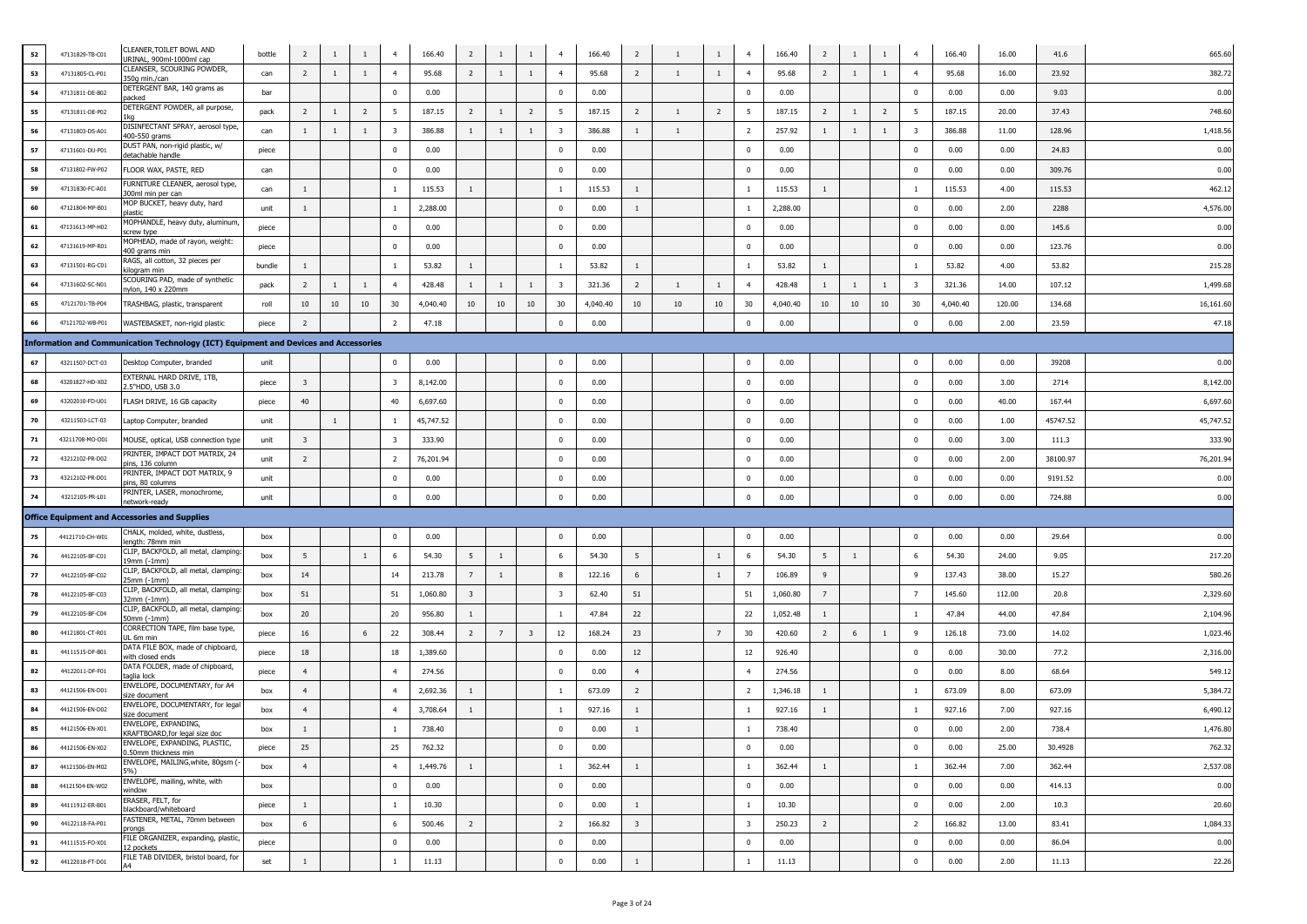| 52 | 47131829-TB-C01 | CLEANER, TOILET BOWL AND<br>JRINAL, 900ml-1000ml cap                                 | bottle | $\overline{2}$          | $\mathbf{1}$ | $\mathbf{1}$   | $\overline{4}$          | 166.40    | $\overline{2}$          | -1             | $\mathbf{1}$            | $\overline{4}$          | 166.40   | $\overline{2}$          | -1           | $\mathbf{1}$   | $\overline{4}$          | 166.40   | $\overline{2}$  | -1             | -1             | $\overline{4}$          | 166.40   | 16.00  | 41.6     | 665.60    |
|----|-----------------|--------------------------------------------------------------------------------------|--------|-------------------------|--------------|----------------|-------------------------|-----------|-------------------------|----------------|-------------------------|-------------------------|----------|-------------------------|--------------|----------------|-------------------------|----------|-----------------|----------------|----------------|-------------------------|----------|--------|----------|-----------|
| 53 | 47131805-CL-P01 | CLEANSER, SCOURING POWDER,<br>350g min./can                                          | can    | $\overline{2}$          | $\mathbf{1}$ | 1              | $\overline{4}$          | 95.68     | $\overline{2}$          | <sup>1</sup>   | $\overline{1}$          | $\overline{4}$          | 95.68    | 2                       | -1           | $\mathbf{1}$   | $\overline{4}$          | 95.68    | $\overline{2}$  | -1             | 1              | $\overline{4}$          | 95.68    | 16.00  | 23.92    | 382.72    |
| 54 | 47131811-DE-B02 | DETERGENT BAR, 140 grams as<br>acked                                                 | bar    |                         |              |                | $\Omega$                | 0.00      |                         |                |                         | $\bf{0}$                | 0.00     |                         |              |                | $\mathbf 0$             | 0.00     |                 |                |                | $\mathbf 0$             | 0.00     | 0.00   | 9.03     | 0.00      |
| 55 | 47131811-DE-P02 | DETERGENT POWDER, all purpose,                                                       | pack   | $\overline{2}$          | $\mathbf{1}$ | $\overline{2}$ | -5                      | 187.15    | $\overline{2}$          |                | $\overline{2}$          | 5                       | 187.15   | 2                       | 1            | 2              | 5                       | 187.15   | $\overline{2}$  | <sup>1</sup>   | $\overline{2}$ | 5                       | 187.15   | 20.00  | 37.43    | 748.60    |
| 56 | 47131803-DS-A01 | DISINFECTANT SPRAY, aerosol type<br>400-550 grams                                    | can    | $\mathbf{1}$            | $\mathbf{1}$ | 1              | $\overline{\mathbf{3}}$ | 386.88    | $\mathbf{1}$            | $\overline{1}$ | 1                       | $\overline{\mathbf{3}}$ | 386.88   | $\mathbf{1}$            | <sup>1</sup> |                | $\overline{2}$          | 257.92   | <sup>1</sup>    | $\overline{1}$ | $\mathbf{1}$   | 3                       | 386.88   | 11.00  | 128.96   | 1,418.56  |
| 57 | 47131601-DU-P01 | DUST PAN, non-rigid plastic, w/<br>detachable handle                                 | piece  |                         |              |                | $^{\circ}$              | 0.00      |                         |                |                         | $\overline{\mathbf{0}}$ | 0.00     |                         |              |                | $\bf{0}$                | 0.00     |                 |                |                | $\mathbf 0$             | 0.00     | 0.00   | 24.83    | 0.00      |
| 58 | 47131802-FW-P02 | FLOOR WAX, PASTE, RED                                                                | can    |                         |              |                | $^{\circ}$              | 0.00      |                         |                |                         | $\overline{\mathbf{0}}$ | 0.00     |                         |              |                | $\overline{0}$          | 0.00     |                 |                |                | $\mathbf{0}$            | 0.00     | 0.00   | 309.76   | 0.00      |
| 59 | 47131830-FC-A01 | FURNITURE CLEANER, aerosol type,<br>300ml min per can                                | can    | $\mathbf{1}$            |              |                | $\mathbf{1}$            | 115.53    | $\mathbf{1}$            |                |                         | $\mathbf{1}$            | 115.53   | $\mathbf{1}$            |              |                | $\mathbf{1}$            | 115.53   | $\mathbf{1}$    |                |                | $\mathbf{1}$            | 115.53   | 4.00   | 115.53   | 462.12    |
| 60 | 47121804-MP-B01 | MOP BUCKET, heavy duty, hard<br>olastic                                              | unit   | $\mathbf{1}$            |              |                | -1                      | 2,288.00  |                         |                |                         | $\mathbf 0$             | 0.00     | $\mathbf{1}$            |              |                | $\mathbf{1}$            | 2,288.00 |                 |                |                | $\mathbf 0$             | 0.00     | 2.00   | 2288     | 4,576.00  |
| 61 | 47131613-MP-H02 | 4OPHANDLE, heavy duty, aluminum<br>screw type                                        | piece  |                         |              |                | $\bf{0}$                | 0.00      |                         |                |                         | $\bf{0}$                | 0.00     |                         |              |                | $\mathbf{0}$            | 0.00     |                 |                |                | $\mathbf 0$             | 0.00     | 0.00   | 145.6    | 0.00      |
| 62 | 47131619-MP-R01 | MOPHEAD, made of rayon, weight:<br>400 grams min                                     | piece  |                         |              |                | $^{\circ}$              | 0.00      |                         |                |                         | $\overline{0}$          | 0.00     |                         |              |                | $\overline{0}$          | 0.00     |                 |                |                | $\mathbf 0$             | 0.00     | 0.00   | 123.76   | 0.00      |
| 63 | 47131501-RG-C01 | RAGS, all cotton, 32 pieces per<br>dlogram min                                       | bundle | $\mathbf{1}$            |              |                | -1                      | 53.82     | $\mathbf{1}$            |                |                         | $\mathbf{1}$            | 53.82    | $\mathbf{1}$            |              |                | -1                      | 53.82    | 1               |                |                | 1                       | 53.82    | 4.00   | 53.82    | 215.28    |
| 64 | 47131602-SC-N01 | SCOURING PAD, made of synthetic<br>nylon, 140 x 220mm                                | pack   | $\overline{2}$          | $\mathbf{1}$ | 1              | $\overline{4}$          | 428.48    | $\mathbf{1}$            | $\overline{1}$ | $\mathbf{1}$            | $\overline{\mathbf{3}}$ | 321.36   | $\overline{2}$          | $\mathbf{1}$ | 1              | $\overline{4}$          | 428.48   | <sup>1</sup>    | -1             | $\mathbf{1}$   | $\overline{\mathbf{3}}$ | 321.36   | 14.00  | 107.12   | 1,499.68  |
| 65 | 47121701-TB-P04 | TRASHBAG, plastic, transparent                                                       | roll   | $10\,$                  | 10           | 10             | 30                      | 4,040.40  | 10                      | 10             | 10                      | 30                      | 4,040.40 | 10                      | 10           | 10             | 30                      | 4,040.40 | 10              | 10             | 10             | 30                      | 4,040.40 | 120.00 | 134.68   | 16,161.60 |
| 66 | 47121702-WB-P01 | WASTEBASKET, non-rigid plastic                                                       | piece  | $\overline{2}$          |              |                | $\overline{2}$          | 47.18     |                         |                |                         | $\pmb{0}$               | 0.00     |                         |              |                | $\overline{0}$          | 0.00     |                 |                |                | $\pmb{0}$               | 0.00     | 2.00   | 23.59    | 47.18     |
|    |                 | Information and Communication Technology (ICT) Equipment and Devices and Accessories |        |                         |              |                |                         |           |                         |                |                         |                         |          |                         |              |                |                         |          |                 |                |                |                         |          |        |          |           |
| 67 | 43211507-DCT-03 | Desktop Computer, branded                                                            | unit   |                         |              |                | $\Omega$                | 0.00      |                         |                |                         | $\bf{0}$                | 0.00     |                         |              |                | $\mathbf{0}$            | 0.00     |                 |                |                | $\mathbf 0$             | 0.00     | 0.00   | 39208    | 0.00      |
| 68 | 43201827-HD-X02 | <b>EXTERNAL HARD DRIVE, 1TB,</b><br>2.5"HDD, USB 3.0                                 | piece  | $\overline{\mathbf{3}}$ |              |                | 3                       | 8,142.00  |                         |                |                         | $\bf{0}$                | 0.00     |                         |              |                | $\mathbf 0$             | 0.00     |                 |                |                | $\mathbf 0$             | 0.00     | 3.00   | 2714     | 8,142.00  |
| 69 | 43202010-FD-U01 | FLASH DRIVE, 16 GB capacity                                                          | piece  | 40                      |              |                | 40                      | 6,697.60  |                         |                |                         | $\overline{\mathbf{0}}$ | 0.00     |                         |              |                | $\mathbf{0}$            | 0.00     |                 |                |                | $\mathbf 0$             | 0.00     | 40.00  | 167.44   | 6,697.60  |
| 70 | 43211503-LCT-03 | Laptop Computer, branded                                                             | unit   |                         | $\mathbf{1}$ |                | 1                       | 45,747.52 |                         |                |                         | $\overline{0}$          | 0.00     |                         |              |                | $\overline{0}$          | 0.00     |                 |                |                | $\pmb{0}$               | 0.00     | 1.00   | 45747.52 | 45,747.52 |
| 71 | 43211708-MO-O01 | MOUSE, optical, USB connection type                                                  | unit   | $\overline{\mathbf{3}}$ |              |                | 3                       | 333.90    |                         |                |                         | $\bf{0}$                | 0.00     |                         |              |                | $\mathbf{0}$            | 0.00     |                 |                |                | $\mathbf 0$             | 0.00     | 3.00   | 111.3    | 333.90    |
| 72 | 43212102-PR-D02 | PRINTER, IMPACT DOT MATRIX, 24<br>ins, 136 column                                    | unit   | $\overline{2}$          |              |                | $\overline{2}$          | 76,201.94 |                         |                |                         | $\bf{0}$                | 0.00     |                         |              |                | $\mathbf 0$             | 0.00     |                 |                |                | $\mathbf 0$             | 0.00     | 2.00   | 38100.97 | 76,201.9  |
| 73 | 43212102-PR-D01 | PRINTER, IMPACT DOT MATRIX, 9<br>ins, 80 columns                                     | unit   |                         |              |                | $^{\circ}$              | 0.00      |                         |                |                         | $\bf{0}$                | 0.00     |                         |              |                | $^{\circ}$              | 0.00     |                 |                |                | $\mathbf 0$             | 0.00     | 0.00   | 9191.52  | 0.00      |
| 74 | 43212105-PR-L01 | PRINTER, LASER, monochrome,<br>etwork-readv                                          | unit   |                         |              |                | $^{\circ}$              | 0.00      |                         |                |                         | $\mathbf 0$             | 0.00     |                         |              |                | $\bf{0}$                | 0.00     |                 |                |                | $\mathbf 0$             | 0.00     | 0.00   | 724.88   | 0.00      |
|    |                 | <b>Office Equipment and Accessories and Supplies</b>                                 |        |                         |              |                |                         |           |                         |                |                         |                         |          |                         |              |                |                         |          |                 |                |                |                         |          |        |          |           |
| 75 | 44121710-CH-W01 | CHALK, molded, white, dustless,<br>ength: 78mm min                                   | box    |                         |              |                | $^{\circ}$              | 0.00      |                         |                |                         | $\overline{0}$          | 0.00     |                         |              |                | $\overline{0}$          | 0.00     |                 |                |                | $\mathbf{0}$            | 0.00     | 0.00   | 29.64    | 0.00      |
| 76 | 44122105-BF-C01 | CLIP, BACKFOLD, all metal, clamping<br>9mm (-1mm)                                    | box    | 5                       |              | $\mathbf{1}$   | 6                       | 54.30     | 5                       | -1             |                         | 6                       | 54.30    | 5                       |              | $\mathbf{1}$   | - 6                     | 54.30    | -5              | -1             |                | 6                       | 54.30    | 24.00  | 9.05     | 217.20    |
| 77 | 44122105-BF-C02 | CLIP, BACKFOLD, all metal, clamping<br>5mm (-1mm)                                    | box    | 14                      |              |                | 14                      | 213.78    | $7\overline{ }$         | $\mathbf{1}$   |                         | 8                       | 122.16   | 6                       |              | $\mathbf{1}$   | $7\overline{ }$         | 106.89   | 9               |                |                | 9                       | 137.43   | 38.00  | 15.27    | 580.26    |
| 78 | 44122105-BF-C03 | CLIP, BACKFOLD, all metal, clamping<br>32mm (-1mm)                                   | box    | 51                      |              |                | 51                      | 1,060.80  | $\overline{\mathbf{3}}$ |                |                         | $\overline{\mathbf{3}}$ | 62.40    | 51                      |              |                | 51                      | 1,060.80 | $7\overline{ }$ |                |                | $\overline{7}$          | 145.60   | 112.00 | 20.8     | 2,329.60  |
| 79 | 44122105-BF-C04 | CLIP, BACKFOLD, all metal, clamping<br>50mm (-1mm)                                   | box    | 20                      |              |                | 20                      | 956.80    | $\mathbf{1}$            |                |                         | $\mathbf{1}$            | 47.84    | 22                      |              |                | 22                      | 1,052.48 | <sup>1</sup>    |                |                | $\mathbf{1}$            | 47.84    | 44.00  | 47.84    | 2,104.96  |
| 80 | 44121801-CT-R01 | CORRECTION TAPE, film base type,<br>IL 6m min                                        | piece  | 16                      |              | 6              | 22                      | 308.44    | $\overline{2}$          | $\overline{7}$ | $\overline{\mathbf{3}}$ | 12                      | 168.24   | 23                      |              | $\overline{7}$ | 30                      | 420.60   | $\overline{2}$  | 6              | $\mathbf{1}$   | $\mathbf{q}$            | 126.18   | 73.00  | 14.02    | 1,023.46  |
| 81 | 44111515-DF-B01 | DATA FILE BOX, made of chipboard,<br>with closed ends                                | piece  | 18                      |              |                | 18                      | 1,389.60  |                         |                |                         | $\bf{0}$                | 0.00     | 12                      |              |                | 12                      | 926.40   |                 |                |                | $\mathbf 0$             | 0.00     | 30.00  | 77.2     | 2,316.00  |
| 82 | 44122011-DF-F01 | DATA FOLDER, made of chipboard<br>aglia lock                                         | piece  | $\overline{4}$          |              |                |                         | 274.56    |                         |                |                         | $\overline{\mathbf{0}}$ | 0.00     | $\overline{4}$          |              |                | $\overline{4}$          | 274.56   |                 |                |                | $\Omega$                | 0.00     | 8.00   | 68.64    | 549.12    |
| 83 | 44121506-EN-D01 | ENVELOPE, DOCUMENTARY, for A4<br>size document<br>ENVELOPE, DOCUMENTARY, for lega    | box    | $\overline{4}$          |              |                | $\overline{4}$          | 2,692.36  | $\mathbf{1}$            |                |                         | $\mathbf{1}$            | 673.09   | $\overline{2}$          |              |                | $\overline{2}$          | 1,346.18 | $\mathbf{1}$    |                |                | $\mathbf{1}$            | 673.09   | 8.00   | 673.09   | 5,384.7   |
| 84 | 44121506-EN-D02 | size document<br>ENVELOPE, EXPANDING,                                                | box    | $\overline{4}$          |              |                | $\overline{4}$          | 3,708.64  | 1                       |                |                         | $\mathbf{1}$            | 927.16   | $\mathbf{1}$            |              |                | -1                      | 927.16   | $\mathbf{1}$    |                |                | $\mathbf{1}$            | 927.16   | 7.00   | 927.16   | 6,490.1   |
| 85 | 44121506-EN-X01 | KRAFTBOARD, for legal size doc<br>ENVELOPE, EXPANDING, PLASTIC,                      | box    | $\mathbf{1}$            |              |                | -1                      | 738.40    |                         |                |                         | $\bf{0}$                | 0.00     | $\mathbf{1}$            |              |                | $\mathbf{1}$            | 738.40   |                 |                |                | $\mathbf 0$             | 0.00     | 2.00   | 738.4    | 1,476.80  |
| 86 | 44121506-EN-X02 | 0.50mm thickness min<br>ENVELOPE, MAILING, white, 80gsm (-                           | piece  | 25                      |              |                | 25                      | 762.32    |                         |                |                         | $\bf{0}$                | 0.00     |                         |              |                | $\mathbf 0$             | 0.00     |                 |                |                | $\mathbf 0$             | 0.00     | 25.00  | 30.4928  | 762.32    |
| 87 | 44121506-EN-M02 | :‰ )<br>ENVELOPE, mailing, white, with                                               | box    | $\overline{4}$          |              |                | $\overline{4}$          | 1,449.76  | 1                       |                |                         | $\mathbf{1}$            | 362.44   | 1                       |              |                | $\mathbf{1}$            | 362.44   | $\mathbf{1}$    |                |                | $\mathbf{1}$            | 362.44   | 7.00   | 362.44   | 2,537.08  |
| 88 | 44121504-EN-W02 | window<br>ERASER, FELT, for                                                          | box    |                         |              |                | $\bf{0}$                | 0.00      |                         |                |                         | $\bf{0}$                | 0.00     |                         |              |                | $\bf{0}$                | 0.00     |                 |                |                | $\mathbf 0$             | 0.00     | 0.00   | 414.13   | 0.00      |
| 89 | 44111912-ER-B01 | blackboard/whiteboard<br>FASTENER, METAL, 70mm between                               | piece  | $\mathbf{1}$            |              |                | $\mathbf{1}$            | 10.30     |                         |                |                         | $\mathbf 0$             | 0.00     | $\mathbf{1}$            |              |                | $\mathbf{1}$            | 10.30    |                 |                |                | $\mathbf 0$             | 0.00     | 2.00   | 10.3     | 20.60     |
| 90 | 44122118-FA-P01 | pronas<br>FILE ORGANIZER, expanding, plastic,                                        | box    | 6                       |              |                | 6                       | 500.46    | $\overline{2}$          |                |                         | $\overline{2}$          | 166.82   | $\overline{\mathbf{3}}$ |              |                | $\overline{\mathbf{3}}$ | 250.23   | $\overline{2}$  |                |                | $\overline{2}$          | 166.82   | 13.00  | 83.41    | 1,084.33  |
| 91 | 44111515-FO-X01 | 12 pockets<br>FILE TAB DIVIDER, bristol board, for                                   | piece  |                         |              |                | $\bf{0}$                | 0.00      |                         |                |                         | $\bf{0}$                | 0.00     |                         |              |                | $\mathbf 0$             | 0.00     |                 |                |                | $\mathbf 0$             | 0.00     | 0.00   | 86.04    | 0.00      |
| 92 | 44122018-FT-D01 |                                                                                      | set    | $\mathbf{1}$            |              |                | 1                       | 11.13     |                         |                |                         | $\bf{0}$                | 0.00     | $1\,$                   |              |                | $\mathbf{1}$            | 11.13    |                 |                |                | $\mathbf 0$             | 0.00     | 2.00   | 11.13    | 22.26     |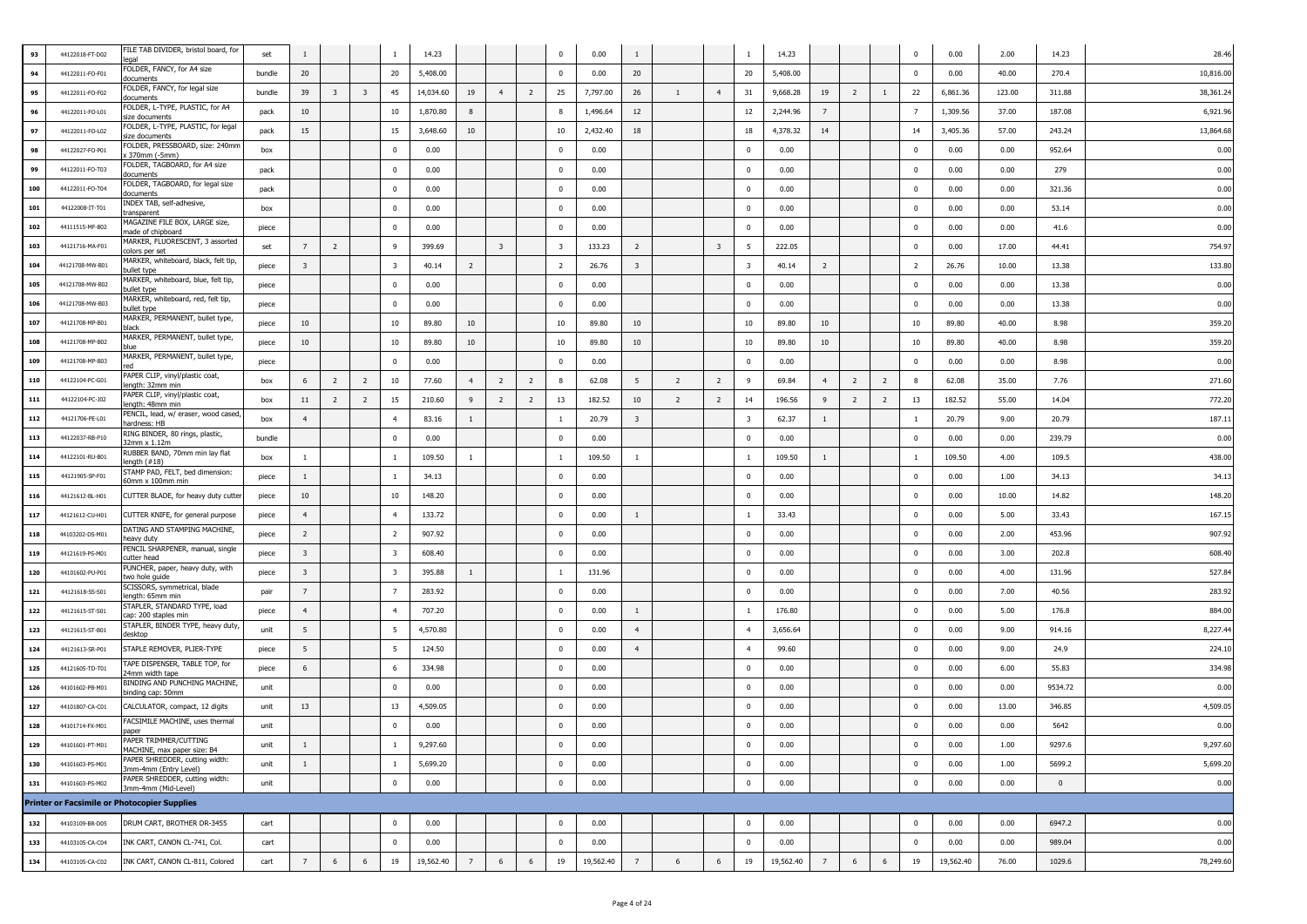| 93  | 44122018-FT-D02 | FILE TAB DIVIDER, bristol board, for<br>anal            | set    |                         |                         |                         |                         | 14.23     |                |                |                | $\bf{0}$                | 0.00      | 1                       |                |                         |                         | 14.23     |                |                |                | 0              | 0.00      | 2.00   | 14.23    | 28.46     |
|-----|-----------------|---------------------------------------------------------|--------|-------------------------|-------------------------|-------------------------|-------------------------|-----------|----------------|----------------|----------------|-------------------------|-----------|-------------------------|----------------|-------------------------|-------------------------|-----------|----------------|----------------|----------------|----------------|-----------|--------|----------|-----------|
| 94  | 44122011-FO-F01 | FOLDER, FANCY, for A4 size<br>locuments                 | bundle | 20                      |                         |                         | 20                      | 5,408.00  |                |                |                | $\bf{0}$                | 0.00      | 20                      |                |                         | 20                      | 5,408.00  |                |                |                | $\mathbf 0$    | 0.00      | 40.00  | 270.4    | 10,816.00 |
| 95  | 44122011-FO-F02 | FOLDER, FANCY, for legal size<br>documents              | bundle | 39                      | $\overline{\mathbf{3}}$ | $\overline{\mathbf{3}}$ | 45                      | 14,034.60 | 19             | $\overline{4}$ | $\overline{2}$ | 25                      | 7,797.00  | 26                      | $\mathbf{1}$   | $\overline{4}$          | 31                      | 9,668.28  | 19             | $\overline{2}$ | $\mathbf{1}$   | 22             | 6,861.36  | 123.00 | 311.88   | 38,361.24 |
| 96  | 44122011-FO-L01 | FOLDER, L-TYPE, PLASTIC, for A4<br>size documents       | pack   | 10                      |                         |                         | 10                      | 1,870.80  | 8              |                |                | 8                       | 1,496.64  | 12                      |                |                         | 12                      | 2,244.96  | $\overline{7}$ |                |                | $\overline{7}$ | 1,309.56  | 37.00  | 187.08   | 6,921.96  |
| 97  | 44122011-FO-L02 | FOLDER, L-TYPE, PLASTIC, for legal<br>size documents    | pack   | 15                      |                         |                         | 15                      | 3,648.60  | 10             |                |                | 10                      | 2,432.40  | 18                      |                |                         | 18                      | 4,378.32  | 14             |                |                | 14             | 3,405.36  | 57.00  | 243.24   | 13,864.68 |
| 98  | 44122027-FO-P01 | FOLDER, PRESSBOARD, size: 240mr<br>(370mm (-5mm)        | box    |                         |                         |                         | $^{\circ}$              | 0.00      |                |                |                | $\bf{0}$                | 0.00      |                         |                |                         | $\mathbf{0}$            | 0.00      |                |                |                | $\bf{0}$       | 0.00      | 0.00   | 952.64   | 0.00      |
| 99  | 44122011-FO-T03 | FOLDER, TAGBOARD, for A4 size<br>documents              | pack   |                         |                         |                         | $\mathbf{0}$            | 0.00      |                |                |                | $\bf{0}$                | 0.00      |                         |                |                         | $\mathbf 0$             | 0.00      |                |                |                | $\mathbf{0}$   | 0.00      | 0.00   | 279      | 0.00      |
| 100 | 44122011-FO-T04 | FOLDER, TAGBOARD, for legal size<br>documents           | pack   |                         |                         |                         | $\Omega$                | 0.00      |                |                |                | $\mathbf{0}$            | 0.00      |                         |                |                         | $\mathbf 0$             | 0.00      |                |                |                | $\mathbf{0}$   | 0.00      | 0.00   | 321.36   | 0.00      |
| 101 | 44122008-IT-T01 | INDEX TAB, self-adhesive,<br>transparent                | box    |                         |                         |                         | $\mathbf{0}$            | 0.00      |                |                |                | $\mathbf{0}$            | 0.00      |                         |                |                         | $\bf{0}$                | 0.00      |                |                |                | $\bf{0}$       | 0.00      | 0.00   | 53.14    | 0.00      |
| 102 | 44111515-MF-B02 | MAGAZINE FILE BOX, LARGE size,<br>made of chipboard     | piece  |                         |                         |                         | $^{\circ}$              | 0.00      |                |                |                | $\overline{0}$          | 0.00      |                         |                |                         | $\overline{0}$          | 0.00      |                |                |                | $\bf{0}$       | 0.00      | 0.00   | 41.6     | 0.00      |
| 103 | 44121716-MA-F01 | MARKER, FLUORESCENT, 3 assorted<br>colors per set:      | set    | 7                       | $\overline{2}$          |                         | -9                      | 399.69    |                | $\overline{3}$ |                | $\overline{\mathbf{3}}$ | 133.23    | $\overline{2}$          |                | $\overline{\mathbf{3}}$ | 5                       | 222.05    |                |                |                | $\bf{0}$       | 0.00      | 17.00  | 44.41    | 754.97    |
| 104 | 44121708-MW-B01 | MARKER, whiteboard, black, felt tip,<br>bullet type     | piece  | $\overline{\mathbf{3}}$ |                         |                         | $\overline{\mathbf{3}}$ | 40.14     | $\overline{2}$ |                |                | $\overline{2}$          | 26.76     | $\overline{\mathbf{3}}$ |                |                         | $\overline{\mathbf{3}}$ | 40.14     | $\overline{2}$ |                |                | $\overline{2}$ | 26.76     | 10.00  | 13.38    | 133.80    |
| 105 | 44121708-MW-B02 | MARKER, whiteboard, blue, felt tip,<br>bullet type      | piece  |                         |                         |                         | $\overline{0}$          | 0.00      |                |                |                | $\mathbf{0}$            | 0.00      |                         |                |                         | $\mathbf{0}$            | 0.00      |                |                |                | $\mathbf 0$    | 0.00      | 0.00   | 13.38    | 0.00      |
| 106 | 44121708-MW-B03 | MARKER, whiteboard, red, felt tip,<br>bullet type       | piece  |                         |                         |                         | $\Omega$                | 0.00      |                |                |                | $\bf{0}$                | 0.00      |                         |                |                         | $\mathbf 0$             | 0.00      |                |                |                | $\mathbf 0$    | 0.00      | 0.00   | 13.38    | 0.00      |
| 107 | 44121708-MP-B01 | MARKER, PERMANENT, bullet type,<br>black                | piece  | 10                      |                         |                         | 10                      | 89.80     | 10             |                |                | 10                      | 89.80     | 10                      |                |                         | 10                      | 89.80     | 10             |                |                | 10             | 89.80     | 40.00  | 8.98     | 359.20    |
| 108 | 44121708-MP-B02 | MARKER, PERMANENT, bullet type,<br>olue                 | piece  | 10                      |                         |                         | 10                      | 89.80     | 10             |                |                | 10                      | 89.80     | 10                      |                |                         | 10                      | 89.80     | 10             |                |                | 10             | 89.80     | 40.00  | 8.98     | 359.20    |
| 109 | 44121708-MP-B03 | MARKER, PERMANENT, bullet type,                         | piece  |                         |                         |                         | $\Omega$                | 0.00      |                |                |                | $\bf{0}$                | 0.00      |                         |                |                         | $\Omega$                | 0.00      |                |                |                | $\mathbf 0$    | 0.00      | 0.00   | 8.98     | 0.00      |
| 110 | 44122104-PC-G01 | PAPER CLIP, vinyl/plastic coat,<br>length: 32mm min     | box    | 6                       | $\overline{2}$          | $\overline{2}$          | 10                      | 77.60     | 4              | $\overline{2}$ | $\overline{2}$ | 8                       | 62.08     | 5                       | $\overline{2}$ | $\overline{2}$          | 9                       | 69.84     | $\overline{4}$ | $\overline{2}$ | $\overline{2}$ | 8              | 62.08     | 35.00  | 7.76     | 271.60    |
| 111 | 44122104-PC-J02 | PAPER CLIP, vinyl/plastic coat,<br>length: 48mm min     | box    | 11                      | $\overline{2}$          | $\overline{2}$          | 15                      | 210.60    | 9              | $\overline{2}$ | $\overline{2}$ | 13                      | 182.52    | 10                      | $\overline{2}$ | $\overline{2}$          | 14                      | 196.56    | 9              | $\overline{2}$ | $\overline{2}$ | 13             | 182.52    | 55.00  | 14.04    | 772.20    |
| 112 | 44121706-PE-L01 | PENCIL, lead, w/ eraser, wood cased,<br>hardness: HB    | box    | $\overline{4}$          |                         |                         | $\overline{4}$          | 83.16     | $\mathbf{1}$   |                |                | $\mathbf{1}$            | 20.79     | $\overline{\mathbf{3}}$ |                |                         | $\overline{\mathbf{3}}$ | 62.37     | $\mathbf{1}$   |                |                | <sup>1</sup>   | 20.79     | 9.00   | 20.79    | 187.11    |
| 113 | 44122037-RB-P10 | RING BINDER, 80 rings, plastic,<br>32mm x 1.12m         | bundle |                         |                         |                         | $\mathbf 0$             | 0.00      |                |                |                | $\Omega$                | 0.00      |                         |                |                         | $\Omega$                | 0.00      |                |                |                | $\mathbf 0$    | 0.00      | 0.00   | 239.79   | 0.00      |
| 114 | 44122101-RU-B01 | RUBBER BAND, 70mm min lay flat<br>lenath (#18)          | box    | $\overline{1}$          |                         |                         | -1                      | 109.50    | $\mathbf{1}$   |                |                | $\mathbf{1}$            | 109.50    | -1                      |                |                         | <sup>1</sup>            | 109.50    | 1              |                |                | -1             | 109.50    | 4.00   | 109.5    | 438.00    |
| 115 | 44121905-SP-F01 | STAMP PAD, FELT, bed dimension:<br>60mm x 100mm min     | piece  |                         |                         |                         | -1                      | 34.13     |                |                |                | $\mathbf{0}$            | 0.00      |                         |                |                         | $\mathbf{0}$            | 0.00      |                |                |                | $\mathbf{0}$   | 0.00      | 1.00   | 34.13    | 34.13     |
| 116 | 44121612-BL-H01 | CUTTER BLADE, for heavy duty cutter                     | piece  | 10                      |                         |                         | $10\,$                  | 148.20    |                |                |                | $\bf{0}$                | 0.00      |                         |                |                         | $\mathbf 0$             | 0.00      |                |                |                | $\mathbf{0}$   | 0.00      | 10.00  | 14.82    | 148.20    |
| 117 | 44121612-CU-H01 | CUTTER KNIFE, for general purpose                       | piece  |                         |                         |                         | $\overline{4}$          | 133.72    |                |                |                | $\mathbf{0}$            | 0.00      | -1                      |                |                         | $\mathbf{1}$            | 33.43     |                |                |                | $\bf{0}$       | 0.00      | 5.00   | 33.43    | 167.15    |
| 118 | 44103202-DS-M01 | DATING AND STAMPING MACHINE,<br>eavy duty               | piece  | $\overline{2}$          |                         |                         | $\overline{2}$          | 907.92    |                |                |                | $\overline{0}$          | 0.00      |                         |                |                         | $\overline{0}$          | 0.00      |                |                |                | $\bf{0}$       | 0.00      | 2.00   | 453.96   | 907.92    |
| 119 | 44121619-PS-M01 | PENCIL SHARPENER, manual, single<br>utter head          | piece  | 3                       |                         |                         | 3                       | 608.40    |                |                |                | $\mathbf{0}$            | 0.00      |                         |                |                         | $\mathbf{0}$            | 0.00      |                |                |                | $\bf{0}$       | 0.00      | 3.00   | 202.8    | 608.40    |
| 120 | 44101602-PU-P01 | PUNCHER, paper, heavy duty, with<br>wo hole quide       | piece  | 3                       |                         |                         | $\overline{\mathbf{3}}$ | 395.88    | <sup>1</sup>   |                |                | $\mathbf{1}$            | 131.96    |                         |                |                         | $\mathbf 0$             | 0.00      |                |                |                | $\mathbf 0$    | 0.00      | 4.00   | 131.96   | 527.84    |
| 121 | 44121618-SS-S01 | SCISSORS, symmetrical, blade<br>length: 65mm min        | pair   | $\overline{7}$          |                         |                         | $\overline{7}$          | 283.92    |                |                |                | $\Omega$                | 0.00      |                         |                |                         | $\mathbf 0$             | 0.00      |                |                |                | $\mathbf 0$    | 0.00      | 7.00   | 40.56    | 283.92    |
| 122 | 44121615-ST-S01 | STAPLER, STANDARD TYPE, load<br>cap: 200 staples min    | piece  | $\overline{4}$          |                         |                         | $\overline{4}$          | 707.20    |                |                |                | $\bf{0}$                | 0.00      | -1                      |                |                         | $\mathbf{1}$            | 176.80    |                |                |                | $\mathbf 0$    | 0.00      | 5.00   | 176.8    | 884.00    |
| 123 | 44121615-ST-B01 | STAPLER, BINDER TYPE, heavy duty,<br>lesktop            | unit   | -5                      |                         |                         | -5                      | 4,570.80  |                |                |                | $\bf{0}$                | 0.00      | $\overline{4}$          |                |                         | $\overline{4}$          | 3,656.64  |                |                |                | $\mathbf 0$    | 0.00      | 9.00   | 914.16   | 8,227.4   |
| 124 | 44121613-SR-P01 | STAPLE REMOVER, PLIER-TYPE                              | piece  | -5                      |                         |                         | -5                      | 124.50    |                |                |                | $\bf{0}$                | 0.00      | $\overline{4}$          |                |                         | $\overline{4}$          | 99.60     |                |                |                | $\mathbf 0$    | 0.00      | 9.00   | 24.9     | 224.10    |
| 125 | 44121605-TD-T01 | TAPE DISPENSER, TABLE TOP, for<br>24mm width tape       | piece  | -6                      |                         |                         | - 6                     | 334.98    |                |                |                | $\mathbf{0}$            | 0.00      |                         |                |                         | $\Omega$                | 0.00      |                |                |                | $\mathbf 0$    | 0.00      | 6.00   | 55.83    | 334.98    |
| 126 | 44101602-PB-M01 | BINDING AND PUNCHING MACHINE,<br>oinding cap: 50mm      | unit   |                         |                         |                         | $\mathbf 0$             | 0.00      |                |                |                | $\overline{0}$          | 0.00      |                         |                |                         | $\overline{0}$          | 0.00      |                |                |                | $\bf{0}$       | 0.00      | 0.00   | 9534.72  | 0.00      |
| 127 | 44101807-CA-C01 | CALCULATOR, compact, 12 digits                          | unit   | 13                      |                         |                         | 13                      | 4,509.05  |                |                |                | $\bf{0}$                | 0.00      |                         |                |                         | $\mathbf 0$             | 0.00      |                |                |                | $\mathbf 0$    | 0.00      | 13.00  | 346.85   | 4,509.05  |
| 128 | 44101714-FX-M01 | FACSIMILE MACHINE, uses thermal<br>aper                 | unit   |                         |                         |                         | $\mathbf 0$             | 0.00      |                |                |                | $\bf{0}$                | 0.00      |                         |                |                         | $\mathbf 0$             | 0.00      |                |                |                | $\mathbf 0$    | 0.00      | 0.00   | 5642     | 0.00      |
| 129 | 44101601-PT-M01 | APER TRIMMER/CUTTING<br>MACHINE, max paper size: B4     | unit   | $\mathbf{1}$            |                         |                         | -1                      | 9,297.60  |                |                |                | $\bf{0}$                | 0.00      |                         |                |                         | $\mathbf 0$             | 0.00      |                |                |                | $\mathbf 0$    | 0.00      | 1.00   | 9297.6   | 9,297.60  |
| 130 | 44101603-PS-M01 | PAPER SHREDDER, cutting width:<br>3mm-4mm (Entry Level) | unit   | $\mathbf{1}$            |                         |                         | $\overline{1}$          | 5,699.20  |                |                |                | $\mathbf{0}$            | 0.00      |                         |                |                         | $\mathbf 0$             | 0.00      |                |                |                | $\pmb{0}$      | 0.00      | 1.00   | 5699.2   | 5,699.20  |
| 131 | 44101603-PS-M02 | PAPER SHREDDER, cutting width:<br>3mm-4mm (Mid-Level)   | unit   |                         |                         |                         | $\mathbf 0$             | 0.00      |                |                |                | $\mathbf 0$             | 0.00      |                         |                |                         | $\mathbf 0$             | 0.00      |                |                |                | $\mathbf 0$    | 0.00      | 0.00   | $\bf{0}$ | 0.00      |
|     |                 | <b>Printer or Facsimile or Photocopier Supplies</b>     |        |                         |                         |                         |                         |           |                |                |                |                         |           |                         |                |                         |                         |           |                |                |                |                |           |        |          |           |
| 132 | 44103109-BR-D05 | DRUM CART, BROTHER DR-3455                              | cart   |                         |                         |                         | $\mathbf{0}$            | 0.00      |                |                |                | $\mathbf{0}$            | 0.00      |                         |                |                         | $\overline{0}$          | 0.00      |                |                |                | $\bf{0}$       | 0.00      | 0.00   | 6947.2   | 0.00      |
| 133 | 44103105-CA-C04 | INK CART, CANON CL-741, Col.                            | cart   |                         |                         |                         | $\mathbf 0$             | 0.00      |                |                |                | $\bf{0}$                | 0.00      |                         |                |                         | $\mathbf 0$             | 0.00      |                |                |                | $\mathbf 0$    | 0.00      | 0.00   | 989.04   | 0.00      |
| 134 | 44103105-CA-C02 | INK CART, CANON CL-811, Colored                         | cart   | $\overline{7}$          | 6                       | 6                       | 19                      | 19,562.40 | 7              | 6              | 6              | 19                      | 19,562.40 | $\overline{7}$          | 6              | 6                       | 19                      | 19,562.40 | $\overline{7}$ | 6              | 6              | 19             | 19,562.40 | 76.00  | 1029.6   | 78,249.60 |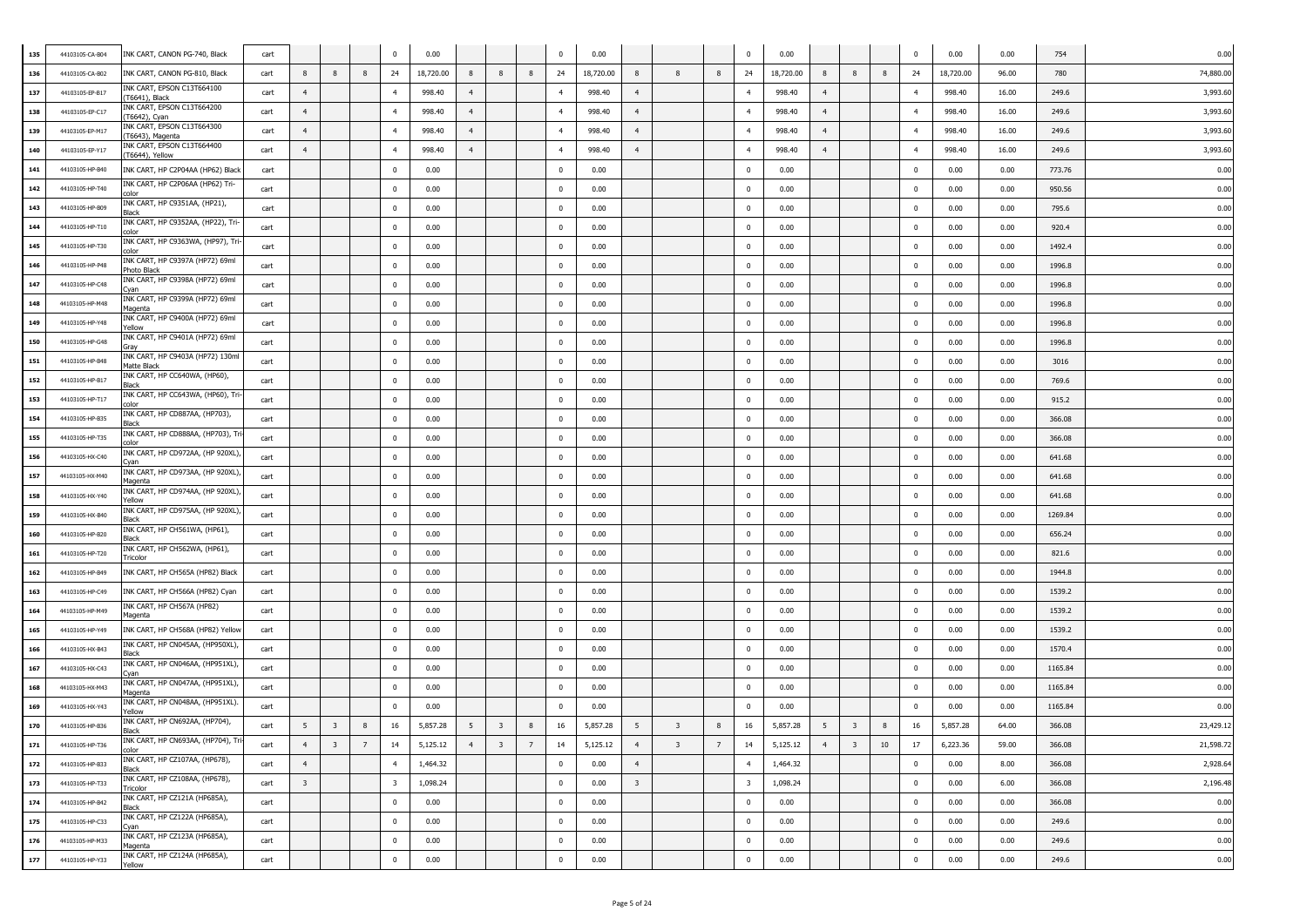| 135 | 44103105-CA-B04 | INK CART, CANON PG-740, Black                   | cart |                         |                         |   | $\Omega$                | 0.00      |                |                         |   | $\mathbf 0$             | 0.00      |                         |                         |   | $\Omega$                | 0.00      |                |                         |    | $\Omega$       | 0.00      | 0.00  | 754     | 0.00      |
|-----|-----------------|-------------------------------------------------|------|-------------------------|-------------------------|---|-------------------------|-----------|----------------|-------------------------|---|-------------------------|-----------|-------------------------|-------------------------|---|-------------------------|-----------|----------------|-------------------------|----|----------------|-----------|-------|---------|-----------|
| 136 | 44103105-CA-B02 | INK CART, CANON PG-810, Black                   | cart | 8                       | 8                       | 8 | 24                      | 18,720.00 | 8              | 8                       | 8 | 24                      | 18,720.00 | 8                       | 8                       | 8 | 24                      | 18,720.00 | 8              | 8                       | 8  | 24             | 18,720.00 | 96.00 | 780     | 74,880.00 |
| 137 | 44103105-EP-B17 | INK CART, EPSON C13T664100<br>T6641), Black     | cart | $\overline{4}$          |                         |   | $\overline{4}$          | 998.40    | $\overline{4}$ |                         |   | $\overline{4}$          | 998.40    | $\overline{4}$          |                         |   | $\overline{4}$          | 998.40    | $\overline{4}$ |                         |    | $\overline{4}$ | 998.40    | 16.00 | 249.6   | 3,993.60  |
| 138 | 44103105-EP-C17 | INK CART, EPSON C13T664200<br>T6642), Cyan      | cart | $\overline{4}$          |                         |   | $\overline{4}$          | 998.40    | $\overline{4}$ |                         |   | $\overline{4}$          | 998.40    | $\overline{4}$          |                         |   | $\overline{4}$          | 998.40    | $\overline{4}$ |                         |    | $\overline{4}$ | 998.40    | 16.00 | 249.6   | 3,993.60  |
| 139 | 44103105-EP-M17 | INK CART, EPSON C13T664300<br>T6643), Magenta   | cart | $\overline{4}$          |                         |   | $\overline{4}$          | 998.40    | 4              |                         |   | $\overline{4}$          | 998.40    | 4                       |                         |   | $\overline{4}$          | 998.40    | 4              |                         |    | $\overline{4}$ | 998.40    | 16.00 | 249.6   | 3,993.60  |
| 140 | 44103105-EP-Y17 | INK CART, EPSON C13T664400<br>T6644), Yellow    | cart | $\overline{4}$          |                         |   | $\overline{4}$          | 998.40    | 4              |                         |   | $\overline{4}$          | 998.40    | $\overline{4}$          |                         |   | $\overline{4}$          | 998.40    | $\overline{4}$ |                         |    | $\overline{4}$ | 998.40    | 16.00 | 249.6   | 3,993.60  |
| 141 | 44103105-HP-B40 | INK CART, HP C2P04AA (HP62) Black               | cart |                         |                         |   | $\mathbf{0}$            | 0.00      |                |                         |   | $\mathbf 0$             | 0.00      |                         |                         |   | $\mathbf{0}$            | 0.00      |                |                         |    | $\mathbf 0$    | 0.00      | 0.00  | 773.76  | 0.00      |
| 142 | 44103105-HP-T40 | INK CART, HP C2P06AA (HP62) Tri-                | cart |                         |                         |   | $\mathbf{0}$            | 0.00      |                |                         |   | $\bf{0}$                | 0.00      |                         |                         |   | $\mathbf{0}$            | 0.00      |                |                         |    | $\overline{0}$ | 0.00      | 0.00  | 950.56  | 0.00      |
| 143 | 44103105-HP-B09 | INK CART, HP C9351AA, (HP21),<br>Black          | cart |                         |                         |   | $\overline{0}$          | 0.00      |                |                         |   | $\bf{0}$                | 0.00      |                         |                         |   | $\mathbf{0}$            | 0.00      |                |                         |    | $\overline{0}$ | 0.00      | 0.00  | 795.6   | 0.00      |
| 144 | 44103105-HP-T10 | INK CART, HP C9352AA, (HP22), Tri<br>olor:      | cart |                         |                         |   | $\bf{0}$                | 0.00      |                |                         |   | $\bf{0}$                | 0.00      |                         |                         |   | $\overline{0}$          | 0.00      |                |                         |    | $\mathbf 0$    | 0.00      | 0.00  | 920.4   | 0.00      |
| 145 | 44103105-HP-T30 | INK CART, HP C9363WA, (HP97), Tri<br>color      | cart |                         |                         |   | $\bf{0}$                | 0.00      |                |                         |   | $\bf{0}$                | 0.00      |                         |                         |   | $\overline{0}$          | 0.00      |                |                         |    | $\mathbf 0$    | 0.00      | 0.00  | 1492.4  | 0.00      |
| 146 | 44103105-HP-P48 | INK CART, HP C9397A (HP72) 69ml<br>Photo Black  | cart |                         |                         |   | 0                       | 0.00      |                |                         |   | $\bf{0}$                | 0.00      |                         |                         |   | $\mathbf{0}$            | 0.00      |                |                         |    | $\mathbf 0$    | 0.00      | 0.00  | 1996.8  | 0.00      |
| 147 | 44103105-HP-C48 | INK CART, HP C9398A (HP72) 69ml<br>.van         | cart |                         |                         |   | $\mathbf 0$             | 0.00      |                |                         |   | $\bf{0}$                | 0.00      |                         |                         |   | $\mathbf{0}$            | 0.00      |                |                         |    | $\mathbf 0$    | 0.00      | 0.00  | 1996.8  | 0.00      |
| 148 | 44103105-HP-M48 | INK CART, HP C9399A (HP72) 69ml<br>Magenta      | cart |                         |                         |   | $\mathbf 0$             | 0.00      |                |                         |   | $\Omega$                | 0.00      |                         |                         |   | $\mathbf{0}$            | 0.00      |                |                         |    | $\mathbf 0$    | 0.00      | 0.00  | 1996.8  | 0.00      |
| 149 | 44103105-HP-Y48 | INK CART, HP C9400A (HP72) 69m<br>Yellow        | cart |                         |                         |   | $\mathbf 0$             | 0.00      |                |                         |   | $\bf{0}$                | 0.00      |                         |                         |   | $\mathbf{0}$            | 0.00      |                |                         |    | $\mathbf 0$    | 0.00      | 0.00  | 1996.8  | 0.00      |
| 150 | 44103105-HP-G48 | INK CART, HP C9401A (HP72) 69ml<br>Grav         | cart |                         |                         |   | $\mathbf 0$             | 0.00      |                |                         |   | $\bf{0}$                | 0.00      |                         |                         |   | $\mathbf{0}$            | 0.00      |                |                         |    | $\mathbf 0$    | 0.00      | 0.00  | 1996.8  | 0.00      |
| 151 | 44103105-HP-B48 | INK CART, HP C9403A (HP72) 130ml<br>Matte Black | cart |                         |                         |   | $\mathbf{0}$            | 0.00      |                |                         |   | $\bf{0}$                | 0.00      |                         |                         |   | $\mathbf{0}$            | 0.00      |                |                         |    | $\overline{0}$ | 0.00      | 0.00  | 3016    | 0.00      |
| 152 | 44103105-HP-B17 | INK CART, HP CC640WA, (HP60),<br>3lack          | cart |                         |                         |   | $\overline{0}$          | 0.00      |                |                         |   | $\bf{0}$                | 0.00      |                         |                         |   | $\mathbf{0}$            | 0.00      |                |                         |    | $\mathbf 0$    | 0.00      | 0.00  | 769.6   | 0.00      |
| 153 | 44103105-HP-T17 | INK CART, HP CC643WA, (HP60), Tri<br>olor:      | cart |                         |                         |   | $\bf{0}$                | 0.00      |                |                         |   | $\bf{0}$                | 0.00      |                         |                         |   | $\mathbf{0}$            | 0.00      |                |                         |    | $\mathbf{0}$   | 0.00      | 0.00  | 915.2   | 0.00      |
| 154 | 44103105-HP-B35 | INK CART, HP CD887AA, (HP703),<br><b>Black</b>  | cart |                         |                         |   | 0                       | 0.00      |                |                         |   | $\bf{0}$                | 0.00      |                         |                         |   | $\overline{0}$          | 0.00      |                |                         |    | $\mathbf 0$    | 0.00      | 0.00  | 366.08  | 0.00      |
| 155 | 44103105-HP-T35 | INK CART, HP CD888AA, (HP703), Tr<br>rolor      | cart |                         |                         |   | $\mathbf 0$             | 0.00      |                |                         |   | $\bf{0}$                | 0.00      |                         |                         |   | $\mathbf{0}$            | 0.00      |                |                         |    | $\mathbf 0$    | 0.00      | 0.00  | 366.08  | 0.00      |
| 156 | 44103105-HX-C40 | INK CART, HP CD972AA, (HP 920XL)                | cart |                         |                         |   | $\mathbf 0$             | 0.00      |                |                         |   | $\mathbf 0$             | 0.00      |                         |                         |   | $\mathbf{0}$            | 0.00      |                |                         |    | $\mathbf 0$    | 0.00      | 0.00  | 641.68  | 0.00      |
| 157 | 44103105-HX-M40 | INK CART, HP CD973AA, (HP 920XL)<br>Magenta     | cart |                         |                         |   | $\mathbf{0}$            | 0.00      |                |                         |   | $\bf{0}$                | 0.00      |                         |                         |   | $\mathbf{0}$            | 0.00      |                |                         |    | $\mathbf 0$    | 0.00      | 0.00  | 641.68  | 0.00      |
| 158 | 44103105-HX-Y40 | INK CART, HP CD974AA, (HP 920XL)<br>Yellow      | cart |                         |                         |   | $\mathbf{0}$            | 0.00      |                |                         |   | $\bf{0}$                | 0.00      |                         |                         |   | $\overline{0}$          | 0.00      |                |                         |    | $\overline{0}$ | 0.00      | 0.00  | 641.68  | 0.00      |
| 159 | 44103105-HX-B40 | INK CART, HP CD975AA, (HP 920XL)<br>Black       | cart |                         |                         |   | $\overline{0}$          | 0.00      |                |                         |   | $\bf{0}$                | 0.00      |                         |                         |   | $\mathbf{0}$            | 0.00      |                |                         |    | $\Omega$       | 0.00      | 0.00  | 1269.84 | 0.00      |
| 160 | 44103105-HP-B20 | INK CART, HP CH561WA, (HP61),<br>Black          | cart |                         |                         |   | $\mathbf{0}$            | 0.00      |                |                         |   | $\bf{0}$                | 0.00      |                         |                         |   | $\mathbf 0$             | 0.00      |                |                         |    | $\Omega$       | 0.00      | 0.00  | 656.24  | 0.00      |
| 161 | 44103105-HP-T20 | INK CART, HP CH562WA, (HP61),<br>Tricolor       | cart |                         |                         |   | $\bf{0}$                | 0.00      |                |                         |   | $\mathbf 0$             | 0.00      |                         |                         |   | $\overline{0}$          | 0.00      |                |                         |    | $\mathbf{0}$   | 0.00      | 0.00  | 821.6   | 0.00      |
| 162 | 44103105-HP-B49 | INK CART, HP CH565A (HP82) Black                | cart |                         |                         |   | $\mathbf 0$             | 0.00      |                |                         |   | $\mathbf 0$             | 0.00      |                         |                         |   | $\mathbf{0}$            | 0.00      |                |                         |    | $\mathbf 0$    | 0.00      | 0.00  | 1944.8  | 0.00      |
| 163 | 44103105-HP-C49 | INK CART, HP CH566A (HP82) Cyan                 | cart |                         |                         |   | $\mathbf 0$             | 0.00      |                |                         |   | $\mathbf 0$             | 0.00      |                         |                         |   | $\mathbf{0}$            | 0.00      |                |                         |    | $\mathbf 0$    | 0.00      | 0.00  | 1539.2  | 0.00      |
| 164 | 44103105-HP-M49 | INK CART, HP CH567A (HP82)<br>Magenta           | cart |                         |                         |   | $\mathbf 0$             | 0.00      |                |                         |   | $\Omega$                | 0.00      |                         |                         |   | $\mathbf{0}$            | 0.00      |                |                         |    | $^{\circ}$     | 0.00      | 0.00  | 1539.2  | 0.00      |
| 165 | 44103105-HP-Y49 | INK CART, HP CH568A (HP82) Yellow               | cart |                         |                         |   | $\pmb{0}$               | 0.00      |                |                         |   | $\bf{0}$                | 0.00      |                         |                         |   | $\mathbf{0}$            | 0.00      |                |                         |    | $\mathbf 0$    | 0.00      | 0.00  | 1539.2  | 0.00      |
| 166 | 44103105-HX-B43 | INK CART, HP CN045AA, (HP950XL),<br>3lack       | cart |                         |                         |   | $\mathbf{0}$            | 0.00      |                |                         |   | $\bf{0}$                | 0.00      |                         |                         |   | $\mathbf{0}$            | 0.00      |                |                         |    | $\overline{0}$ | 0.00      | 0.00  | 1570.4  | 0.00      |
| 167 | 44103105-HX-C43 | INK CART, HP CN046AA, (HP951XL),<br>van         | cart |                         |                         |   | $\mathbf{0}$            | 0.00      |                |                         |   | $\bf{0}$                | 0.00      |                         |                         |   | $\mathbf{0}$            | 0.00      |                |                         |    | $\overline{0}$ | 0.00      | 0.00  | 1165.84 | 0.00      |
| 168 | 44103105-HX-M43 | INK CART, HP CN047AA, (HP951XL),<br>Magenta     | cart |                         |                         |   | $\mathbf{0}$            | 0.00      |                |                         |   | $\bf{0}$                | 0.00      |                         |                         |   | $\mathbf{0}$            | 0.00      |                |                         |    | $\Omega$       | 0.00      | 0.00  | 1165.84 | 0.00      |
| 169 | 44103105-HX-Y43 | INK CART, HP CN048AA, (HP951XL).<br>/ellow      | cart |                         |                         |   | 0                       | 0.00      |                |                         |   | $\bf{0}$                | 0.00      |                         |                         |   | $^{\circ}$              | 0.00      |                |                         |    | $\overline{0}$ | 0.00      | 0.00  | 1165.84 | 0.00      |
| 170 | 44103105-HP-B36 | INK CART, HP CN692AA, (HP704),<br>Black         | cart | 5                       | $\overline{\mathbf{3}}$ | 8 | 16                      | 5,857.28  | 5              | 3                       | 8 | 16                      | 5,857.28  | 5                       | $\overline{\mathbf{3}}$ | 8 | 16                      | 5,857.28  | 5              | $\overline{\mathbf{3}}$ | 8  | 16             | 5,857.28  | 64.00 | 366.08  | 23,429.12 |
| 171 | 44103105-HP-T36 | INK CART, HP CN693AA, (HP704), T<br>color       | cart | 4                       | $\overline{\mathbf{3}}$ | 7 | 14                      | 5,125.12  | 4              | $\overline{\mathbf{3}}$ | 7 | 14                      | 5,125.12  | $\overline{4}$          | $\overline{\mathbf{3}}$ | 7 | 14                      | 5,125.12  | $\overline{4}$ | $\overline{\mathbf{3}}$ | 10 | 17             | 6,223.36  | 59.00 | 366.08  | 21,598.72 |
| 172 | 44103105-HP-B33 | INK CART, HP CZ107AA, (HP678),<br>Black         | cart | $\overline{4}$          |                         |   | 4                       | 1,464.32  |                |                         |   | $\bf{0}$                | 0.00      | 4                       |                         |   | $\overline{4}$          | 1,464.32  |                |                         |    | $\mathbf{0}$   | 0.00      | 8.00  | 366.08  | 2,928.64  |
| 173 | 44103105-HP-T33 | INK CART, HP CZ108AA, (HP678),<br>Tricolor      | cart | $\overline{\mathbf{3}}$ |                         |   | $\overline{\mathbf{3}}$ | 1,098.24  |                |                         |   | $\overline{\mathbf{0}}$ | 0.00      | $\overline{\mathbf{3}}$ |                         |   | $\overline{\mathbf{3}}$ | 1,098.24  |                |                         |    | $\mathbf 0$    | 0.00      | 6.00  | 366.08  | 2,196.48  |
| 174 | 44103105-HP-B42 | INK CART, HP CZ121A (HP685A),<br>Black          | cart |                         |                         |   | $\mathbf 0$             | 0.00      |                |                         |   | $\mathbf 0$             | 0.00      |                         |                         |   | $\mathbf 0$             | 0.00      |                |                         |    | $\mathbf 0$    | 0.00      | 0.00  | 366.08  | 0.00      |
| 175 | 44103105-HP-C33 | INK CART, HP CZ122A (HP685A),<br>Cvan           | cart |                         |                         |   | $\mathbf 0$             | 0.00      |                |                         |   | $\mathbf 0$             | 0.00      |                         |                         |   | $\mathbf 0$             | 0.00      |                |                         |    | $\mathbf 0$    | 0.00      | 0.00  | 249.6   | 0.00      |
| 176 | 44103105-HP-M33 | INK CART, HP CZ123A (HP685A),<br>Magenta        | cart |                         |                         |   | $\overline{0}$          | 0.00      |                |                         |   | $\overline{\mathbf{0}}$ | 0.00      |                         |                         |   | $\overline{0}$          | 0.00      |                |                         |    | $\mathbf 0$    | 0.00      | 0.00  | 249.6   | 0.00      |
| 177 | 44103105-HP-Y33 | INK CART, HP CZ124A (HP685A),<br>Yellow         | cart |                         |                         |   | $\overline{0}$          | 0.00      |                |                         |   | $\overline{\mathbf{0}}$ | 0.00      |                         |                         |   | $\mathbf 0$             | 0.00      |                |                         |    | $\mathbf 0$    | 0.00      | 0.00  | 249.6   | 0.00      |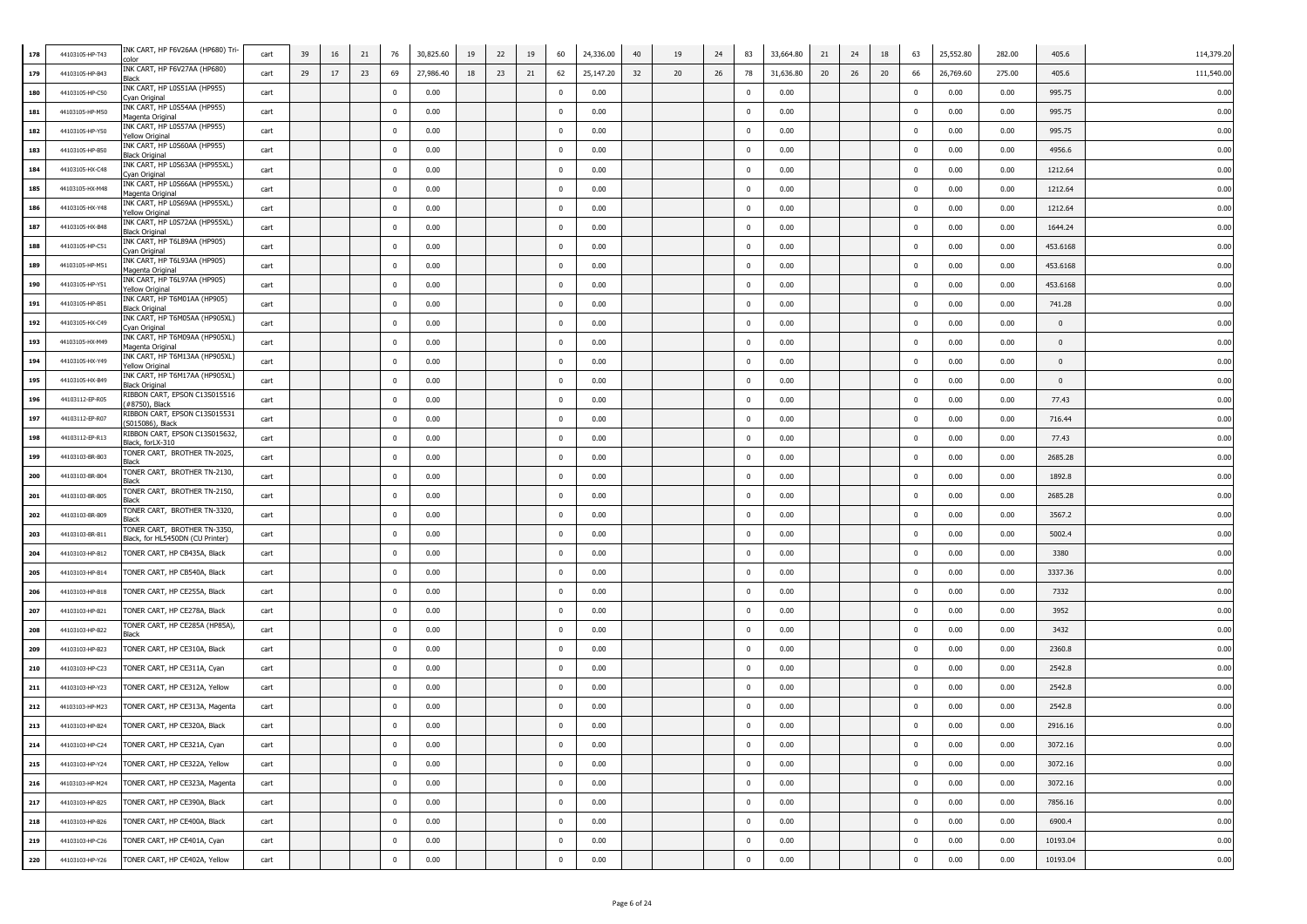| 178 | 44103105-HP-T43 | INK CART, HP F6V26AA (HP680) Tri-<br>alor:                       | cart | 39 | 16 | 21 | 76             | 30,825.60 | 19 | 22 | 19 | 60           | 24,336.00 | 40 | 19 | 24 | 83             | 33,664.80 | 21 | 24 | 18 | 63             | 25,552.80 | 282.00 | 405.6        | 114,379.20 |
|-----|-----------------|------------------------------------------------------------------|------|----|----|----|----------------|-----------|----|----|----|--------------|-----------|----|----|----|----------------|-----------|----|----|----|----------------|-----------|--------|--------------|------------|
| 179 | 44103105-HP-B43 | INK CART, HP F6V27AA (HP680)                                     | cart | 29 | 17 | 23 | 69             | 27,986.40 | 18 | 23 | 21 | 62           | 25,147.20 | 32 | 20 | 26 | 78             | 31,636.80 | 20 | 26 | 20 | 66             | 26,769.60 | 275.00 | 405.6        | 111,540.00 |
| 180 | 44103105-HP-C50 | INK CART, HP L0S51AA (HP955)<br>yan Original                     | cart |    |    |    | $\mathbf{0}$   | 0.00      |    |    |    | $\mathbf{0}$ | 0.00      |    |    |    | $\mathbf 0$    | 0.00      |    |    |    | $\mathbf 0$    | 0.00      | 0.00   | 995.75       | 0.00       |
| 181 | 44103105-HP-M50 | INK CART, HP L0S54AA (HP955)<br>lagenta Original                 | cart |    |    |    | $\mathbf{0}$   | 0.00      |    |    |    | $\mathbf 0$  | 0.00      |    |    |    | $\mathbf 0$    | 0.00      |    |    |    | $\mathbf 0$    | 0.00      | 0.00   | 995.75       | 0.00       |
| 182 | 44103105-HP-Y50 | INK CART, HP LOS57AA (HP955)<br>fellow Original                  | cart |    |    |    | $\mathbf{0}$   | 0.00      |    |    |    | $\mathbf{0}$ | 0.00      |    |    |    | $\mathbf 0$    | 0.00      |    |    |    | $\mathbf 0$    | 0.00      | 0.00   | 995.75       | 0.00       |
| 183 | 44103105-HP-B50 | INK CART, HP L0S60AA (HP955)<br>Black Original                   | cart |    |    |    | $\mathbf{0}$   | 0.00      |    |    |    | $\mathbf 0$  | 0.00      |    |    |    | $\overline{0}$ | 0.00      |    |    |    | $\mathbf 0$    | 0.00      | 0.00   | 4956.6       | 0.00       |
| 184 | 44103105-HX-C48 | INK CART, HP L0S63AA (HP955XL)<br>Cyan Original                  | cart |    |    |    | $\overline{0}$ | 0.00      |    |    |    | $\mathbf 0$  | 0.00      |    |    |    | $\mathbf 0$    | 0.00      |    |    |    | $\mathbf 0$    | 0.00      | 0.00   | 1212.64      | 0.00       |
| 185 | 44103105-HX-M48 | INK CART, HP LOS66AA (HP955XL)<br>Magenta Original               | cart |    |    |    | $\overline{0}$ | 0.00      |    |    |    | $\mathbf 0$  | 0.00      |    |    |    | $\mathbf 0$    | 0.00      |    |    |    | $\mathbf 0$    | 0.00      | 0.00   | 1212.64      | 0.00       |
| 186 | 44103105-HX-Y48 | INK CART, HP L0S69AA (HP955XL)<br>fellow Original                | cart |    |    |    | $\mathbf{0}$   | 0.00      |    |    |    | $\mathbf{0}$ | 0.00      |    |    |    | $\overline{0}$ | 0.00      |    |    |    | $\mathbf 0$    | 0.00      | 0.00   | 1212.64      | 0.00       |
| 187 | 44103105-HX-B48 | INK CART, HP LOS72AA (HP955XL)<br>Black Original                 | cart |    |    |    | $\mathbf{0}$   | 0.00      |    |    |    | $\pmb{0}$    | 0.00      |    |    |    | $\overline{0}$ | 0.00      |    |    |    | $\pmb{0}$      | 0.00      | 0.00   | 1644.24      | 0.00       |
| 188 | 44103105-HP-C51 | INK CART, HP T6L89AA (HP905)<br>yan Original                     | cart |    |    |    | $\mathbf{0}$   | 0.00      |    |    |    | $\mathbf 0$  | 0.00      |    |    |    | $\mathbf 0$    | 0.00      |    |    |    | $\mathbf{0}$   | 0.00      | 0.00   | 453.6168     | 0.00       |
| 189 | 44103105-HP-M51 | INK CART, HP T6L93AA (HP905)<br>Magenta Original                 | cart |    |    |    | $\mathbf{0}$   | 0.00      |    |    |    | $\mathbf 0$  | 0.00      |    |    |    | $\mathbf 0$    | 0.00      |    |    |    | $\mathbf 0$    | 0.00      | 0.00   | 453.6168     | 0.00       |
| 190 | 44103105-HP-Y51 | INK CART, HP T6L97AA (HP905)<br>rellow Original                  | cart |    |    |    | $\mathbf{0}$   | 0.00      |    |    |    | $\mathbf{0}$ | 0.00      |    |    |    | $\overline{0}$ | 0.00      |    |    |    | $\mathbf 0$    | 0.00      | 0.00   | 453.6168     | 0.00       |
| 191 | 44103105-HP-B51 | INK CART, HP T6M01AA (HP905)<br>Black Original                   | cart |    |    |    | $\mathbf{0}$   | 0.00      |    |    |    | $\mathbf 0$  | 0.00      |    |    |    | $\mathbf 0$    | 0.00      |    |    |    | $\mathbf 0$    | 0.00      | 0.00   | 741.28       | 0.00       |
| 192 | 44103105-HX-C49 | INK CART, HP T6M05AA (HP905XL)<br>Cyan Original                  | cart |    |    |    | $\mathbf{0}$   | 0.00      |    |    |    | $\mathbf 0$  | 0.00      |    |    |    | $\mathbf 0$    | 0.00      |    |    |    | $\mathbf 0$    | 0.00      | 0.00   | $\mathbf{0}$ | 0.00       |
| 193 | 44103105-HX-M49 | INK CART, HP T6M09AA (HP905XL)<br>Magenta Original               | cart |    |    |    | $\mathbf{0}$   | 0.00      |    |    |    | $\mathbf 0$  | 0.00      |    |    |    | $\mathbf 0$    | 0.00      |    |    |    | $\mathbf 0$    | 0.00      | 0.00   | $\bf{0}$     | 0.00       |
| 194 | 44103105-HX-Y49 | INK CART, HP T6M13AA (HP905XL)<br>/ellow Original                | cart |    |    |    | $\mathbf{0}$   | 0.00      |    |    |    | $\mathbf 0$  | 0.00      |    |    |    | $\mathbf 0$    | 0.00      |    |    |    | $\mathbf 0$    | 0.00      | 0.00   | $\bf{0}$     | 0.00       |
| 195 | 44103105-HX-B49 | INK CART, HP T6M17AA (HP905XL)<br>Black Original                 | cart |    |    |    | $\mathbf{0}$   | 0.00      |    |    |    | $\bf{0}$     | 0.00      |    |    |    | $\overline{0}$ | 0.00      |    |    |    | $\mathbf{0}$   | 0.00      | 0.00   | $\bf{0}$     | 0.00       |
| 196 | 44103112-EP-R05 | RIBBON CART, EPSON C13S015516<br>#8750), Black                   | cart |    |    |    | $\mathbf{0}$   | 0.00      |    |    |    | $\mathbf 0$  | 0.00      |    |    |    | $\mathbf{0}$   | 0.00      |    |    |    | $\mathbf 0$    | 0.00      | 0.00   | 77.43        | 0.00       |
| 197 | 44103112-EP-R07 | RIBBON CART, EPSON C13S015531<br>S015086), Black                 | cart |    |    |    | $\mathbf{0}$   | 0.00      |    |    |    | $\mathbf 0$  | 0.00      |    |    |    | $\mathbf 0$    | 0.00      |    |    |    | $\mathbf 0$    | 0.00      | 0.00   | 716.44       | 0.00       |
| 198 | 44103112-EP-R13 | RIBBON CART, EPSON C13S015632,<br>Black, forLX-310               | cart |    |    |    | $\mathbf{0}$   | 0.00      |    |    |    | $\mathbf 0$  | 0.00      |    |    |    | $\mathbf{0}$   | 0.00      |    |    |    | $\mathbf 0$    | 0.00      | 0.00   | 77.43        | 0.00       |
| 199 | 44103103-BR-B03 | TONER CART, BROTHER TN-2025,<br>Black                            | cart |    |    |    | $\mathbf{0}$   | 0.00      |    |    |    | $\mathbf{0}$ | 0.00      |    |    |    | $\mathbf 0$    | 0.00      |    |    |    | $\mathbf 0$    | 0.00      | 0.00   | 2685.28      | 0.00       |
| 200 | 44103103-BR-B04 | TONER CART, BROTHER TN-2130,<br>Black                            | cart |    |    |    | $\overline{0}$ | 0.00      |    |    |    | $\mathbf 0$  | 0.00      |    |    |    | $\mathbf{0}$   | 0.00      |    |    |    | $\mathbf 0$    | 0.00      | 0.00   | 1892.8       | 0.00       |
| 201 | 44103103-BR-B05 | TONER CART, BROTHER TN-2150,<br>3lack                            | cart |    |    |    | $\overline{0}$ | 0.00      |    |    |    | $\bf{0}$     | 0.00      |    |    |    | $\mathbf 0$    | 0.00      |    |    |    | $\overline{0}$ | 0.00      | 0.00   | 2685.28      | 0.00       |
| 202 | 44103103-BR-B09 | TONER CART, BROTHER TN-3320,<br>Rlack                            | cart |    |    |    | $\Omega$       | 0.00      |    |    |    | $\bf{0}$     | 0.00      |    |    |    | $\mathbf{0}$   | 0.00      |    |    |    | $^{\circ}$     | 0.00      | 0.00   | 3567.2       | 0.00       |
| 203 | 44103103-BR-B11 | FONER CART, BROTHER TN-3350,<br>Black, for HL5450DN (CU Printer) | cart |    |    |    | $\mathbf{0}$   | 0.00      |    |    |    | $\pmb{0}$    | 0.00      |    |    |    | $\overline{0}$ | 0.00      |    |    |    | $\pmb{0}$      | 0.00      | 0.00   | 5002.4       | 0.00       |
| 204 | 44103103-HP-B12 | TONER CART, HP CB435A, Black                                     | cart |    |    |    | $\mathbf{0}$   | 0.00      |    |    |    | $\mathbf 0$  | 0.00      |    |    |    | $\mathbf{0}$   | 0.00      |    |    |    | $\mathbf 0$    | 0.00      | 0.00   | 3380         | 0.00       |
| 205 | 44103103-HP-B14 | TONER CART, HP CB540A, Black                                     | cart |    |    |    | $\bf{0}$       | 0.00      |    |    |    | $\mathbf 0$  | 0.00      |    |    |    | $\mathbf 0$    | 0.00      |    |    |    | $\mathbf 0$    | 0.00      | 0.00   | 3337.36      | 0.00       |
| 206 | 44103103-HP-B18 | TONER CART, HP CE255A, Black                                     | cart |    |    |    | $\mathbf{0}$   | 0.00      |    |    |    | $\Omega$     | 0.00      |    |    |    | $\mathbf 0$    | 0.00      |    |    |    | $\mathbf 0$    | 0.00      | 0.00   | 7332         | 0.00       |
| 207 | 44103103-HP-B21 | TONER CART, HP CE278A, Black                                     | cart |    |    |    | $\bf{0}$       | 0.00      |    |    |    | $\mathbf{0}$ | 0.00      |    |    |    | $\overline{0}$ | 0.00      |    |    |    | $\mathbf 0$    | 0.00      | 0.00   | 3952         | 0.00       |
| 208 | 44103103-HP-B22 | TONER CART, HP CE285A (HP85A)<br>Black                           | cart |    |    |    | $\mathbf{0}$   | 0.00      |    |    |    | $\mathbf 0$  | 0.00      |    |    |    | $\mathbf 0$    | 0.00      |    |    |    | $\mathbf 0$    | 0.00      | 0.00   | 3432         | 0.00       |
| 209 | 44103103-HP-B23 | TONER CART, HP CE310A, Black                                     | cart |    |    |    | $\mathbf{0}$   | 0.00      |    |    |    | $\mathbf 0$  | 0.00      |    |    |    | $\mathbf 0$    | 0.00      |    |    |    | $\mathbf 0$    | 0.00      | 0.00   | 2360.8       | 0.00       |
| 210 | 44103103-HP-C23 | TONER CART, HP CE311A, Cyan                                      | cart |    |    |    | $\mathbf{0}$   | 0.00      |    |    |    | $\mathbf 0$  | 0.00      |    |    |    | $\mathbf 0$    | 0.00      |    |    |    | $\mathbf 0$    | 0.00      | 0.00   | 2542.8       | 0.00       |
| 211 | 44103103-HP-Y23 | TONER CART, HP CE312A, Yellow                                    | cart |    |    |    | $\mathbf{0}$   | 0.00      |    |    |    | $\bf{0}$     | 0.00      |    |    |    | $\mathbf{0}$   | 0.00      |    |    |    | $\bf{0}$       | 0.00      | 0.00   | 2542.8       | 0.00       |
| 212 | 44103103-HP-M23 | TONER CART, HP CE313A, Magenta                                   | cart |    |    |    | $\mathbf{0}$   | 0.00      |    |    |    | $\mathbf 0$  | 0.00      |    |    |    | $\mathbf{0}$   | 0.00      |    |    |    | $\mathbf 0$    | 0.00      | 0.00   | 2542.8       | 0.00       |
| 213 | 44103103-HP-B24 | TONER CART, HP CE320A, Black                                     | cart |    |    |    | $\bf{0}$       | 0.00      |    |    |    | $\mathbf{0}$ | 0.00      |    |    |    | $\mathbf 0$    | 0.00      |    |    |    | $\mathbf 0$    | 0.00      | 0.00   | 2916.16      | 0.00       |
| 214 | 44103103-HP-C24 | TONER CART, HP CE321A, Cyan                                      | cart |    |    |    | $\mathbf{0}$   | 0.00      |    |    |    | $\mathbf 0$  | 0.00      |    |    |    | $\mathbf 0$    | 0.00      |    |    |    | $\bf{0}$       | 0.00      | 0.00   | 3072.16      | 0.00       |
| 215 | 44103103-HP-Y24 | TONER CART, HP CE322A, Yellow                                    | cart |    |    |    | $\mathbf 0$    | 0.00      |    |    |    | $\bf{0}$     | 0.00      |    |    |    | $\mathbf 0$    | 0.00      |    |    |    | $\mathbf 0$    | 0.00      | 0.00   | 3072.16      | 0.00       |
| 216 | 44103103-HP-M24 | TONER CART, HP CE323A, Magenta                                   | cart |    |    |    | $\mathbf 0$    | 0.00      |    |    |    | $\bf{0}$     | 0.00      |    |    |    | $\pmb{0}$      | 0.00      |    |    |    | $\mathbf 0$    | 0.00      | 0.00   | 3072.16      | 0.00       |
| 217 | 44103103-HP-B25 | TONER CART, HP CE390A, Black                                     | cart |    |    |    | $\mathbf 0$    | 0.00      |    |    |    | $\mathbf{0}$ | 0.00      |    |    |    | $\overline{0}$ | 0.00      |    |    |    | $\mathbf 0$    | 0.00      | 0.00   | 7856.16      | 0.00       |
| 218 | 44103103-HP-B26 | TONER CART, HP CE400A, Black                                     | cart |    |    |    | $\mathbf 0$    | 0.00      |    |    |    | $\bf{0}$     | 0.00      |    |    |    | $\overline{0}$ | 0.00      |    |    |    | $\mathbf 0$    | 0.00      | 0.00   | 6900.4       | 0.00       |
| 219 | 44103103-HP-C26 | TONER CART, HP CE401A, Cyan                                      | cart |    |    |    | $\mathbf 0$    | 0.00      |    |    |    | $\bf{0}$     | 0.00      |    |    |    | $\overline{0}$ | 0.00      |    |    |    | $\pmb{0}$      | 0.00      | 0.00   | 10193.04     | 0.00       |
| 220 | 44103103-HP-Y26 | TONER CART, HP CE402A, Yellow                                    | cart |    |    |    | $\mathbf 0$    | 0.00      |    |    |    | $\bf{0}$     | 0.00      |    |    |    | $\overline{0}$ | 0.00      |    |    |    | $\mathbf 0$    | 0.00      | 0.00   | 10193.04     | 0.00       |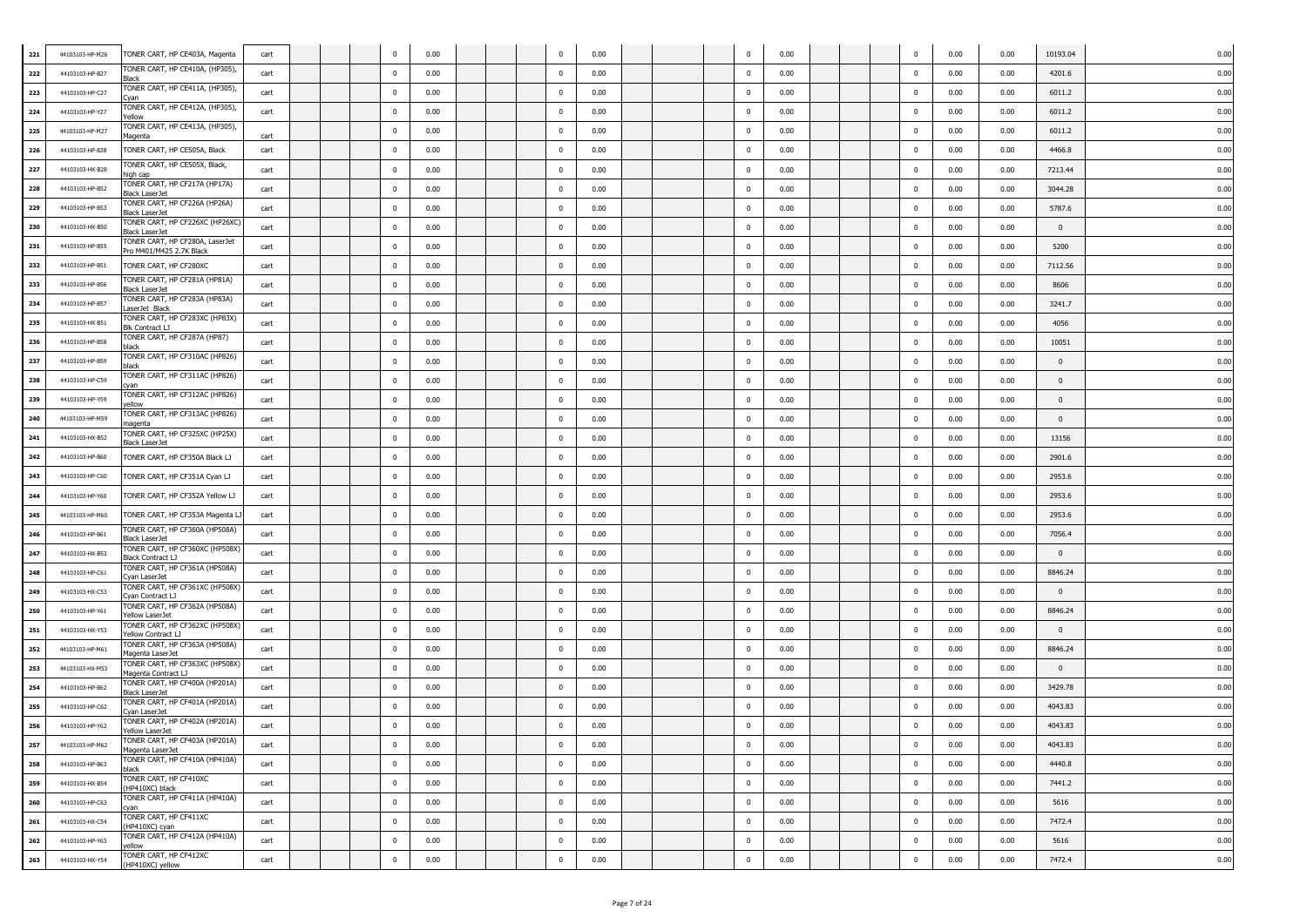| 221 | 44103103-HP-M26 | TONER CART, HP CE403A, Magenta                             | cart |  |                | 0.00 |  | $\overline{0}$ | 0.00 |  | $\mathbf 0$             | 0.00 |  | 0              | 0.00 | 0.00 | 10193.04       | 0.00 |
|-----|-----------------|------------------------------------------------------------|------|--|----------------|------|--|----------------|------|--|-------------------------|------|--|----------------|------|------|----------------|------|
| 222 | 44103103-HP-B27 | ONER CART, HP CE410A, (HP305),                             | cart |  | $\mathbf{0}$   | 0.00 |  | $\mathbf 0$    | 0.00 |  | $\mathbf 0$             | 0.00 |  | $\mathbf 0$    | 0.00 | 0.00 | 4201.6         | 0.00 |
| 223 | 44103103-HP-C27 | ONER CART, HP CE411A, (HP305),<br>van                      | cart |  | $\mathbf{0}$   | 0.00 |  | $\mathbf 0$    | 0.00 |  | $\mathbf 0$             | 0.00 |  | $\mathbf 0$    | 0.00 | 0.00 | 6011.2         | 0.00 |
| 224 | 44103103-HP-Y27 | ONER CART, HP CE412A, (HP305),<br>'ellow                   | cart |  | $\mathbf{0}$   | 0.00 |  | $\mathbf 0$    | 0.00 |  | $\mathbf 0$             | 0.00 |  | $\mathbf 0$    | 0.00 | 0.00 | 6011.2         | 0.00 |
| 225 | 44103103-HP-M27 | ONER CART, HP CE413A, (HP305),<br>Magenta                  | cart |  | $^{\circ}$     | 0.00 |  | $\mathbf{0}$   | 0.00 |  | $\mathbf 0$             | 0.00 |  | $\mathbf 0$    | 0.00 | 0.00 | 6011.2         | 0.00 |
| 226 | 44103103-HP-B28 | TONER CART, HP CE505A, Black                               | cart |  | $\mathbf{0}$   | 0.00 |  | $\mathbf 0$    | 0.00 |  | $\mathbf 0$             | 0.00 |  | $\bf{0}$       | 0.00 | 0.00 | 4466.8         | 0.00 |
| 227 | 44103103-HX-B28 | TONER CART, HP CE505X, Black,<br>high cap                  | cart |  | $\overline{0}$ | 0.00 |  | $\mathbf 0$    | 0.00 |  | $\mathbf 0$             | 0.00 |  | $^{\circ}$     | 0.00 | 0.00 | 7213.44        | 0.00 |
| 228 | 44103103-HP-B52 | TONER CART, HP CF217A (HP17A)<br>Black LaserJet            | cart |  | $\Omega$       | 0.00 |  | $\overline{0}$ | 0.00 |  | $\mathbf 0$             | 0.00 |  | $\mathbf 0$    | 0.00 | 0.00 | 3044.28        | 0.00 |
| 229 | 44103103-HP-B53 | TONER CART, HP CF226A (HP26A)<br>Black LaserJet            | cart |  | $\mathbf{0}$   | 0.00 |  | $\bf{0}$       | 0.00 |  | $\overline{0}$          | 0.00 |  | $\bf{0}$       | 0.00 | 0.00 | 5787.6         | 0.00 |
| 230 | 44103103-HX-B50 | TONER CART, HP CF226XC (HP26XC<br>Black LaserJet           | cart |  | $\mathbf{0}$   | 0.00 |  | $\bf{0}$       | 0.00 |  | $\mathbf 0$             | 0.00 |  | $\bf{0}$       | 0.00 | 0.00 | $\bf{0}$       | 0.00 |
| 231 | 44103103-HP-B55 | ONER CART, HP CF280A, LaserJet<br>Pro M401/M425 2.7K Black | cart |  | $\mathbf{0}$   | 0.00 |  | $\mathbf 0$    | 0.00 |  | $\mathbf 0$             | 0.00 |  | $\bf{0}$       | 0.00 | 0.00 | 5200           | 0.00 |
| 232 | 44103103-HP-B51 | TONER CART, HP CF280XC                                     | cart |  | $\mathbf{0}$   | 0.00 |  | $\mathbf 0$    | 0.00 |  | $\mathbf 0$             | 0.00 |  | $\mathbf 0$    | 0.00 | 0.00 | 7112.56        | 0.00 |
| 233 | 44103103-HP-B56 | ONER CART, HP CF281A (HP81A)<br>Black LaserJet             | cart |  | $\mathbf{0}$   | 0.00 |  | $\mathbf 0$    | 0.00 |  | $\mathbf 0$             | 0.00 |  | $\mathbf 0$    | 0.00 | 0.00 | 8606           | 0.00 |
| 234 | 44103103-HP-B57 | TONER CART, HP CF283A (HP83A)<br>LaserJet Black            | cart |  | $\mathbf{0}$   | 0.00 |  | $\mathbf 0$    | 0.00 |  | $\mathbf 0$             | 0.00 |  | $\mathbf 0$    | 0.00 | 0.00 | 3241.7         | 0.00 |
| 235 | 44103103-HX-B51 | TONER CART, HP CF283XC (HP83X)<br>Blk Contract ⊔           | cart |  | $\mathbf{0}$   | 0.00 |  | $\mathbf 0$    | 0.00 |  | $\mathbf 0$             | 0.00 |  | $\mathbf 0$    | 0.00 | 0.00 | 4056           | 0.00 |
| 236 | 44103103-HP-B58 | TONER CART, HP CF287A (HP87)<br>ılack                      | cart |  | $\mathbf{0}$   | 0.00 |  | $\overline{0}$ | 0.00 |  | $\mathbf 0$             | 0.00 |  | $\mathbf 0$    | 0.00 | 0.00 | 10051          | 0.00 |
| 237 | 44103103-HP-B59 | TONER CART, HP CF310AC (HP826)<br>ılack                    | cart |  | $\Omega$       | 0.00 |  | $\bf{0}$       | 0.00 |  | $\mathbf 0$             | 0.00 |  | $\mathbf 0$    | 0.00 | 0.00 | $\Omega$       | 0.00 |
| 238 | 44103103-HP-C59 | TONER CART, HP CF311AC (HP826)<br>van                      | cart |  | $\mathbf{0}$   | 0.00 |  | $\bf{0}$       | 0.00 |  | $\mathbf 0$             | 0.00 |  | $\bf{0}$       | 0.00 | 0.00 | $\bf{0}$       | 0.00 |
| 239 | 44103103-HP-Y59 | TONER CART, HP CF312AC (HP826)<br>ellow                    | cart |  | $\mathbf{0}$   | 0.00 |  | $\mathbf 0$    | 0.00 |  | $\mathbf 0$             | 0.00 |  | $\bf{0}$       | 0.00 | 0.00 | $\overline{0}$ | 0.00 |
| 240 | 44103103-HP-M59 | ONER CART, HP CF313AC (HP826)<br>nagenta                   | cart |  | $\mathbf{0}$   | 0.00 |  | $\mathbf 0$    | 0.00 |  | $\mathbf 0$             | 0.00 |  | $\mathbf 0$    | 0.00 | 0.00 | $\mathbf{0}$   | 0.00 |
| 241 | 44103103-HX-B52 | ONER CART, HP CF325XC (HP25X)<br><u> Black LaserJet</u>    | cart |  | $\Omega$       | 0.00 |  | $\mathbf 0$    | 0.00 |  | $\mathbf 0$             | 0.00 |  | $\mathbf 0$    | 0.00 | 0.00 | 13156          | 0.00 |
| 242 | 44103103-HP-B60 | TONER CART, HP CF350A Black LJ                             | cart |  | $\mathbf{0}$   | 0.00 |  | $\mathbf 0$    | 0.00 |  | $\mathbf 0$             | 0.00 |  | $\mathbf 0$    | 0.00 | 0.00 | 2901.6         | 0.00 |
| 243 | 44103103-HP-C60 | TONER CART, HP CF351A Cyan LJ                              | cart |  | $^{\circ}$     | 0.00 |  | $\mathbf 0$    | 0.00 |  | $\mathbf 0$             | 0.00 |  | $\mathbf 0$    | 0.00 | 0.00 | 2953.6         | 0.00 |
| 244 | 44103103-HP-Y60 | TONER CART, HP CF352A Yellow LJ                            | cart |  | $\Omega$       | 0.00 |  | $\mathbf 0$    | 0.00 |  | $\mathbf 0$             | 0.00 |  | $\mathbf 0$    | 0.00 | 0.00 | 2953.6         | 0.00 |
| 245 | 44103103-HP-M60 | TONER CART, HP CF353A Magenta                              | cart |  | $\Omega$       | 0.00 |  | $\bf{0}$       | 0.00 |  | $\overline{0}$          | 0.00 |  | $\bf{0}$       | 0.00 | 0.00 | 2953.6         | 0.00 |
| 246 | 44103103-HP-B61 | ONER CART, HP CF360A (HP508A)<br>Black LaserJet            | cart |  | $\mathbf{0}$   | 0.00 |  | $\bf{0}$       | 0.00 |  | $\overline{0}$          | 0.00 |  | $\bf{0}$       | 0.00 | 0.00 | 7056.4         | 0.00 |
| 247 | 44103103-HX-B53 | TONER CART, HP CF360XC (HP508X)<br>Black Contract LJ       | cart |  | $\mathbf{0}$   | 0.00 |  | $\mathbf 0$    | 0.00 |  | $\mathbf 0$             | 0.00 |  | $\bf{0}$       | 0.00 | 0.00 | $\overline{0}$ | 0.00 |
| 248 | 44103103-HP-C61 | TONER CART, HP CF361A (HP508A)<br>Cyan LaserJet            | cart |  | $\mathbf{0}$   | 0.00 |  | $\mathbf 0$    | 0.00 |  | $\mathbf 0$             | 0.00 |  | $\mathbf 0$    | 0.00 | 0.00 | 8846.24        | 0.00 |
| 249 | 44103103-HX-C53 | ONER CART, HP CF361XC (HP508X)<br>Cyan Contract LJ         | cart |  | $\mathbf{0}$   | 0.00 |  | $\mathbf 0$    | 0.00 |  | $\mathbf 0$             | 0.00 |  | $\mathbf 0$    | 0.00 | 0.00 | $\overline{0}$ | 0.00 |
| 250 | 44103103-HP-Y61 | TONER CART, HP CF362A (HP508A)<br>rellow LaserJet          | cart |  | $\mathbf{0}$   | 0.00 |  | $\mathbf 0$    | 0.00 |  | $\mathbf 0$             | 0.00 |  | $\bf{0}$       | 0.00 | 0.00 | 8846.24        | 0.00 |
| 251 | 44103103-HX-Y53 | TONER CART, HP CF362XC (HP508X)<br>Yellow Contract LJ      | cart |  | $\mathbf{0}$   | 0.00 |  | $\mathbf 0$    | 0.00 |  | $\mathbf 0$             | 0.00 |  | $\mathbf 0$    | 0.00 | 0.00 | $\mathbf{0}$   | 0.00 |
| 252 | 44103103-HP-M61 | TONER CART, HP CF363A (HP508A)<br>lagenta LaserJet         | cart |  | $\mathbf{0}$   | 0.00 |  | $\bf{0}$       | 0.00 |  | $\mathbf 0$             | 0.00 |  | $\mathbf 0$    | 0.00 | 0.00 | 8846.24        | 0.00 |
| 253 | 44103103-HX-M53 | TONER CART, HP CF363XC (HP508X)<br>4agenta Contract LJ     | cart |  | $\Omega$       | 0.00 |  | $\mathbf 0$    | 0.00 |  | $\mathbf 0$             | 0.00 |  | $\mathbf 0$    | 0.00 | 0.00 | $\Omega$       | 0.00 |
| 254 | 44103103-HP-B62 | TONER CART, HP CF400A (HP201A)<br>Black LaserJet           | cart |  | $\mathbf{0}$   | 0.00 |  | $\bf{0}$       | 0.00 |  | $\mathbf 0$             | 0.00 |  | $\bf{0}$       | 0.00 | 0.00 | 3429.78        | 0.00 |
| 255 | 44103103-HP-C62 | ONER CART, HP CF401A (HP201A)<br>\yan LaserJet             | cart |  | $\mathbf{0}$   | 0.00 |  | $\mathbf 0$    | 0.00 |  | $\mathbf 0$             | 0.00 |  | $\mathbf 0$    | 0.00 | 0.00 | 4043.83        | 0.00 |
| 256 | 44103103-HP-Y62 | ONER CART, HP CF402A (HP201A)<br>'ellow LaserJet           | cart |  | $\bf{0}$       | 0.00 |  | $\mathbf 0$    | 0.00 |  | $\mathbf 0$             | 0.00 |  | $\mathbf 0$    | 0.00 | 0.00 | 4043.83        | 0.00 |
| 257 | 44103103-HP-M62 | ONER CART, HP CF403A (HP201A)<br>Magenta LaserJet          | cart |  | $\bf{0}$       | 0.00 |  | $\mathbf{0}$   | 0.00 |  | $\mathbf{0}$            | 0.00 |  | $\mathbf{0}$   | 0.00 | 0.00 | 4043.83        | 0.00 |
| 258 | 44103103-HP-B63 | TONER CART, HP CF410A (HP410A)<br>black                    | cart |  | $\mathbf 0$    | 0.00 |  | $\mathbf 0$    | 0.00 |  | $\mathbf 0$             | 0.00 |  | $\bf{0}$       | 0.00 | 0.00 | 4440.8         | 0.00 |
| 259 | 44103103-HX-B54 | TONER CART, HP CF410XC<br>(HP410XC) black                  | cart |  | $\mathbf 0$    | 0.00 |  | $\mathbf 0$    | 0.00 |  | $\mathbf 0$             | 0.00 |  | $\pmb{0}$      | 0.00 | 0.00 | 7441.2         | 0.00 |
| 260 | 44103103-HP-C63 | TONER CART, HP CF411A (HP410A)<br>:van                     | cart |  | $\bf{0}$       | 0.00 |  | $\mathbf 0$    | 0.00 |  | $\mathbf 0$             | 0.00 |  | $\mathbf 0$    | 0.00 | 0.00 | 5616           | 0.00 |
| 261 | 44103103-HX-C54 | TONER CART, HP CF411XC<br>HP410XC) cyan                    | cart |  | $\bf{0}$       | 0.00 |  | $\mathbf{0}$   | 0.00 |  | $\overline{\mathbf{0}}$ | 0.00 |  | $\pmb{0}$      | 0.00 | 0.00 | 7472.4         | 0.00 |
| 262 | 44103103-HP-Y63 | ONER CART, HP CF412A (HP410A)<br>ellow                     | cart |  | $\pmb{0}$      | 0.00 |  | $\bf{0}$       | 0.00 |  | $\overline{\mathbf{0}}$ | 0.00 |  | $\overline{0}$ | 0.00 | 0.00 | 5616           | 0.00 |
| 263 | 44103103-HX-Y54 | TONER CART, HP CF412XC<br>(HP410XC) yellow                 | cart |  | $\mathbf 0$    | 0.00 |  | $\mathbf 0$    | 0.00 |  | $\mathbf 0$             | 0.00 |  | $\mathbf 0$    | 0.00 | 0.00 | 7472.4         | 0.00 |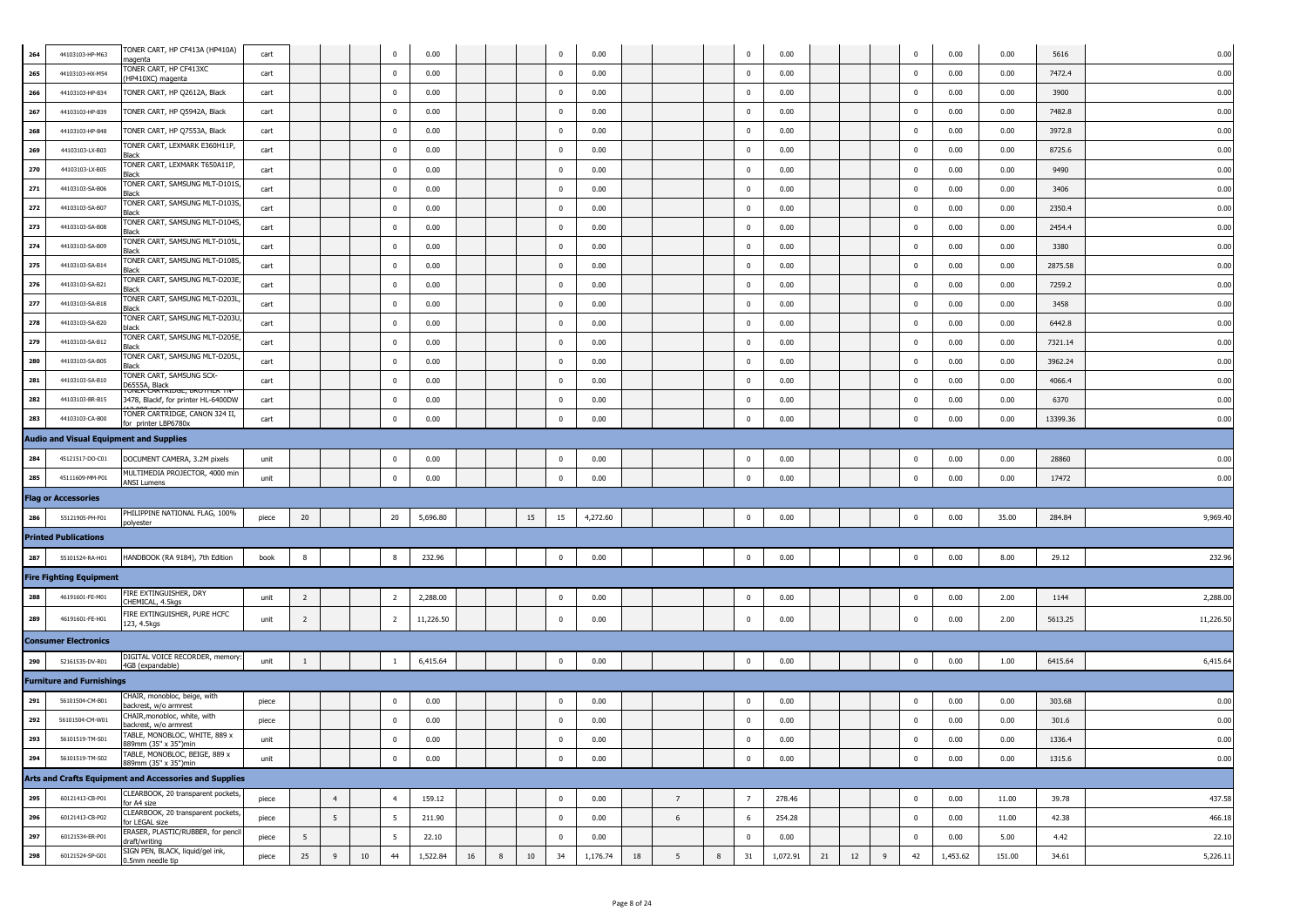| 264        | 44103103-HP-M63                    | TONER CART, HP CF413A (HP410A)                                                 | cart  |                 |                |    | $\Omega$        | 0.00         |    |   |        | $\Omega$                             | 0.00         |    |                 |   | $\mathbf{0}$            | 0.00         |    |    |   | $\mathbf 0$             | 0.00         | 0.00   | 5616     | 0.00         |
|------------|------------------------------------|--------------------------------------------------------------------------------|-------|-----------------|----------------|----|-----------------|--------------|----|---|--------|--------------------------------------|--------------|----|-----------------|---|-------------------------|--------------|----|----|---|-------------------------|--------------|--------|----------|--------------|
| 265        | 44103103-HX-M54                    | nagenta<br>ONER CART, HP CF413XC                                               | cart  |                 |                |    | $\Omega$        | 0.00         |    |   |        | $\mathbf 0$                          | 0.00         |    |                 |   | $\overline{0}$          | 0.00         |    |    |   | $\pmb{0}$               | 0.00         | 0.00   | 7472.4   | 0.00         |
| 266        | 44103103-HP-B34                    | HP410XC) magenta<br>TONER CART, HP Q2612A, Black                               | cart  |                 |                |    | $^{\circ}$      | 0.00         |    |   |        | $\mathbf 0$                          | 0.00         |    |                 |   | $\overline{0}$          | 0.00         |    |    |   | $\mathbf 0$             | 0.00         | 0.00   | 3900     | 0.00         |
| 267        | 44103103-HP-B39                    | TONER CART, HP Q5942A, Black                                                   | cart  |                 |                |    | $^{\circ}$      | 0.00         |    |   |        | $\mathbf 0$                          | 0.00         |    |                 |   | $\overline{0}$          | 0.00         |    |    |   | $^{\circ}$              | 0.00         | 0.00   | 7482.8   | 0.00         |
| 268        | 44103103-HP-B48                    | TONER CART, HP Q7553A, Black                                                   | cart  |                 |                |    | $^{\circ}$      | 0.00         |    |   |        | $\mathbf 0$                          | 0.00         |    |                 |   | $\overline{\mathbf{0}}$ | 0.00         |    |    |   | $\mathbf 0$             | 0.00         | 0.00   | 3972.8   | 0.00         |
| 269        | 44103103-LX-B03                    | TONER CART, LEXMARK E360H11P                                                   | cart  |                 |                |    | $\mathbf{0}$    | 0.00         |    |   |        | $\overline{\mathbf{0}}$              | 0.00         |    |                 |   | $\overline{\mathbf{0}}$ | 0.00         |    |    |   | $\pmb{0}$               | 0.00         | 0.00   | 8725.6   | 0.00         |
|            |                                    | Black<br>ONER CART, LEXMARK T650A11P,                                          | cart  |                 |                |    | 0               | 0.00         |    |   |        | $\overline{\mathbf{0}}$              | 0.00         |    |                 |   | $\overline{\mathbf{0}}$ | 0.00         |    |    |   | $\mathbf 0$             | 0.00         | 0.00   | 9490     | 0.00         |
| 270<br>271 | 44103103-LX-B05<br>44103103-SA-B06 | Black<br>ONER CART, SAMSUNG MLT-D101S                                          | cart  |                 |                |    | $^{\circ}$      | 0.00         |    |   |        | $\mathbf 0$                          | 0.00         |    |                 |   | $\overline{0}$          | 0.00         |    |    |   | 0                       | 0.00         | 0.00   | 3406     | 0.00         |
| 272        | 44103103-SA-B07                    | <b>Black</b><br>ONER CART, SAMSUNG MLT-D103S                                   | cart  |                 |                |    | $\mathbf{0}$    | 0.00         |    |   |        | $\bf{0}$                             | 0.00         |    |                 |   | $\overline{0}$          | 0.00         |    |    |   | $\mathbf 0$             | 0.00         | 0.00   | 2350.4   | 0.00         |
| 273        | 44103103-SA-B08                    | lack<br>ONER CART, SAMSUNG MLT-D104S                                           | cart  |                 |                |    | $\mathbf{0}$    | 0.00         |    |   |        | $\bf{0}$                             | 0.00         |    |                 |   | $\overline{0}$          | 0.00         |    |    |   | $\pmb{0}$               | 0.00         | 0.00   | 2454.4   | 0.00         |
|            |                                    | <b>Black</b><br>ONER CART, SAMSUNG MLT-D105L                                   |       |                 |                |    | $^{\circ}$      | 0.00         |    |   |        | $\pmb{0}$                            | 0.00         |    |                 |   | $\overline{\mathbf{0}}$ | 0.00         |    |    |   |                         | 0.00         | 0.00   |          | 0.00         |
| 274        | 44103103-SA-B09                    | 3lack<br>TONER CART, SAMSUNG MLT-D108S                                         | cart  |                 |                |    |                 |              |    |   |        |                                      |              |    |                 |   |                         |              |    |    |   | $\bf{0}$                |              |        | 3380     |              |
| 275        | 44103103-SA-B14                    | Black<br>TONER CART, SAMSUNG MLT-D203E                                         | cart  |                 |                |    | $^{\circ}$      | 0.00<br>0.00 |    |   |        | $\pmb{0}$<br>$\overline{\mathbf{0}}$ | 0.00         |    |                 |   | $\overline{\mathbf{0}}$ | 0.00<br>0.00 |    |    |   | 0                       | 0.00         | 0.00   | 2875.58  | 0.00         |
| 276        | 44103103-SA-B21                    | 3lack<br>TONER CART, SAMSUNG MLT-D203L                                         | cart  |                 |                |    | $\mathbf{0}$    |              |    |   |        |                                      | 0.00         |    |                 |   | $\overline{\mathbf{0}}$ |              |    |    |   | $\bf{0}$                | 0.00         | 0.00   | 7259.2   | 0.00         |
| 277        | 44103103-SA-B18                    | Black<br>TONER CART, SAMSUNG MLT-D203L                                         | cart  |                 |                |    | $\mathbf{0}$    | 0.00         |    |   |        | $\overline{0}$                       | 0.00         |    |                 |   | $\overline{\mathbf{0}}$ | 0.00         |    |    |   | $\bf{0}$                | 0.00         | 0.00   | 3458     | 0.00         |
| 278        | 44103103-SA-B20                    | olack<br>ONER CART, SAMSUNG MLT-D205E                                          | cart  |                 |                |    | $\mathbf{0}$    | 0.00         |    |   |        | $\overline{0}$                       | 0.00         |    |                 |   | $\overline{0}$          | 0.00         |    |    |   | $\overline{\mathbf{0}}$ | 0.00         | 0.00   | 6442.8   | 0.00         |
| 279        | 44103103-SA-B12                    | <b>Black</b><br>TONER CART, SAMSUNG MLT-D205L                                  | cart  |                 |                |    | $^{\circ}$      | 0.00         |    |   |        | $\pmb{0}$                            | 0.00         |    |                 |   | $\overline{\mathbf{0}}$ | 0.00         |    |    |   | $\bf{0}$                | 0.00         | 0.00   | 7321.14  | 0.00         |
| 280        | 44103103-SA-B05                    | lack<br>ONER CART, SAMSUNG SCX-                                                | cart  |                 |                |    | $\bf{0}$        | 0.00         |    |   |        | $\bf{0}$                             | 0.00         |    |                 |   | $\mathbf 0$             | 0.00         |    |    |   | $^{\circ}$              | 0.00         | 0.00   | 3962.24  | 0.00         |
| 281        | 44103103-SA-B10                    | 26555A, Black<br>Folyer Carenda                                                | cart  |                 |                |    | $\Omega$        | 0.00         |    |   |        | $\mathbf 0$                          | 0.00         |    |                 |   | $\mathbf 0$             | 0.00         |    |    |   | 0                       | 0.00         | 0.00   | 4066.4   | 0.00         |
| 282        | 44103103-BR-B15                    | 3478, Blackf, for printer HL-6400DW<br>TONER CARTRIDGE, CANON 324 II,          | cart  |                 |                |    | $^{\circ}$      | 0.00         |    |   |        | $\mathbf 0$                          | 0.00         |    |                 |   | $\overline{\mathbf{0}}$ | 0.00         |    |    |   | $\bf{0}$                | 0.00         | 0.00   | 6370     | 0.00         |
| 283        | 44103103-CA-B00                    | for printer LBP6780x                                                           | cart  |                 |                |    | $^{\circ}$      | 0.00         |    |   |        | $\mathbf 0$                          | 0.00         |    |                 |   | $\overline{0}$          | 0.00         |    |    |   | $^{\circ}$              | 0.00         | 0.00   | 13399.36 | 0.00         |
|            |                                    | <b>Audio and Visual Equipment and Supplies</b>                                 |       |                 |                |    |                 |              |    |   |        |                                      |              |    |                 |   |                         |              |    |    |   |                         |              |        |          |              |
| 284        | 45121517-DO-C01                    | DOCUMENT CAMERA, 3.2M pixels                                                   | unit  |                 |                |    | $^{\circ}$      | 0.00         |    |   |        | $\mathbf 0$                          | 0.00         |    |                 |   | $^{\circ}$              | 0.00         |    |    |   | 0                       | 0.00         | 0.00   | 28860    | 0.00         |
| 285        | 45111609-MM-P01                    | MULTIMEDIA PROJECTOR, 4000 min<br><b>ANSI Lumens</b>                           | unit  |                 |                |    | $\Omega$        | 0.00         |    |   |        | $\Omega$                             | 0.00         |    |                 |   | $\Omega$                | 0.00         |    |    |   | $^{\circ}$              | 0.00         | 0.00   | 17472    | 0.00         |
|            | <b>Flag or Accessories</b>         |                                                                                |       |                 |                |    |                 |              |    |   |        |                                      |              |    |                 |   |                         |              |    |    |   |                         |              |        |          |              |
| 286        | 55121905-PH-F01                    | PHILIPPINE NATIONAL FLAG, 100%<br>oolyester                                    | piece | 20              |                |    | 20              | 5,696.80     |    |   | 15     | 15                                   | 4,272.60     |    |                 |   | $\overline{0}$          | 0.00         |    |    |   | $\overline{\mathbf{0}}$ | 0.00         | 35.00  | 284.84   | 9,969.40     |
|            | <b>Printed Publications</b>        |                                                                                |       |                 |                |    |                 |              |    |   |        |                                      |              |    |                 |   |                         |              |    |    |   |                         |              |        |          |              |
| 287        | 55101524-RA-H01                    | HANDBOOK (RA 9184), 7th Edition                                                | book  | 8               |                |    |                 | 232.96       |    |   |        | $\overline{0}$                       | 0.00         |    |                 |   | 0                       | 0.00         |    |    |   | 0                       | 0.00         | 8.00   | 29.12    | 232.96       |
|            | <b>Fire Fighting Equipment</b>     |                                                                                |       |                 |                |    |                 |              |    |   |        |                                      |              |    |                 |   |                         |              |    |    |   |                         |              |        |          |              |
| 288        | 46191601-FE-M01                    | IRE EXTINGUISHER, DRY<br><b>HEMICAL, 4.5kgs</b>                                | unit  | $\overline{2}$  |                |    | $\overline{2}$  | 2,288.00     |    |   |        | $\mathbf 0$                          | 0.00         |    |                 |   | $\overline{\mathbf{0}}$ | 0.00         |    |    |   | 0                       | 0.00         | 2.00   | 1144     | 2,288.00     |
| 289        | 46191601-FE-H01                    | TRE EXTINGUISHER, PURE HCFC<br>123, 4.5kgs                                     | unit  | $\overline{2}$  |                |    | 2               | 11,226.50    |    |   |        | $\mathbf 0$                          | 0.00         |    |                 |   | $\mathbf 0$             | 0.00         |    |    |   | 0                       | 0.00         | 2.00   | 5613.25  | 11,226.50    |
|            | <b>Consumer Electronics</b>        |                                                                                |       |                 |                |    |                 |              |    |   |        |                                      |              |    |                 |   |                         |              |    |    |   |                         |              |        |          |              |
| 290        | 52161535-DV-R01                    | DIGITAL VOICE RECORDER, memory                                                 | unit  | -1              |                |    |                 | 6,415.64     |    |   |        | $\mathbf 0$                          | 0.00         |    |                 |   | $\overline{0}$          | 0.00         |    |    |   | $\overline{0}$          | 0.00         | 1.00   | 6415.64  | 6,415.64     |
|            | <b>Furniture and Furnishings</b>   | 4GB (expandable)                                                               |       |                 |                |    |                 |              |    |   |        |                                      |              |    |                 |   |                         |              |    |    |   |                         |              |        |          |              |
| 291        | 56101504-CM-B01                    | CHAIR, monobloc, beige, with                                                   | piece |                 |                |    | $^{\circ}$      | 0.00         |    |   |        | $\mathbf 0$                          | 0.00         |    |                 |   | $^{\circ}$              | 0.00         |    |    |   | $\mathbf 0$             | 0.00         | 0.00   | 303.68   | 0.00         |
| 292        | 56101504-CM-W01                    | ackrest, w/o armrest<br>CHAIR, monobloc, white, with                           | piece |                 |                |    | $\bf{0}$        | 0.00         |    |   |        | $\mathbf 0$                          | 0.00         |    |                 |   | $\mathbf 0$             | 0.00         |    |    |   | $\bf{0}$                | 0.00         | 0.00   | 301.6    | 0.00         |
|            |                                    | backrest, w/o armrest<br>TABLE, MONOBLOC, WHITE, 889 x                         | unit  |                 |                |    |                 |              |    |   |        | 0                                    |              |    |                 |   | 0                       |              |    |    |   | 0                       |              | 0.00   | 1336.4   |              |
| 293        | 56101519-TM-S01                    | 889mm (35" x 35")min<br>TABLE, MONOBLOC, BEIGE, 889 x                          | unit  |                 |                |    | $\Omega$        | 0.00<br>0.00 |    |   |        | $\mathbf 0$                          | 0.00<br>0.00 |    |                 |   | $\mathbf 0$             | 0.00<br>0.00 |    |    |   | $\bf{0}$                | 0.00<br>0.00 | 0.00   | 1315.6   | 0.00<br>0.00 |
| 294        | 56101519-TM-S02                    | 889mm (35" x 35")min<br>Arts and Crafts Equipment and Accessories and Supplies |       |                 |                |    |                 |              |    |   |        |                                      |              |    |                 |   |                         |              |    |    |   |                         |              |        |          |              |
|            |                                    | CLEARBOOK, 20 transparent pockets,                                             |       |                 |                |    |                 |              |    |   |        |                                      |              |    |                 |   |                         |              |    |    |   |                         |              |        |          |              |
| 295        | 60121413-CB-P01                    | or A4 size<br>CLEARBOOK, 20 transparent pockets,                               | piece |                 | $\overline{4}$ |    | $\overline{4}$  | 159.12       |    |   |        | $\bf{0}$                             | 0.00         |    | $\overline{7}$  |   | $\overline{7}$          | 278.46       |    |    |   | $\mathbf 0$             | 0.00         | 11.00  | 39.78    | 437.58       |
| 296        | 60121413-CB-P02                    | or LEGAL size<br>ERASER, PLASTIC/RUBBER, for pencil                            | piece |                 | 5              |    | 5               | 211.90       |    |   |        | $\mathbf{0}$                         | 0.00         |    | 6               |   | 6                       | 254.28       |    |    |   | $\bf{0}$                | 0.00         | 11.00  | 42.38    | 466.18       |
| 297        | 60121534-ER-P01                    | draft/writing<br>SIGN PEN, BLACK, liquid/gel ink,                              | piece | $5\overline{ }$ |                |    | $5\overline{5}$ | 22.10        |    |   |        | $\pmb{0}$                            | 0.00         |    |                 |   | $\mathbf 0$             | 0.00         |    |    |   | $\mathbf 0$             | 0.00         | 5.00   | 4.42     | 22.10        |
| 298        | 60121524-SP-G01                    | 0.5mm needle tip                                                               | piece | 25              | 9              | 10 | 44              | 1,522.84     | 16 | 8 | $10\,$ | 34                                   | 1,176.74     | 18 | $5\overline{5}$ | 8 | 31                      | 1,072.91     | 21 | 12 | 9 | 42                      | 1,453.62     | 151.00 | 34.61    | 5,226.11     |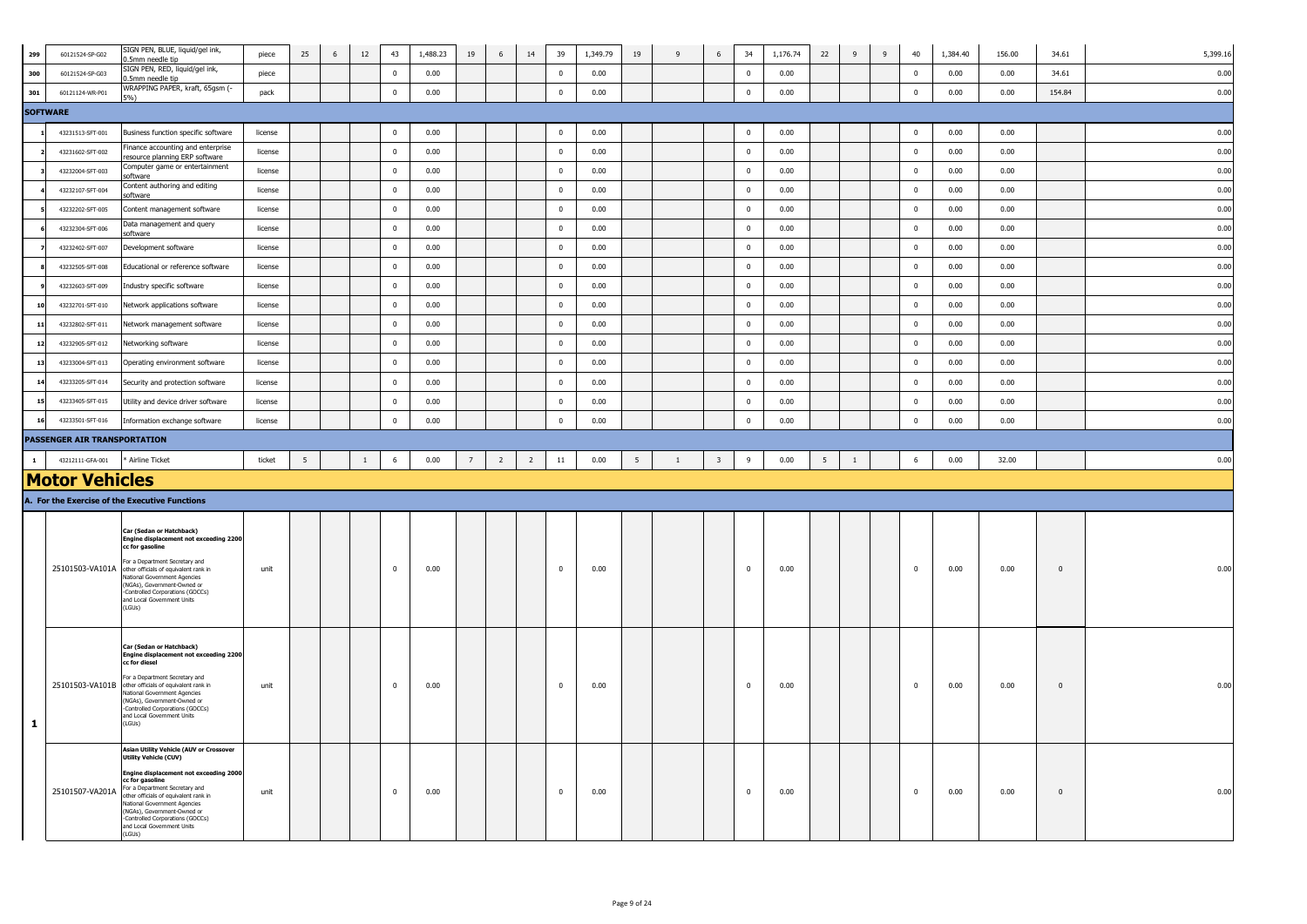| 299          | 60121524-SP-G02              | SIGN PEN, BLUE, liquid/gel ink,<br>.5mm needle tip                                                                                                                                                                                                                                                                                                                         | piece   | 25              | 6 | 12           | 43                      | 1,488.23 | 19             | $6\,$          | 14             | 39             | 1,349.79 | 19 | 9 | $\,$ 6 $\,$             | 34             | 1,176.74 | 22              | $\overline{9}$ | 9 | 40              | 1,384.40 | 156.00 | 34.61        | 5,399.16 |
|--------------|------------------------------|----------------------------------------------------------------------------------------------------------------------------------------------------------------------------------------------------------------------------------------------------------------------------------------------------------------------------------------------------------------------------|---------|-----------------|---|--------------|-------------------------|----------|----------------|----------------|----------------|----------------|----------|----|---|-------------------------|----------------|----------|-----------------|----------------|---|-----------------|----------|--------|--------------|----------|
| 300          | 60121524-SP-G03              | SIGN PEN, RED, liquid/gel ink,<br>0.5mm needle tip                                                                                                                                                                                                                                                                                                                         | piece   |                 |   |              | $\mathbf 0$             | 0.00     |                |                |                | $\mathbf 0$    | 0.00     |    |   |                         | $\mathbf 0$    | 0.00     |                 |                |   | $\mathbf 0$     | 0.00     | 0.00   | 34.61        | 0.00     |
| 301          | 60121124-WR-P01              | WRAPPING PAPER, kraft, 65gsm (-<br>6.102                                                                                                                                                                                                                                                                                                                                   | pack    |                 |   |              | $\mathbf 0$             | 0.00     |                |                |                | $\mathbf 0$    | 0.00     |    |   |                         | $\mathbf 0$    | 0.00     |                 |                |   | $\overline{0}$  | 0.00     | 0.00   | 154.84       | 0.00     |
|              | <b>SOFTWARE</b>              |                                                                                                                                                                                                                                                                                                                                                                            |         |                 |   |              |                         |          |                |                |                |                |          |    |   |                         |                |          |                 |                |   |                 |          |        |              |          |
|              | 43231513-SFT-001             | Business function specific software                                                                                                                                                                                                                                                                                                                                        | license |                 |   |              | $\mathbf 0$             | 0.00     |                |                |                | $\mathbf 0$    | 0.00     |    |   |                         | $\overline{0}$ | 0.00     |                 |                |   | $\mathbf 0$     | 0.00     | 0.00   |              | 0.00     |
|              | 43231602-SFT-002             | Finance accounting and enterprise<br>resource planning ERP software                                                                                                                                                                                                                                                                                                        | license |                 |   |              | $\mathbf 0$             | 0.00     |                |                |                | $\overline{0}$ | 0.00     |    |   |                         | $\overline{0}$ | 0.00     |                 |                |   | $\overline{0}$  | 0.00     | 0.00   |              | 0.00     |
|              | 43232004-SFT-003             | Computer game or entertainment<br>software                                                                                                                                                                                                                                                                                                                                 | license |                 |   |              | $\overline{0}$          | 0.00     |                |                |                | $\overline{0}$ | 0.00     |    |   |                         | $\mathbf 0$    | 0.00     |                 |                |   | $\overline{0}$  | 0.00     | 0.00   |              | 0.00     |
|              | 43232107-SFT-004             | Content authoring and editing<br>oftware                                                                                                                                                                                                                                                                                                                                   | license |                 |   |              | $\overline{0}$          | 0.00     |                |                |                | $\overline{0}$ | 0.00     |    |   |                         | $\overline{0}$ | 0.00     |                 |                |   | $\bf{0}$        | 0.00     | 0.00   |              | 0.00     |
|              | 43232202-SFT-005             | Content management software                                                                                                                                                                                                                                                                                                                                                | license |                 |   |              | $\mathbf 0$             | 0.00     |                |                |                | $\pmb{0}$      | 0.00     |    |   |                         | $\mathbf 0$    | 0.00     |                 |                |   | $\bf{0}$        | 0.00     | 0.00   |              | 0.00     |
|              | 43232304-SFT-006             | Data management and query<br>software                                                                                                                                                                                                                                                                                                                                      | license |                 |   |              | $\mathbf{0}$            | 0.00     |                |                |                | $\overline{0}$ | 0.00     |    |   |                         | $\mathbf 0$    | 0.00     |                 |                |   | $\overline{0}$  | 0.00     | 0.00   |              | 0.00     |
|              | 43232402-SFT-007             | Development software                                                                                                                                                                                                                                                                                                                                                       | license |                 |   |              | $\mathbf 0$             | 0.00     |                |                |                | $\bf{0}$       | 0.00     |    |   |                         | $\mathbf 0$    | 0.00     |                 |                |   | $\overline{0}$  | 0.00     | 0.00   |              | 0.00     |
|              | 43232505-SFT-008             | Educational or reference software                                                                                                                                                                                                                                                                                                                                          | license |                 |   |              | $\mathbb O$             | 0.00     |                |                |                | $\overline{0}$ | 0.00     |    |   |                         | $\mathbf 0$    | 0.00     |                 |                |   | $\overline{0}$  | 0.00     | 0.00   |              | 0.00     |
|              | 43232603-SFT-009             | Industry specific software                                                                                                                                                                                                                                                                                                                                                 | license |                 |   |              | $\mathbf 0$             | 0.00     |                |                |                | $\pmb{0}$      | 0.00     |    |   |                         | $\mathbf 0$    | 0.00     |                 |                |   | $\bf{0}$        | 0.00     | 0.00   |              | 0.00     |
|              | 43232701-SFT-010             | Network applications software                                                                                                                                                                                                                                                                                                                                              | license |                 |   |              | $\mathbf 0$             | 0.00     |                |                |                | $\mathbf 0$    | 0.00     |    |   |                         | $\mathbf 0$    | 0.00     |                 |                |   | $\overline{0}$  | 0.00     | 0.00   |              | 0.00     |
| 11           | 43232802-SFT-011             | Network management software                                                                                                                                                                                                                                                                                                                                                | license |                 |   |              | $\mathbf 0$             | 0.00     |                |                |                | $\overline{0}$ | 0.00     |    |   |                         | $\mathbf 0$    | 0.00     |                 |                |   | $\overline{0}$  | 0.00     | 0.00   |              | 0.00     |
| 12           | 43232905-SFT-012             | Networking software                                                                                                                                                                                                                                                                                                                                                        | license |                 |   |              | $\mathbf 0$             | 0.00     |                |                |                | $\bf{0}$       | 0.00     |    |   |                         | $\overline{0}$ | 0.00     |                 |                |   | $\bf{0}$        | 0.00     | 0.00   |              | 0.00     |
| 13           | 43233004-SFT-013             | Operating environment software                                                                                                                                                                                                                                                                                                                                             | license |                 |   |              | $\bf{0}$                | 0.00     |                |                |                | $\overline{0}$ | 0.00     |    |   |                         | $\overline{0}$ | 0.00     |                 |                |   | $\mathbf 0$     | 0.00     | 0.00   |              | 0.00     |
| 14           | 43233205-SFT-014             | Security and protection software                                                                                                                                                                                                                                                                                                                                           | license |                 |   |              | $\mathbf 0$             | 0.00     |                |                |                | $\mathbf{0}$   | 0.00     |    |   |                         | $\mathbf 0$    | 0.00     |                 |                |   | $\overline{0}$  | 0.00     | 0.00   |              | 0.00     |
| 15           | 43233405-SFT-015             | Utility and device driver software                                                                                                                                                                                                                                                                                                                                         | license |                 |   |              | $\overline{\mathbf{0}}$ | 0.00     |                |                |                | $\mathbf{0}$   | 0.00     |    |   |                         | $\overline{0}$ | 0.00     |                 |                |   | $\overline{0}$  | 0.00     | 0.00   |              | 0.00     |
| 16           | 43233501-SFT-016             | Information exchange software                                                                                                                                                                                                                                                                                                                                              | license |                 |   |              | $\bf{0}$                | 0.00     |                |                |                | $\mathbf{0}$   | 0.00     |    |   |                         | $\mathbf 0$    | 0.00     |                 |                |   | $\bf{0}$        | 0.00     | 0.00   |              | 0.00     |
|              | PASSENGER AIR TRANSPORTATION |                                                                                                                                                                                                                                                                                                                                                                            |         |                 |   |              |                         |          |                |                |                |                |          |    |   |                         |                |          |                 |                |   |                 |          |        |              |          |
| $\mathbf{1}$ | 43212111-GFA-001             | Airline Ticket                                                                                                                                                                                                                                                                                                                                                             | ticket  | $5\phantom{.0}$ |   | <sup>1</sup> | $6\phantom{.0}$         | 0.00     | $\overline{7}$ | $\overline{2}$ | $\overline{2}$ | $11\,$         | 0.00     | 5  | 1 | $\overline{\mathbf{3}}$ | 9              | 0.00     | $5\overline{5}$ | $\overline{1}$ |   | $6\phantom{.0}$ | 0.00     | 32.00  |              | 0.00     |
|              | <b>Motor Vehicles</b>        |                                                                                                                                                                                                                                                                                                                                                                            |         |                 |   |              |                         |          |                |                |                |                |          |    |   |                         |                |          |                 |                |   |                 |          |        |              |          |
|              |                              |                                                                                                                                                                                                                                                                                                                                                                            |         |                 |   |              |                         |          |                |                |                |                |          |    |   |                         |                |          |                 |                |   |                 |          |        |              |          |
|              |                              | A. For the Exercise of the Executive Functions                                                                                                                                                                                                                                                                                                                             |         |                 |   |              |                         |          |                |                |                |                |          |    |   |                         |                |          |                 |                |   |                 |          |        |              |          |
|              |                              | Car (Sedan or Hatchback)<br><b>Engine displacement not exceeding 2200</b><br>cc for gasoline<br>For a Department Secretary and<br>25101503-VA101A other officials of equivalent rank in<br>National Government Agencies<br>(NGAs), Government-Owned or<br>-Controlled Corporations (GOCCs)<br>and Local Government Units<br>(LGUs)                                         | unit    |                 |   |              | $\overline{\mathbf{0}}$ | 0.00     |                |                |                | $\mathbf{0}$   | 0.00     |    |   |                         | $\overline{0}$ | 0.00     |                 |                |   | $\overline{0}$  | 0.00     | 0.00   | $\mathbf{0}$ | 0.00     |
| -1           |                              | Car (Sedan or Hatchback)<br>Engine displacement not exceeding 2200<br>cc for diesel<br>For a Department Secretary and<br>25101503-VA101B other officials of equivalent rank in<br>National Government Agencies<br>(NGAs), Government-Owned or<br>Controlled Corporations (GOCCs)<br>and Local Government Units<br>(LGUs)<br><b>Asian Utility Vehicle (AUV or Crossover</b> | unit    |                 |   |              | $\mathbf 0$             | 0.00     |                |                |                | $\mathbf 0$    | 0.00     |    |   |                         | $\mathbf 0$    | 0.00     |                 |                |   | $\mathbf 0$     | 0.00     | 0.00   | $\mathbf 0$  | 0.00     |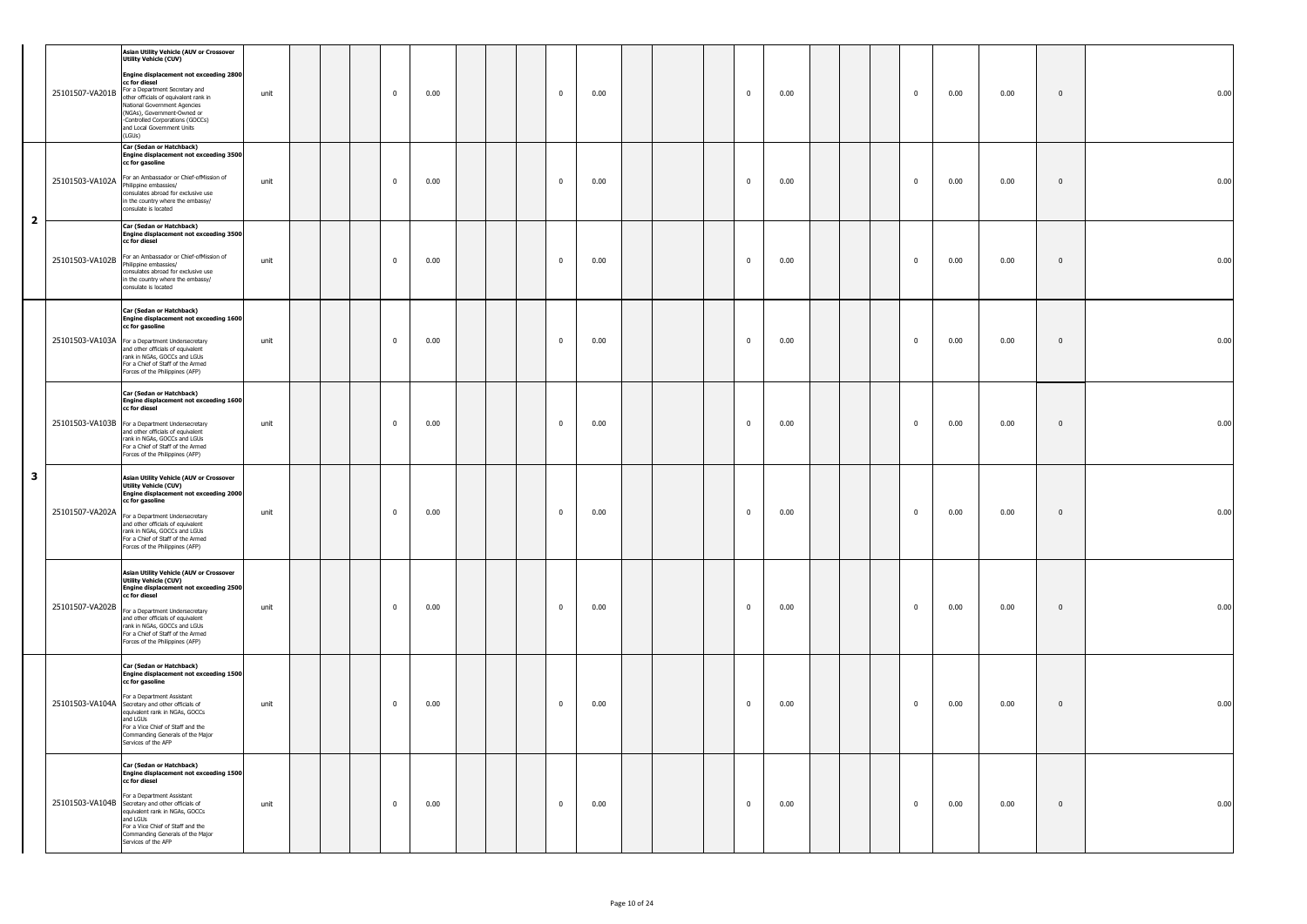|              | 25101507-VA201B | <b>Asian Utility Vehicle (AUV or Crossover</b><br><b>Utility Vehicle (CUV)</b><br>Engine displacement not exceeding 2800<br>cc for diesel<br>For a Department Secretary and<br>other officials of equivalent rank in<br>National Government Agencies<br>(NGAs), Government-Owned or<br>-Controlled Corporations (GOCCs)<br>and Local Government Units<br>(LGUs) | unit |  | $\mathbf 0$ | 0.00 |  | $\overline{0}$ | 0.00 |  | 0           | 0.00 |  | $\bf{0}$       | 0.00 | 0.00 | $\bf{0}$     | 0.00 |
|--------------|-----------------|-----------------------------------------------------------------------------------------------------------------------------------------------------------------------------------------------------------------------------------------------------------------------------------------------------------------------------------------------------------------|------|--|-------------|------|--|----------------|------|--|-------------|------|--|----------------|------|------|--------------|------|
|              |                 | Car (Sedan or Hatchback)<br>Engine displacement not exceeding 3500<br>cc for gasoline<br>25101503-VA102A For an Ambassador or Chief-ofMission of<br>Philippine embassies/<br>consulates abroad for exclusive use<br>in the country where the embassy/<br>consulate is located                                                                                   | unit |  | $\mathbf 0$ | 0.00 |  | $\mathbf{0}$   | 0.00 |  | $\mathbf 0$ | 0.00 |  | $\mathbf{0}$   | 0.00 | 0.00 | $\bf{0}$     | 0.00 |
| $\mathbf{2}$ | 25101503-VA102B | Car (Sedan or Hatchback)<br><b>Engine displacement not exceeding 3500</b><br>cc for diesel<br>For an Ambassador or Chief-ofMission of<br>Philippine embassies/<br>consulates abroad for exclusive use<br>in the country where the embassy/<br>consulate is located                                                                                              | unit |  | $\mathbf 0$ | 0.00 |  | $\mathbf{0}$   | 0.00 |  | $\mathbf 0$ | 0.00 |  | $\mathbf{0}$   | 0.00 | 0.00 | $\bf{0}$     | 0.00 |
|              |                 | Car (Sedan or Hatchback)<br>Engine displacement not exceeding 1600<br>cc for gasoline<br>25101503-VA103A For a Department Undersecretary<br>and other officials of equivalent<br>rank in NGAs, GOCCs and LGUs<br>For a Chief of Staff of the Armed<br>Forces of the Philippines (AFP)                                                                           | unit |  | $\mathbf 0$ | 0.00 |  | $\overline{0}$ | 0.00 |  | 0           | 0.00 |  | $\mathbf{0}$   | 0.00 | 0.00 | $\mathbf 0$  | 0.00 |
|              |                 | Car (Sedan or Hatchback)<br>Engine displacement not exceeding 1600<br>cc for diesel<br>25101503-VA103B For a Department Undersecretary<br>and other officials of equivalent<br>rank in NGAs, GOCCs and LGUs<br>For a Chief of Staff of the Armed<br>Forces of the Philippines (AFP)                                                                             | unit |  | $\mathbf 0$ | 0.00 |  | $\mathbf{0}$   | 0.00 |  | $\mathbf 0$ | 0.00 |  | $\mathbf{0}$   | 0.00 | 0.00 | $\bf{0}$     | 0.00 |
| 3            | 25101507-VA202A | Asian Utility Vehicle (AUV or Crossover<br><b>Utility Vehicle (CUV)</b><br>Engine displacement not exceeding 2000<br>cc for gasoline<br>For a Department Undersecretary<br>and other officials of equivalent<br>rank in NGAs, GOCCs and LGUs<br>For a Chief of Staff of the Armed<br>Forces of the Philippines (AFP)                                            | unit |  | $\mathbf 0$ | 0.00 |  | $\overline{0}$ | 0.00 |  | 0           | 0.00 |  | $\bf{0}$       | 0.00 | 0.00 | $\bf{0}$     | 0.00 |
|              |                 | Asian Utility Vehicle (AUV or Crossover<br><b>Utility Vehicle (CUV)</b><br>Engine displacement not exceeding 2500<br>cc for diesel<br>25101507-VA202B For a Department Undersecretary<br>and other officials of equivalent<br>rank in NGAs, GOCCs and LGUs<br>For a Chief of Staff of the Armed<br>Forces of the Philippines (AFP)                              | unit |  | $\bf{0}$    | 0.00 |  | $\bf{0}$       | 0.00 |  | $\mathbf 0$ | 0.00 |  | $\overline{0}$ | 0.00 | 0.00 | $\bf{0}$     | 0.00 |
|              |                 | Car (Sedan or Hatchback)<br>Engine displacement not exceeding 1500<br>cc for gasoline<br>For a Department Assistant<br>25101503-VA104A Secretary and other officials of<br>equivalent rank in NGAs, GOCCs<br>and LGUs<br>For a Vice Chief of Staff and the<br>Commanding Generals of the Major<br>Services of the AFP                                           | unit |  | $\mathbf 0$ | 0.00 |  | $\mathbf{0}$   | 0.00 |  | $\bf{0}$    | 0.00 |  | $\mathbf{0}$   | 0.00 | 0.00 | $\mathbf{0}$ | 0.00 |
|              |                 | Car (Sedan or Hatchback)<br>Engine displacement not exceeding 1500<br>cc for diesel<br>For a Department Assistant<br>25101503-VA104B Secretary and other officials of<br>equivalent rank in NGAs, GOCCs<br>and LGUs<br>For a Vice Chief of Staff and the<br>Commanding Generals of the Major<br>Services of the AFP                                             | unit |  | $\bf{0}$    | 0.00 |  | $\bf{0}$       | 0.00 |  | $\bf{0}$    | 0.00 |  | $\bf{0}$       | 0.00 | 0.00 | $\mathbf{0}$ | 0.00 |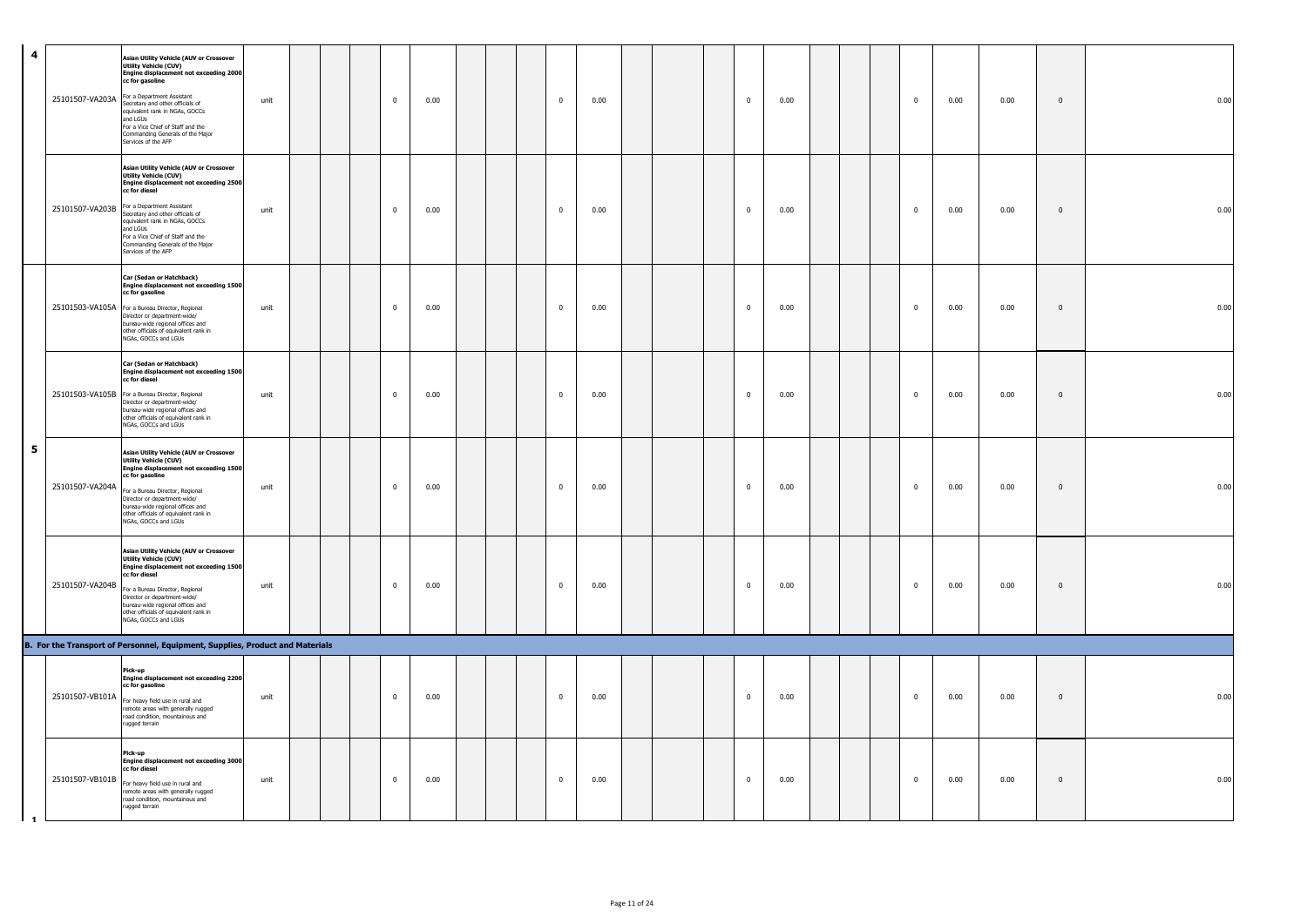| $\overline{\mathbf{4}}$ | 25101507-VA203A | Asian Utility Vehicle (AUV or Crossover<br><b>Utility Vehicle (CUV)</b><br><b>Engine displacement not exceeding 2000</b><br>cc for gasoline<br>For a Department Assistant<br>Secretary and other officials of<br>equivalent rank in NGAs, GOCCs<br>and LGUs<br>For a Vice Chief of Staff and the<br>Commanding Generals of the Major<br>Services of the AFP | unit |  | $\mathbf 0$    | 0.00 |  | $\overline{0}$          | 0.00 |  | $\mathbf{0}$ | 0.00 |  | $\overline{0}$ | 0.00 | 0.00 | $\mathbf{0}$ | 0.00 |
|-------------------------|-----------------|-------------------------------------------------------------------------------------------------------------------------------------------------------------------------------------------------------------------------------------------------------------------------------------------------------------------------------------------------------------|------|--|----------------|------|--|-------------------------|------|--|--------------|------|--|----------------|------|------|--------------|------|
|                         | 25101507-VA203B | <b>Asian Utility Vehicle (AUV or Crossover</b><br><b>Utility Vehicle (CUV)</b><br>Engine displacement not exceeding 2500<br>cc for diesel<br>For a Department Assistant<br>Secretary and other officials of<br>equivalent rank in NGAs, GOCCs<br>and LGUs<br>For a Vice Chief of Staff and the<br>Commanding Generals of the Major<br>Services of the AFP   | unit |  | $\overline{0}$ | 0.00 |  | $\overline{0}$          | 0.00 |  | $\pmb{0}$    | 0.00 |  | $\overline{0}$ | 0.00 | 0.00 | $\mathbb O$  | 0.00 |
|                         |                 | Car (Sedan or Hatchback)<br>Engine displacement not exceeding 1500<br>cc for gasoline<br>25101503-VA105A For a Bureau Director, Regional<br>Director or department-wide/<br>bureau-wide regional offices and<br>other officials of equivalent rank in<br>NGAs, GOCCs and LGUs                                                                               | unit |  | $\mathbf 0$    | 0.00 |  | $\mathbf 0$             | 0.00 |  | $\mathbf{0}$ | 0.00 |  | $\mathbf 0$    | 0.00 | 0.00 | $\mathbf{0}$ | 0.00 |
|                         |                 | Car (Sedan or Hatchback)<br>Engine displacement not exceeding 1500<br>cc for diesel<br>25101503-VA105B For a Bureau Director, Regional<br>Director or department-wide/<br>bureau-wide regional offices and<br>other officials of equivalent rank in<br>NGAs, GOCCs and LGUs                                                                                 | unit |  | $\overline{0}$ | 0.00 |  | $\overline{0}$          | 0.00 |  | $\mathbf{0}$ | 0.00 |  | $\overline{0}$ | 0.00 | 0.00 | $\mathbf{0}$ | 0.00 |
| 5                       | 25101507-VA204A | Asian Utility Vehicle (AUV or Crossover<br><b>Utility Vehicle (CUV)</b><br>Engine displacement not exceeding 1500<br>cc for gasoline<br>For a Bureau Director, Regional<br>Director or department-wide/<br>bureau-wide regional offices and<br>other officials of equivalent rank in<br>NGAs, GOCCs and LGUs                                                | unit |  | $\mathbf 0$    | 0.00 |  | $\overline{\mathbf{0}}$ | 0.00 |  | $\mathbf{0}$ | 0.00 |  | $\overline{0}$ | 0.00 | 0.00 | $\mathbf{0}$ | 0.00 |
|                         | 25101507-VA204B | Asian Utility Vehicle (AUV or Crossover<br>Utility Vehicle (CUV)<br><b>Engine displacement not exceeding 1500</b><br>cc for diesel<br>For a Bureau Director, Regional<br>Director or department-wide/<br>bureau-wide regional offices and<br>other officials of equivalent rank in<br>NGAs, GOCCs and LGUs                                                  | unit |  | $\mathbf 0$    | 0.00 |  | $\overline{0}$          | 0.00 |  | $\mathbf 0$  | 0.00 |  | $\mathbf 0$    | 0.00 | 0.00 | $\bf{0}$     | 0.00 |
|                         |                 | B. For the Transport of Personnel, Equipment, Supplies, Product and Materials                                                                                                                                                                                                                                                                               |      |  |                |      |  |                         |      |  |              |      |  |                |      |      |              |      |
|                         | 25101507-VB101A | Pick-up<br>Engine displacement not exceeding 2200<br>cc for gasoline<br>For heavy field use in rural and<br>remote areas with generally rugged<br>road condition, mountainous and<br>rugged terrain                                                                                                                                                         | unit |  | $\mathbf 0$    | 0.00 |  | $\mathbf 0$             | 0.00 |  | $\mathbf{0}$ | 0.00 |  | $\overline{0}$ | 0.00 | 0.00 | $\mathbf 0$  | 0.00 |
| $\mathbf{1}$            |                 | Pick-up<br>Engine displacement not exceeding 3000<br>cc for diesel<br>25101507-VB101B For heavy field use in rural and<br>remote areas with generally rugged<br>road condition, mountainous and<br>rugged terrain                                                                                                                                           | unit |  | $\mathbf 0$    | 0.00 |  | $\overline{\mathbf{0}}$ | 0.00 |  | $\mathbf 0$  | 0.00 |  | $\,0\,$        | 0.00 | 0.00 | $\mathbf 0$  | 0.00 |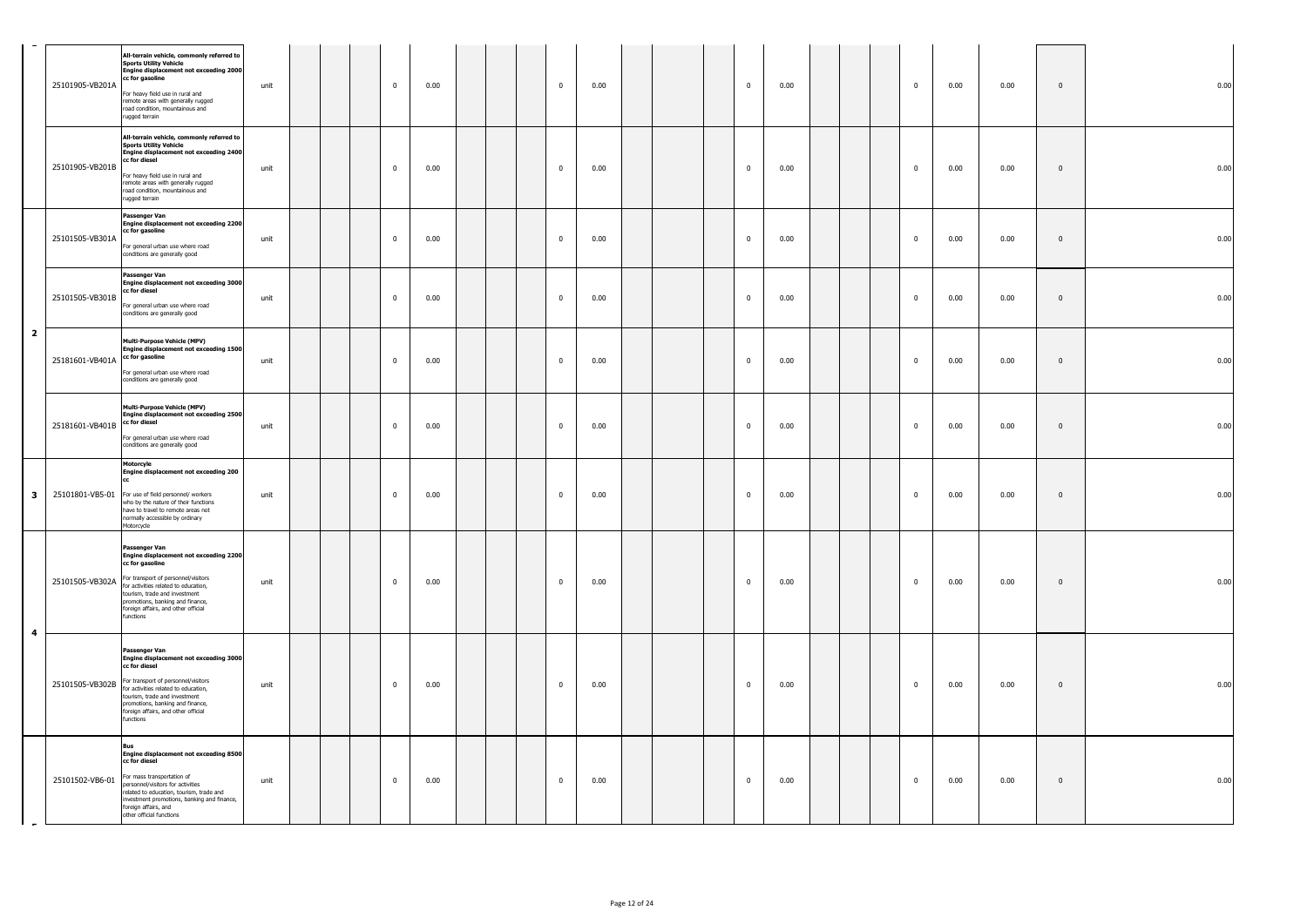|                         | 25101905-VB201A                 | All-terrain vehicle, commonly referred to<br><b>Sports Utility Vehicle</b><br>Engine displacement not exceeding 2000<br>cc for gasoline<br>For heavy field use in rural and<br>remote areas with generally rugged<br>road condition, mountainous and<br>rugged terrain                                         | unit |  | $\overline{0}$ | 0.00 |  | $\mathbf 0$  | 0.00 |  | $\mathbf 0$    | 0.00 |  | $\mathbf 0$  | 0.00 | 0.00 | $\overline{0}$ | 0.00 |
|-------------------------|---------------------------------|----------------------------------------------------------------------------------------------------------------------------------------------------------------------------------------------------------------------------------------------------------------------------------------------------------------|------|--|----------------|------|--|--------------|------|--|----------------|------|--|--------------|------|------|----------------|------|
|                         | 25101905-VB201B                 | All-terrain vehicle, commonly referred to<br><b>Sports Utility Vehicle</b><br>Engine displacement not exceeding 2400<br>cc for diesel<br>For heavy field use in rural and<br>remote areas with generally rugged<br>road condition, mountainous and<br>ugged terrain                                            | unit |  | $\mathbf 0$    | 0.00 |  | $\bf{0}$     | 0.00 |  | $\overline{0}$ | 0.00 |  | $\mathbf 0$  | 0.00 | 0.00 | $\overline{0}$ | 0.00 |
|                         | 25101505-VB301A                 | Passenger Van<br><b>Engine displacement not exceeding 2200</b><br>cc for gasoline<br>For general urban use where road<br>conditions are generally good                                                                                                                                                         | unit |  | $\mathbf 0$    | 0.00 |  | $\bf{0}$     | 0.00 |  | $\mathbf 0$    | 0.00 |  | $\mathbf 0$  | 0.00 | 0.00 | $\overline{0}$ | 0.00 |
|                         | 25101505-VB301B                 | Passenger Van<br>Engine displacement not exceeding 3000<br>cc for diesel<br>For general urban use where road<br>conditions are generally good                                                                                                                                                                  | unit |  | $\mathbf 0$    | 0.00 |  | $\bf{0}$     | 0.00 |  | $\overline{0}$ | 0.00 |  | $\mathbf 0$  | 0.00 | 0.00 | $\overline{0}$ | 0.00 |
| $\overline{2}$          | 25181601-VB401A cc for gasoline | <b>Multi-Purpose Vehicle (MPV)</b><br><b>Engine displacement not exceeding 1500</b><br>For general urban use where road<br>conditions are generally good                                                                                                                                                       | unit |  | $\bf{0}$       | 0.00 |  | $\bf{0}$     | 0.00 |  | $\overline{0}$ | 0.00 |  | $\pmb{0}$    | 0.00 | 0.00 | $\Omega$       | 0.00 |
|                         | 25181601-VB401B cc for diesel   | <b>Multi-Purpose Vehicle (MPV)</b><br>Engine displacement not exceeding 2500<br>For general urban use where road<br>conditions are generally good                                                                                                                                                              | unit |  | $\mathbf 0$    | 0.00 |  | $\bf{0}$     | 0.00 |  | $\mathbf 0$    | 0.00 |  | $\mathbf 0$  | 0.00 | 0.00 | $\overline{0}$ | 0.00 |
| 3                       |                                 | Motorcyle<br><b>Engine displacement not exceeding 200</b><br>25101801-VB5-01 For use of field personnel/ workers<br>who by the nature of their functions<br>have to travel to remote areas not<br>normally accessible by ordinary<br>Motorcycle                                                                | unit |  | $\mathbf 0$    | 0.00 |  | $\mathbf{0}$ | 0.00 |  | $\mathbf{0}$   | 0.00 |  | $\mathbf 0$  | 0.00 | 0.00 | $\overline{0}$ | 0.00 |
|                         |                                 | Passenger Van<br><b>Engine displacement not exceeding 2200</b><br>cc for gasoline<br>25101505-VB302A For transport of personnel/visitors<br>for activities related to education,<br>tourism, trade and investment<br>promotions, banking and finance,<br>foreign affairs, and other official<br>functions      | unit |  | $\mathbf 0$    | 0.00 |  | $\bf{0}$     | 0.00 |  | $\overline{0}$ | 0.00 |  | $\bf{0}$     | 0.00 | 0.00 | $\overline{0}$ | 0.00 |
| $\overline{\mathbf{4}}$ |                                 | <b>Passenger Van</b><br><b>Engine displacement not exceeding 3000</b><br>cc for diesel<br>25101505-VB302B For transport of personnel/visitors<br>for activities related to education,<br>tourism, trade and investment<br>promotions, banking and finance.<br>foreign affairs, and other official<br>functions | unit |  | $\overline{0}$ | 0.00 |  | $\bf{0}$     | 0.00 |  | $\Omega$       | 0.00 |  | $\mathbf{0}$ | 0.00 | 0.00 | $\overline{0}$ | 0.00 |
|                         |                                 | <b>Bus</b><br>Engine displacement not exceeding 8500<br>cc for diesel<br>25101502-VB6-01 For mass transportation of<br>personnel/visitors for activities<br>related to education, tourism, trade and<br>nvestment promotions, banking and finance,<br>foreign affairs, and<br>other official functions         | unit |  | $\overline{0}$ | 0.00 |  | $\bf{0}$     | 0.00 |  | $\mathbf{0}$   | 0.00 |  | $\mathbf 0$  | 0.00 | 0.00 | $\overline{0}$ | 0.00 |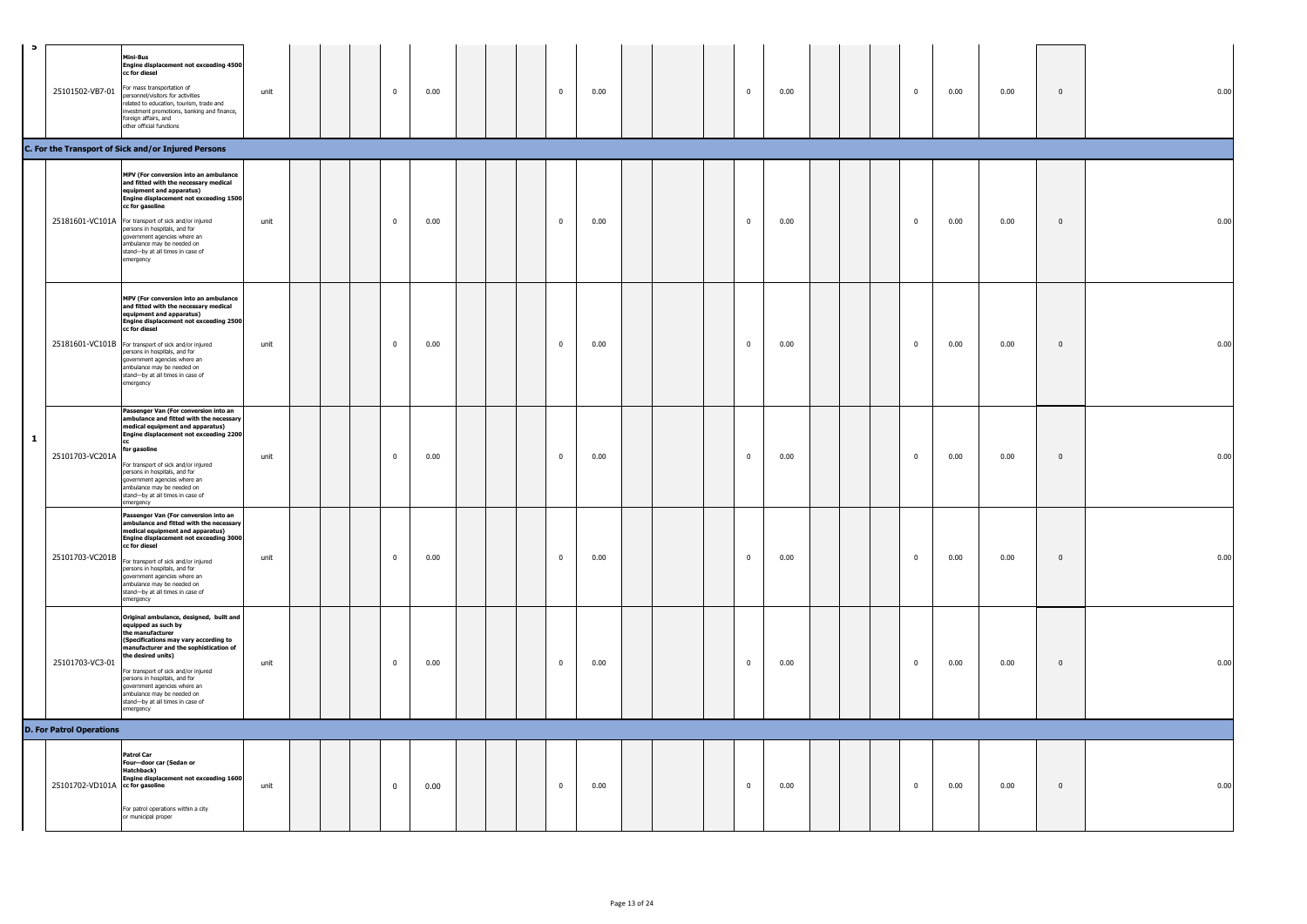| $\bullet$    |                                 | Mini-Bus<br><b>Engine displacement not exceeding 4500</b><br>cc for diesel<br>25101502-VB7-01 For mass transportation of<br>personnel/visitors for activities<br>related to education, tourism, trade and<br>investment promotions, banking and finance,<br>foreign affairs, and<br>other official functions                                                                        | unit |  | $\overline{0}$ | 0.00 |  | $\mathbf{0}$   | 0.00 |               |  | $\mathbf{0}$            | 0.00 |  | $\bf{0}$       | 0.00 | 0.00 | $\mathbf 0$ | 0.00 |
|--------------|---------------------------------|-------------------------------------------------------------------------------------------------------------------------------------------------------------------------------------------------------------------------------------------------------------------------------------------------------------------------------------------------------------------------------------|------|--|----------------|------|--|----------------|------|---------------|--|-------------------------|------|--|----------------|------|------|-------------|------|
|              |                                 | C. For the Transport of Sick and/or Injured Persons                                                                                                                                                                                                                                                                                                                                 |      |  |                |      |  |                |      |               |  |                         |      |  |                |      |      |             |      |
|              |                                 | MPV (For conversion into an ambulance<br>and fitted with the necessary medical<br>equipment and apparatus)<br>Engine displacement not exceeding 1500<br>cc for gasoline<br>25181601-VC101A For transport of sick and/or injured<br>persons in hospitals, and for<br>government agencies where an<br>ambulance may be needed on<br>stand-by at all times in case of<br>emergency     | unit |  | $\bf{0}$       | 0.00 |  | $\overline{0}$ | 0.00 |               |  | $\overline{\mathbf{0}}$ | 0.00 |  | $\bf{0}$       | 0.00 | 0.00 | $\mathbb O$ | 0.00 |
|              |                                 | MPV (For conversion into an ambulance<br>and fitted with the necessary medical<br>equipment and apparatus)<br>Engine displacement not exceeding 2500<br>cc for diesel<br>25181601-VC101B For transport of sick and/or injured<br>persons in hospitals, and for<br>government agencies where an<br>ambulance may be needed on<br>stand-by at all times in case of<br>emergency       | unit |  | $\bf{0}$       | 0.00 |  | $\mathbf{0}$   | 0.00 |               |  | $\overline{\mathbf{0}}$ | 0.00 |  | $\bf{0}$       | 0.00 | 0.00 | $\mathbf 0$ | 0.00 |
| $\mathbf{1}$ | 25101703-VC201A                 | Passenger Van (For conversion into an<br>ambulance and fitted with the necessary<br>medical equipment and apparatus)<br>Engine displacement not exceeding 2200<br>for gasoline<br>For transport of sick and/or injured<br>persons in hospitals, and for<br>government agencies where an<br>ambulance may be needed on<br>stand-by at all times in case of<br>emergency              | unit |  | $\mathbf 0$    | 0.00 |  | $\mathbf{0}$   | 0.00 |               |  | $\overline{\mathbf{0}}$ | 0.00 |  | $\overline{0}$ | 0.00 | 0.00 | $\mathbb O$ | 0.00 |
|              | 25101703-VC201B                 | Passenger Van (For conversion into an<br>ambulance and fitted with the necessary<br>medical equipment and apparatus)<br>Engine displacement not exceeding 3000<br>cc for diesel<br>For transport of sick and/or injured<br>persons in hospitals, and for<br>government agencies where an<br>ambulance may be needed on<br>stand-by at all times in case of<br>emergency             | unit |  | $\mathbf 0$    | 0.00 |  | $\mathbf{0}$   | 0.00 |               |  | $\overline{0}$          | 0.00 |  | $\overline{0}$ | 0.00 | 0.00 | $\mathbf 0$ | 0.00 |
|              | 25101703-VC3-01                 | Original ambulance, designed, built and<br>equipped as such by<br>the manufacturer<br>(Specifications may vary according to<br>manufacturer and the sophistication of<br>the desired units)<br>For transport of sick and/or injured<br>persons in hospitals, and for<br>government agencies where an<br>ambulance may be needed on<br>stand-by at all times in case of<br>emergency | unit |  | $\bf{0}$       | 0.00 |  | $\mathbf 0$    | 0.00 |               |  | $\mathbf 0$             | 0.00 |  | $\bf{0}$       | 0.00 | 0.00 | $\mathbf 0$ | 0.00 |
|              | <b>D. For Patrol Operations</b> |                                                                                                                                                                                                                                                                                                                                                                                     |      |  |                |      |  |                |      |               |  |                         |      |  |                |      |      |             |      |
|              | 25101702-VD101A cc for gasoline | <b>Patrol Car</b><br>Four-door car (Sedan or<br>Hatchback)<br>Engine displacement not exceeding 1600<br>For patrol operations within a city<br>or municipal proper                                                                                                                                                                                                                  | unit |  | $\bf{0}$       | 0.00 |  | $\overline{0}$ | 0.00 |               |  | $\overline{0}$          | 0.00 |  | $\mathbf 0$    | 0.00 | 0.00 | $\mathbb O$ | 0.00 |
|              |                                 |                                                                                                                                                                                                                                                                                                                                                                                     |      |  |                |      |  |                |      | Page 13 of 24 |  |                         |      |  |                |      |      |             |      |
|              |                                 |                                                                                                                                                                                                                                                                                                                                                                                     |      |  |                |      |  |                |      |               |  |                         |      |  |                |      |      |             |      |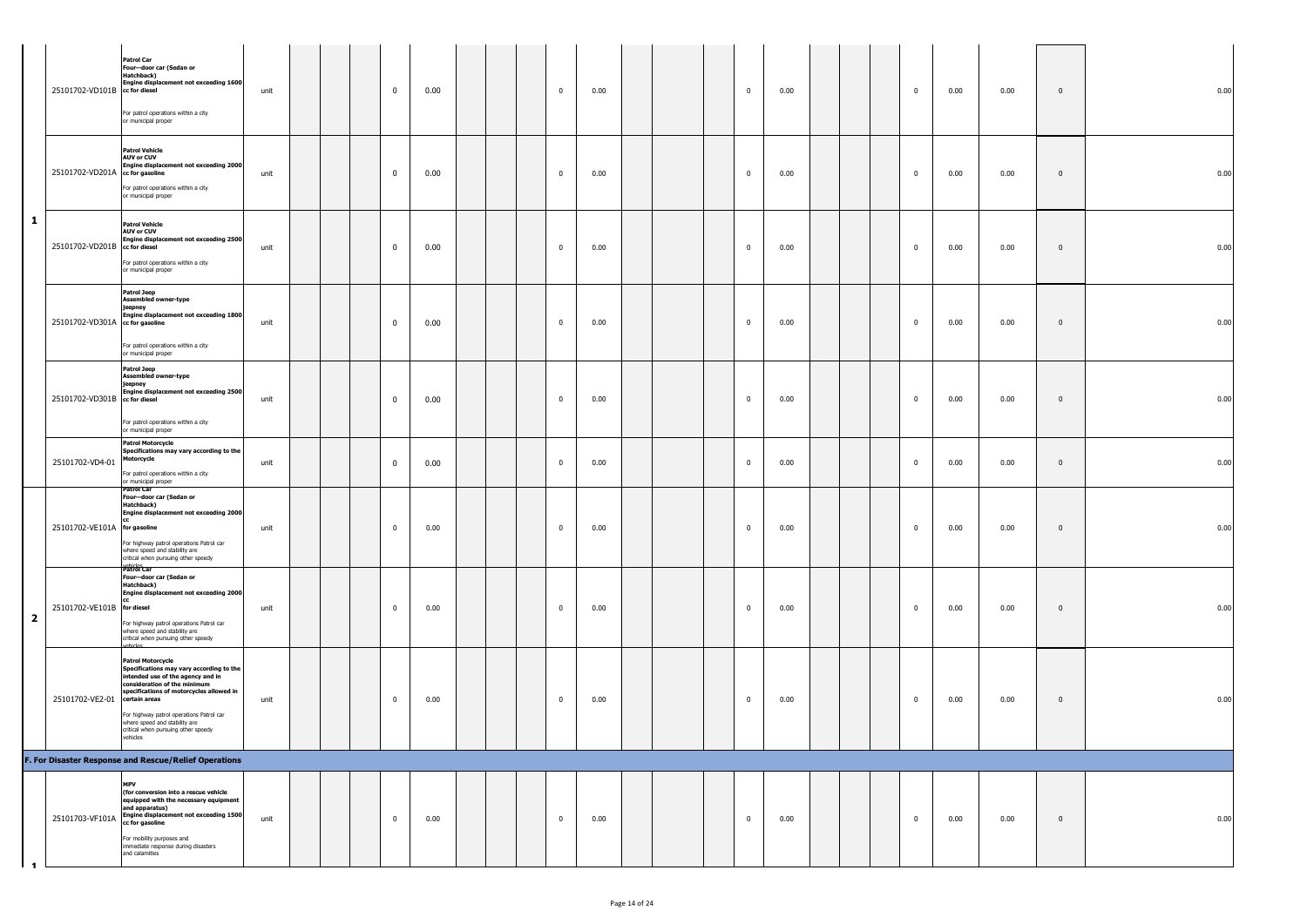|                         |                                 | <b>Patrol Car</b><br>Four-door car (Sedan or<br>Hatchback)<br>Engine displacement not exceeding 1600<br>25101702-VD101B cc for diesel<br>For patrol operations within a city<br>or municipal proper                                                                                                                                    | unit |  | $\overline{0}$          | 0.00 |  | $\overline{0}$          | 0.00 |  | $\mathbf 0$  | 0.00 |  | $\overline{0}$ | 0.00 | 0.00 | $\mathbf{0}$ | 0.00 |
|-------------------------|---------------------------------|----------------------------------------------------------------------------------------------------------------------------------------------------------------------------------------------------------------------------------------------------------------------------------------------------------------------------------------|------|--|-------------------------|------|--|-------------------------|------|--|--------------|------|--|----------------|------|------|--------------|------|
|                         | 25101702-VD201A cc for gasoline | <b>Patrol Vehicle</b><br><b>AUV or CUV</b><br>Engine displacement not exceeding 2000<br>For patrol operations within a city<br>or municipal proper                                                                                                                                                                                     | unit |  | $\mathbf 0$             | 0.00 |  | $\overline{0}$          | 0.00 |  | $\mathbf 0$  | 0.00 |  | $\overline{0}$ | 0.00 | 0.00 | $\bf{0}$     | 0.00 |
| $\mathbf{1}$            |                                 | <b>Patrol Vehicle</b><br><b>AUV or CUV</b><br>Engine displacement not exceeding 2500<br>25101702-VD201B cc for diesel<br>For patrol operations within a city<br>or municipal proper                                                                                                                                                    | unit |  | $\mathbf 0$             | 0.00 |  | $\overline{0}$          | 0.00 |  | $\mathbf 0$  | 0.00 |  | $\overline{0}$ | 0.00 | 0.00 | $\bf{0}$     | 0.00 |
|                         | 25101702-VD301A cc for gasoline | <b>Patrol Jeep</b><br>Assembled owner-type<br>jeepney<br>Engine displacement not exceeding 1800<br>For patrol operations within a city<br>or municipal proper                                                                                                                                                                          | unit |  | $\mathbf 0$             | 0.00 |  | $\pmb{0}$               | 0.00 |  | $\mathbf 0$  | 0.00 |  | $\overline{0}$ | 0.00 | 0.00 | $\mathbf{0}$ | 0.00 |
|                         | 25101702-VD301B cc for diesel   | <b>Patrol Jeep</b><br>ssembled owner-type<br>jeepney<br>ingine displacement not exceeding 2500<br>For patrol operations within a city<br>or municipal proper                                                                                                                                                                           | unit |  | $\mathbf 0$             | 0.00 |  | $\overline{\mathbf{0}}$ | 0.00 |  | $\mathbf 0$  | 0.00 |  | $\overline{0}$ | 0.00 | 0.00 | $\mathbf{0}$ | 0.00 |
|                         | 25101702-VD4-01                 | <b>Patrol Motorcycle</b><br>Specifications may vary according to the<br>lotorcycle<br>For patrol operations within a city<br>or municipal proper                                                                                                                                                                                       | unit |  | $\overline{\mathbf{0}}$ | 0.00 |  | $\overline{0}$          | 0.00 |  | $\mathbf{0}$ | 0.00 |  | $\overline{0}$ | 0.00 | 0.00 | $\mathbf{0}$ | 0.00 |
|                         | 25101702-VE101A for gasoline    | Patrol Car<br>Four-door car (Sedan or<br>Hatchback)<br><b>Engine displacement not exceeding 2000</b><br>For highway patrol operations Patrol car<br>where speed and stability are<br>critical when pursuing other speedy                                                                                                               | unit |  | $\mathbf 0$             | 0.00 |  | $\pmb{0}$               | 0.00 |  | $\mathbf 0$  | 0.00 |  | $\overline{0}$ | 0.00 | 0.00 | $\mathbf{0}$ | 0.00 |
| $\overline{\mathbf{2}}$ | 25101702-VE101B for diesel      | Patrol Car<br>Four-door car (Sedan or<br>Hatchback)<br>Engine displacement not exceeding 2000<br>For highway patrol operations Patrol car<br>where speed and stability are<br>critical when pursuing other speedy                                                                                                                      | unit |  | $\overline{0}$          | 0.00 |  | $\overline{\mathbf{0}}$ | 0.00 |  | $\bf{0}$     | 0.00 |  | $\overline{0}$ | 0.00 | 0.00 | $\bf{0}$     | 0.00 |
|                         | 25101702-VE2-01                 | <b>Patrol Motorcycle</b><br>Specifications may vary according to the<br>intended use of the agency and in<br>consideration of the minimum<br>specifications of motorcycles allowed in<br>certain areas<br>For highway patrol operations Patrol car<br>where speed and stability are<br>critical when pursuing other speedy<br>vehicles | unit |  | $\overline{0}$          | 0.00 |  | $\overline{\mathbf{0}}$ | 0.00 |  | $\bf{0}$     | 0.00 |  | $\overline{0}$ | 0.00 | 0.00 | $\bf{0}$     | 0.00 |
|                         |                                 | F. For Disaster Response and Rescue/Relief Operations                                                                                                                                                                                                                                                                                  |      |  |                         |      |  |                         |      |  |              |      |  |                |      |      |              |      |
| $\blacksquare$          | 25101703-VF101A                 | <b>MPV</b><br>(for conversion into a rescue vehicle<br>equipped with the necessary equipment<br>and apparatus)<br>Engine displacement not exceeding 1500<br>cc for gasoline<br>For mobility purposes and<br>immediate response during disasters<br>and calamities                                                                      | unit |  | $\mathbf 0$             | 0.00 |  | $\overline{0}$          | 0.00 |  | $\mathbf{0}$ | 0.00 |  | $\overline{0}$ | 0.00 | 0.00 | $\mathbf{0}$ | 0.00 |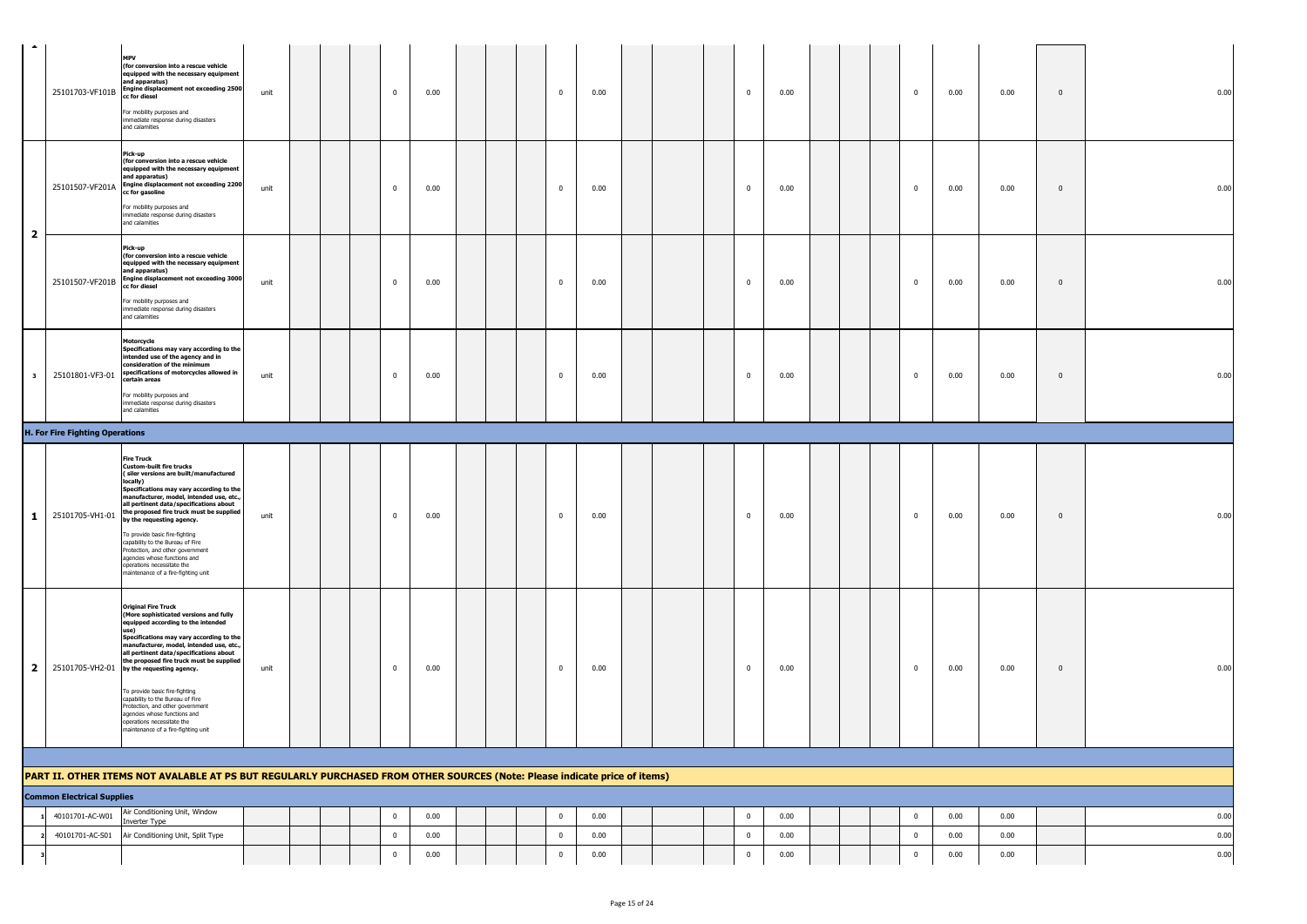| $\mathcal{L}_{\mathcal{A}}$ | 25101703-VF101B                        | <b>MPV</b><br>(for conversion into a rescue vehicle<br>equipped with the necessary equipment<br>and apparatus)<br><b>Engine displacement not exceeding 2500</b><br>cc for diesel<br>For mobility purposes and<br>immediate response during disasters<br>and calamities                                                                                                                                                                                                                                                                                          | unit |  | $\overline{0}$ | 0.00 |  | $\mathbf{0}$            | 0.00 |  | $\mathbf 0$             | 0.00 |  | $\overline{\mathbf{0}}$ | 0.00 | 0.00 | $\mathbb O$    | 0.00 |
|-----------------------------|----------------------------------------|-----------------------------------------------------------------------------------------------------------------------------------------------------------------------------------------------------------------------------------------------------------------------------------------------------------------------------------------------------------------------------------------------------------------------------------------------------------------------------------------------------------------------------------------------------------------|------|--|----------------|------|--|-------------------------|------|--|-------------------------|------|--|-------------------------|------|------|----------------|------|
| $\overline{\mathbf{2}}$     | 25101507-VF201A                        | Pick-up<br>(for conversion into a rescue vehicle<br>equipped with the necessary equipment<br>and apparatus)<br><b>Engine displacement not exceeding 2200</b><br>cc for gasoline<br>For mobility purposes and<br>immediate response during disasters<br>and calamities                                                                                                                                                                                                                                                                                           | unit |  | $\overline{0}$ | 0.00 |  | $\mathbf{0}$            | 0.00 |  | $\overline{\mathbf{0}}$ | 0.00 |  | $\mathbf{0}$            | 0.00 | 0.00 | $\overline{0}$ | 0.00 |
|                             | 25101507-VF201B                        | Pick-up<br>(for conversion into a rescue vehicle<br>equipped with the necessary equipment<br>and apparatus)<br>Engine displacement not exceeding 3000<br>cc for diesel<br>For mobility purposes and<br>immediate response during disasters<br>and calamities                                                                                                                                                                                                                                                                                                    | unit |  | $\overline{0}$ | 0.00 |  | $\overline{0}$          | 0.00 |  | $\overline{0}$          | 0.00 |  | $\bf{0}$                | 0.00 | 0.00 | $\mathbf 0$    | 0.00 |
| $\overline{\mathbf{3}}$     | 25101801-VF3-01                        | Motorcycle<br>Specifications may vary according to the<br>ntended use of the agency and in<br>consideration of the minimum<br>specifications of motorcycles allowed in<br>certain areas<br>For mobility purposes and<br>immediate response during disasters<br>and calamities                                                                                                                                                                                                                                                                                   | unit |  | $\overline{0}$ | 0.00 |  | $\mathbf{0}$            | 0.00 |  | $\overline{0}$          | 0.00 |  | $\mathbf{0}$            | 0.00 | 0.00 | $\mathbf{0}$   | 0.00 |
|                             | <b>H. For Fire Fighting Operations</b> |                                                                                                                                                                                                                                                                                                                                                                                                                                                                                                                                                                 |      |  |                |      |  |                         |      |  |                         |      |  |                         |      |      |                |      |
| $\mathbf{1}$                | 25101705-VH1-01                        | <b>Fire Truck</b><br><b>Custom-built fire trucks</b><br>(siler versions are built/manufactured<br>locally)<br>Specifications may vary according to the<br>manufacturer, model, intended use, etc.,<br>all pertinent data/specifications about<br>the proposed fire truck must be supplied<br>by the requesting agency.<br>To provide basic fire-fighting<br>capability to the Bureau of Fire<br>Protection, and other government<br>agencies whose functions and<br>operations necessitate the<br>maintenance of a fire-fighting unit                           | unit |  | $\mathbf{0}$   | 0.00 |  | $\mathbf{0}$            | 0.00 |  | $\overline{0}$          | 0.00 |  | $\bf{0}$                | 0.00 | 0.00 | $\overline{0}$ | 0.00 |
|                             |                                        | <b>Original Fire Truck</b><br>(More sophisticated versions and fully<br>equipped according to the intended<br>use)<br>Specifications may vary according to the<br>manufacturer, model, intended use, etc.,<br>all pertinent data/specifications about<br>the proposed fire truck must be supplied<br>2 25101705-VH2-01 by the requesting agency.<br>To provide basic fire-fighting<br>capability to the Bureau of Fire<br>Protection, and other government<br>agencies whose functions and<br>operations necessitate the<br>maintenance of a fire-fighting unit | unit |  | $\overline{0}$ | 0.00 |  | $\mathbf{0}$            | 0.00 |  | $\overline{0}$          | 0.00 |  | $\mathbf{0}$            | 0.00 | 0.00 | $\overline{0}$ | 0.00 |
|                             |                                        |                                                                                                                                                                                                                                                                                                                                                                                                                                                                                                                                                                 |      |  |                |      |  |                         |      |  |                         |      |  |                         |      |      |                |      |
|                             |                                        | PART II. OTHER ITEMS NOT AVALABLE AT PS BUT REGULARLY PURCHASED FROM OTHER SOURCES (Note: Please indicate price of items)                                                                                                                                                                                                                                                                                                                                                                                                                                       |      |  |                |      |  |                         |      |  |                         |      |  |                         |      |      |                |      |
|                             | <b>Common Electrical Supplies</b>      |                                                                                                                                                                                                                                                                                                                                                                                                                                                                                                                                                                 |      |  |                |      |  |                         |      |  |                         |      |  |                         |      |      |                |      |
|                             | 40101701-AC-W01                        | Air Conditioning Unit, Window<br>nverter Type                                                                                                                                                                                                                                                                                                                                                                                                                                                                                                                   |      |  | $\mathbf 0$    | 0.00 |  | $\overline{\mathbf{0}}$ | 0.00 |  | $\overline{\mathbf{0}}$ | 0.00 |  | $\overline{\mathbf{0}}$ | 0.00 | 0.00 |                | 0.00 |
|                             | 40101701-AC-S01                        | Air Conditioning Unit, Split Type                                                                                                                                                                                                                                                                                                                                                                                                                                                                                                                               |      |  | $\mathbf 0$    | 0.00 |  | $\overline{\mathbf{0}}$ | 0.00 |  | $\mathbf 0$             | 0.00 |  | $\bf{0}$                | 0.00 | 0.00 |                | 0.00 |
|                             |                                        |                                                                                                                                                                                                                                                                                                                                                                                                                                                                                                                                                                 |      |  | $\mathbf{0}$   | 0.00 |  | $\bf{0}$                | 0.00 |  | $\overline{\mathbf{0}}$ | 0.00 |  | $\mathbf 0$             | 0.00 | 0.00 |                | 0.00 |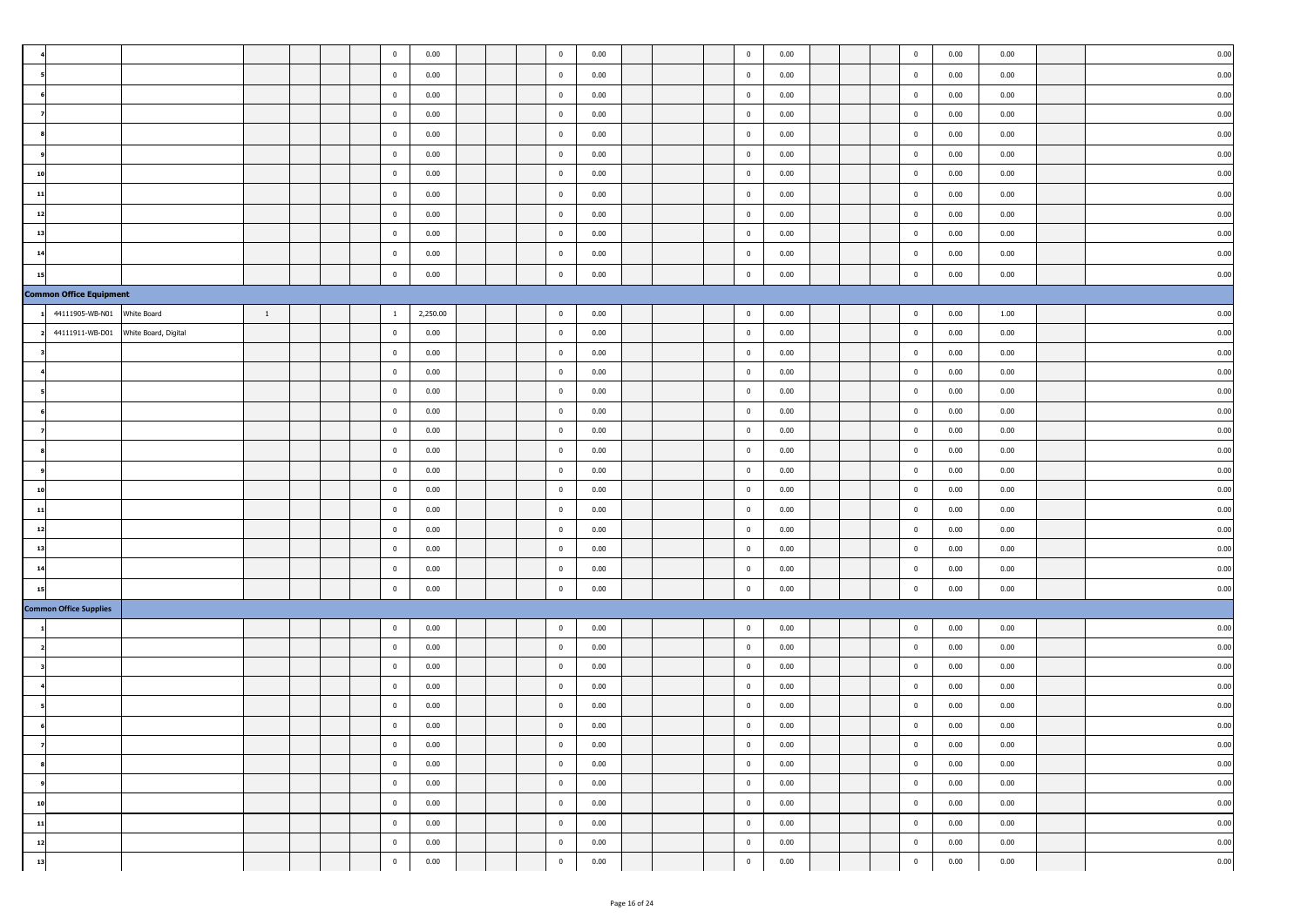|          |                                |                      |              |  | $\mathbf 0$             | 0.00     |  | $\mathbf 0$             | 0.00 |  | $\overline{\mathbf{0}}$ | 0.00 |  | $\mathbf 0$    | 0.00 | 0.00 | 0.00      |
|----------|--------------------------------|----------------------|--------------|--|-------------------------|----------|--|-------------------------|------|--|-------------------------|------|--|----------------|------|------|-----------|
|          |                                |                      |              |  | $\bf{0}$                | 0.00     |  | $\mathbf 0$             | 0.00 |  | $\overline{\mathbf{0}}$ | 0.00 |  | $\mathbf 0$    | 0.00 | 0.00 | 0.00      |
|          |                                |                      |              |  | $\bf{0}$                | 0.00     |  | $\mathbf 0$             | 0.00 |  | $\overline{0}$          | 0.00 |  | $\bf{0}$       | 0.00 | 0.00 | 0.00      |
|          |                                |                      |              |  | $\bf{0}$                | 0.00     |  | $\bf{0}$                | 0.00 |  | $\overline{0}$          | 0.00 |  | $\bf{0}$       | 0.00 | 0.00 | 0.00      |
|          |                                |                      |              |  | $\mathbf 0$             | 0.00     |  | $\mathbf 0$             | 0.00 |  | $\mathbf 0$             | 0.00 |  | $\bf{0}$       | 0.00 | 0.00 | 0.00      |
|          |                                |                      |              |  | $\bf{0}$                | 0.00     |  | $\overline{0}$          | 0.00 |  | $\overline{\mathbf{0}}$ | 0.00 |  | $\bf{0}$       | 0.00 | 0.00 | 0.00      |
| 10       |                                |                      |              |  | $\bf{0}$                | 0.00     |  | $\bf{0}$                | 0.00 |  | $\overline{0}$          | 0.00 |  | $\bf{0}$       | 0.00 | 0.00 | 0.00      |
| 11       |                                |                      |              |  | $\mathbf 0$             | 0.00     |  | $\mathbf 0$             | 0.00 |  | $\overline{\mathbf{0}}$ | 0.00 |  | $\bf{0}$       | 0.00 | 0.00 | 0.00      |
| 12       |                                |                      |              |  | $\bf{0}$                | 0.00     |  | $\overline{0}$          | 0.00 |  | $\overline{\mathbf{0}}$ | 0.00 |  | $\bf{0}$       | 0.00 | 0.00 | 0.00      |
| 13       |                                |                      |              |  | $\mathbf 0$             | 0.00     |  | $\mathbf 0$             | 0.00 |  | $\overline{\mathbf{0}}$ | 0.00 |  | $\mathbf 0$    | 0.00 | 0.00 | 0.00      |
| 14       |                                |                      |              |  | $\bf{0}$                | 0.00     |  | $\overline{0}$          | 0.00 |  | $\overline{0}$          | 0.00 |  | $\bf{0}$       | 0.00 | 0.00 | 0.00      |
| 15       |                                |                      |              |  | $\overline{\mathbf{0}}$ | 0.00     |  | $\overline{0}$          | 0.00 |  | $\overline{\mathbf{0}}$ | 0.00 |  | $\mathbf 0$    | 0.00 | 0.00 | 0.00      |
|          | <b>Common Office Equipment</b> |                      |              |  |                         |          |  |                         |      |  |                         |      |  |                |      |      |           |
|          | 44111905-WB-N01                | White Board          | $\mathbf{1}$ |  | $\overline{1}$          | 2,250.00 |  | $\mathbf 0$             | 0.00 |  | $\mathbf 0$             | 0.00 |  | $\mathbf{0}$   | 0.00 | 1.00 | 0.00      |
|          | 44111911-WB-D01                | White Board, Digital |              |  | $\mathbf 0$             | 0.00     |  | $\mathbf 0$             | 0.00 |  | $\overline{\mathbf{0}}$ | 0.00 |  | $\mathbf 0$    | 0.00 | 0.00 | 0.00      |
|          |                                |                      |              |  | $\overline{0}$          | 0.00     |  | $\mathbf 0$             | 0.00 |  | $\overline{\mathbf{0}}$ | 0.00 |  | $\bf{0}$       | 0.00 | 0.00 | 0.00      |
|          |                                |                      |              |  | $\bf{0}$                | 0.00     |  | $\overline{0}$          | 0.00 |  | $\overline{\mathbf{0}}$ | 0.00 |  | $\mathbf{0}$   | 0.00 | 0.00 | 0.00      |
|          |                                |                      |              |  | $\bf{0}$                | 0.00     |  | $\mathbf 0$             | 0.00 |  | $\overline{\mathbf{0}}$ | 0.00 |  | $\mathbf 0$    | 0.00 | 0.00 | 0.00      |
|          |                                |                      |              |  | $\overline{0}$          | 0.00     |  | $\bf{0}$                | 0.00 |  | $\overline{0}$          | 0.00 |  | $\bf{0}$       | 0.00 | 0.00 | 0.00      |
|          |                                |                      |              |  | $\bf{0}$                | 0.00     |  | $\overline{0}$          | 0.00 |  | $\overline{0}$          | 0.00 |  | $\mathbf 0$    | 0.00 | 0.00 | 0.00      |
|          |                                |                      |              |  | $\bf{0}$                | 0.00     |  | $\overline{0}$          | 0.00 |  | $\overline{0}$          | 0.00 |  | $\bf{0}$       | 0.00 | 0.00 | 0.00      |
|          |                                |                      |              |  | $\bf{0}$                | 0.00     |  | $\overline{0}$          | 0.00 |  | $\overline{\mathbf{0}}$ | 0.00 |  | $\mathbf 0$    | 0.00 | 0.00 | 0.00      |
| 10       |                                |                      |              |  | $\overline{0}$          | 0.00     |  | $\bf{0}$                | 0.00 |  | $\overline{\mathbf{0}}$ | 0.00 |  | $\bf{0}$       | 0.00 | 0.00 | 0.00      |
| 11       |                                |                      |              |  | $\bf{0}$                | 0.00     |  | $\bf{0}$                | 0.00 |  | $\mathbf 0$             | 0.00 |  | $\bf{0}$       | 0.00 | 0.00 | 0.00      |
| 12       |                                |                      |              |  | $\overline{0}$          | 0.00     |  | $\mathbf 0$             | 0.00 |  | $\overline{\mathbf{0}}$ | 0.00 |  | $\bf{0}$       | 0.00 | 0.00 | 0.00      |
| 13       |                                |                      |              |  | $\overline{0}$          | 0.00     |  | $\overline{0}$          | 0.00 |  | $\overline{0}$          | 0.00 |  | $\mathbf{0}$   | 0.00 | 0.00 | 0.00      |
| 14       |                                |                      |              |  | $\overline{0}$          | 0.00     |  | $\mathbf 0$             | 0.00 |  | $\overline{0}$          | 0.00 |  | $\bf{0}$       | 0.00 | 0.00 | 0.00      |
| 15       |                                |                      |              |  | $\bf{0}$                | 0.00     |  | $\mathbf 0$             | 0.00 |  | $\mathbf 0$             | 0.00 |  | $\mathbf 0$    | 0.00 | 0.00 | 0.00      |
|          | <b>Common Office Supplies</b>  |                      |              |  |                         |          |  |                         |      |  |                         |      |  |                |      |      |           |
|          |                                |                      |              |  | $\overline{\mathbf{0}}$ | 0.00     |  | $\bf{0}$                | 0.00 |  | $\bf{0}$                | 0.00 |  | $\mathbf 0$    | 0.00 | 0.00 | 0.00      |
|          |                                |                      |              |  | $\bf{0}$                | 0.00     |  | $\overline{\mathbf{0}}$ | 0.00 |  | $\overline{\mathbf{0}}$ | 0.00 |  | $\mathbf 0$    | 0.00 | 0.00 | 0.00      |
|          |                                |                      |              |  | $\overline{0}$          | 0.00     |  | $\bf{0}$                | 0.00 |  | $\overline{\mathbf{0}}$ | 0.00 |  | $\bf{0}$       | 0.00 | 0.00 | 0.00      |
|          |                                |                      |              |  | $\overline{\mathbf{0}}$ | 0.00     |  | $\overline{0}$          | 0.00 |  | $\overline{\mathbf{0}}$ | 0.00 |  | $\overline{0}$ | 0.00 | 0.00 | 0.00      |
|          |                                |                      |              |  | $\overline{0}$          | 0.00     |  | $\mathbf 0$             | 0.00 |  | $\,$ 0                  | 0.00 |  | $\mathbf{0}$   | 0.00 | 0.00 | 0.00      |
|          |                                |                      |              |  | $\bf{0}$                | 0.00     |  | $\mathbf 0$             | 0.00 |  | $\overline{\mathbf{0}}$ | 0.00 |  | $\mathbf 0$    | 0.00 | 0.00 | 0.00      |
|          |                                |                      |              |  | $\mathbf 0$             | 0.00     |  | $\mathbf 0$             | 0.00 |  | $\overline{\mathbf{0}}$ | 0.00 |  | $\mathbf 0$    | 0.00 | 0.00 | 0.00      |
| $\bf{8}$ |                                |                      |              |  | $\bf{0}$                | 0.00     |  | $\overline{0}$          | 0.00 |  | $\overline{0}$          | 0.00 |  | $\mathbf 0$    | 0.00 | 0.00 | 0.00      |
|          | 9                              |                      |              |  | $\bf{0}$                | 0.00     |  | $\overline{0}$          | 0.00 |  | $\overline{0}$          | 0.00 |  | $\overline{0}$ | 0.00 | 0.00 | 0.00      |
| 10       |                                |                      |              |  | $\bf{0}$                | 0.00     |  | $\bf{0}$                | 0.00 |  | $\overline{\mathbf{0}}$ | 0.00 |  | $\overline{0}$ | 0.00 | 0.00 | 0.00      |
| 11       |                                |                      |              |  | $\bf{0}$                | 0.00     |  | $\overline{0}$          | 0.00 |  | $\overline{0}$          | 0.00 |  | $\overline{0}$ | 0.00 | 0.00 | 0.00      |
| 12       |                                |                      |              |  | $\overline{\mathbf{0}}$ | 0.00     |  | $\overline{0}$          | 0.00 |  | $\bf{0}$                | 0.00 |  | $\mathbf 0$    | 0.00 | 0.00 | 0.00      |
| 13       |                                |                      |              |  | $\mathbf 0$             | 0.00     |  | $\bf{0}$                | 0.00 |  | $\bf{0}$                | 0.00 |  | $\mathbf 0$    | 0.00 | 0.00 | $_{0.00}$ |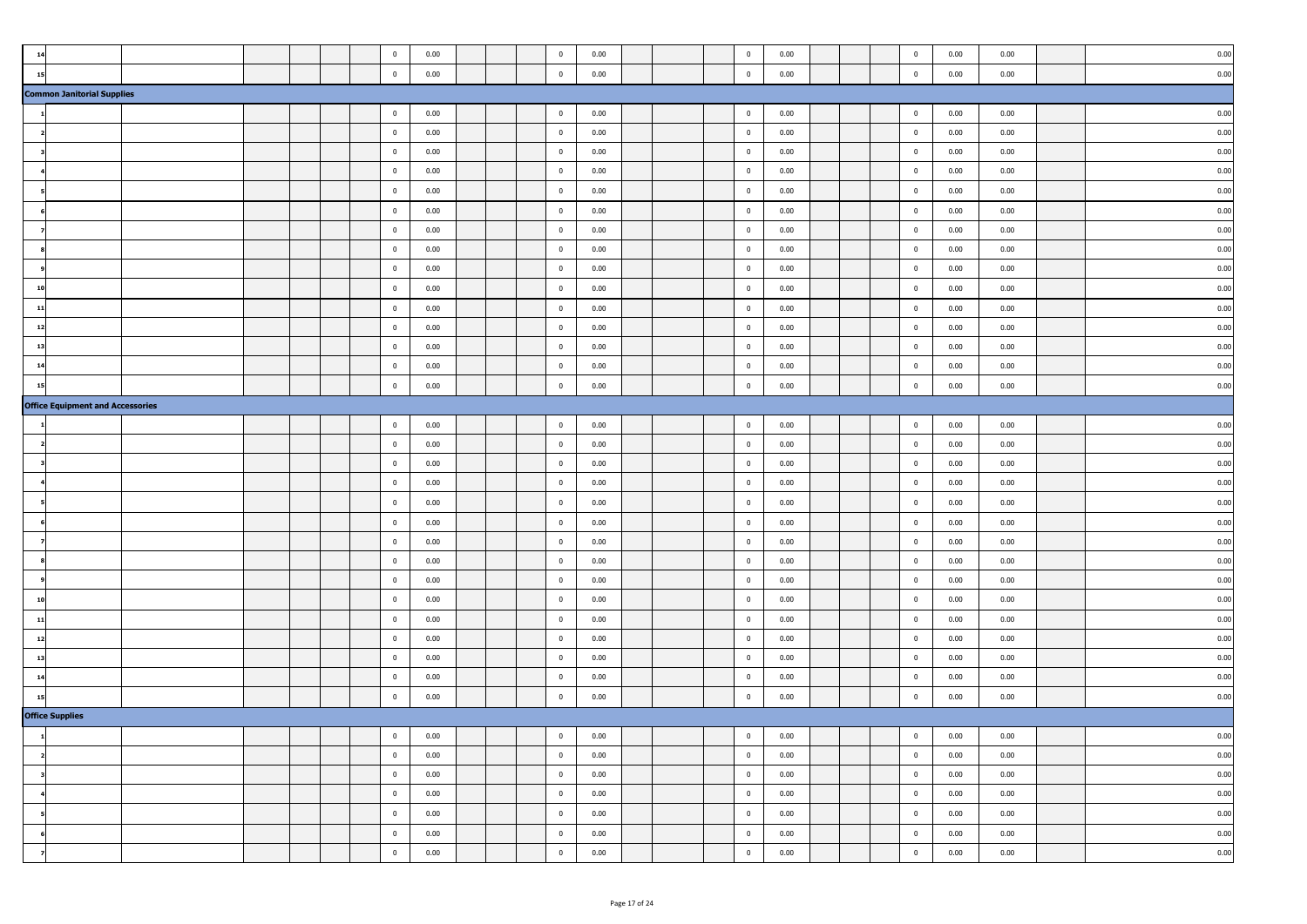| 14                                      |  |  | $\bf{0}$                | 0.00 |  | $\bf{0}$                | 0.00 |  | $\overline{0}$          | 0.00     |  | $\bf{0}$       | 0.00 | 0.00 | 0.00 |
|-----------------------------------------|--|--|-------------------------|------|--|-------------------------|------|--|-------------------------|----------|--|----------------|------|------|------|
| 15                                      |  |  | $\mathbf 0$             | 0.00 |  | $\mathbf 0$             | 0.00 |  | $\overline{0}$          | 0.00     |  | $\mathbf 0$    | 0.00 | 0.00 | 0.00 |
| <b>Common Janitorial Supplies</b>       |  |  |                         |      |  |                         |      |  |                         |          |  |                |      |      |      |
|                                         |  |  | $\bf{0}$                | 0.00 |  | $\bf{0}$                | 0.00 |  | $\overline{\mathbf{0}}$ | 0.00     |  | $\mathbf{0}$   | 0.00 | 0.00 | 0.00 |
|                                         |  |  | $\mathbf 0$             | 0.00 |  | $\mathbf 0$             | 0.00 |  | $\overline{0}$          | 0.00     |  | $\mathbf 0$    | 0.00 | 0.00 | 0.00 |
|                                         |  |  | $\bf{0}$                | 0.00 |  | $\bf{0}$                | 0.00 |  | $\bf{0}$                | 0.00     |  | $\bf{0}$       | 0.00 | 0.00 | 0.00 |
|                                         |  |  | $\overline{0}$          | 0.00 |  | $\bf{0}$                | 0.00 |  | $\bf{0}$                | 0.00     |  | $\bf{0}$       | 0.00 | 0.00 | 0.00 |
|                                         |  |  | $\mathbf 0$             | 0.00 |  | $\mathbf 0$             | 0.00 |  | $\mathbf 0$             | 0.00     |  | $\mathbf 0$    | 0.00 | 0.00 | 0.00 |
|                                         |  |  | $\overline{\mathbf{0}}$ | 0.00 |  | $\overline{\mathbf{0}}$ | 0.00 |  | $\overline{\mathbf{0}}$ | 0.00     |  | $\mathbf 0$    | 0.00 | 0.00 | 0.00 |
|                                         |  |  | $\overline{\mathbf{0}}$ | 0.00 |  | $\bf{0}$                | 0.00 |  | $\overline{\mathbf{0}}$ | 0.00     |  | $\bf{0}$       | 0.00 | 0.00 | 0.00 |
|                                         |  |  | $\overline{0}$          | 0.00 |  | $\bf{0}$                | 0.00 |  | $\overline{0}$          | 0.00     |  | $\bf{0}$       | 0.00 | 0.00 | 0.00 |
|                                         |  |  | $\overline{0}$          | 0.00 |  | $\overline{0}$          | 0.00 |  | $\overline{0}$          | 0.00     |  | $\bf{0}$       | 0.00 | 0.00 | 0.00 |
|                                         |  |  | $\mathbf 0$             | 0.00 |  | $\mathbf 0$             | 0.00 |  | $\overline{0}$          | 0.00     |  | $\overline{0}$ | 0.00 | 0.00 | 0.00 |
| 11                                      |  |  | $\bf{0}$                | 0.00 |  | $\mathbf 0$             | 0.00 |  | $\overline{0}$          | 0.00     |  | $\overline{0}$ | 0.00 | 0.00 | 0.00 |
| 12                                      |  |  | $\bf{0}$                | 0.00 |  | $\mathbf 0$             | 0.00 |  | $\overline{\mathbf{0}}$ | 0.00     |  | $\mathbf 0$    | 0.00 | 0.00 | 0.00 |
| 13                                      |  |  | $\overline{0}$          | 0.00 |  | $\mathbf 0$             | 0.00 |  | $\overline{0}$          | 0.00     |  | $\mathbf 0$    | 0.00 | 0.00 | 0.00 |
| 14                                      |  |  | $\mathbf 0$             | 0.00 |  | $\mathbf 0$             | 0.00 |  | $\bf{0}$                | 0.00     |  | $\bf{0}$       | 0.00 | 0.00 | 0.00 |
| 15                                      |  |  | $\mathbf 0$             | 0.00 |  | $\mathbf 0$             | 0.00 |  | $\bf{0}$                | 0.00     |  | $\bf{0}$       | 0.00 | 0.00 | 0.00 |
| <b>Office Equipment and Accessories</b> |  |  |                         |      |  |                         |      |  |                         |          |  |                |      |      |      |
|                                         |  |  | $\bf{0}$                | 0.00 |  | $\mathbf 0$             | 0.00 |  | $\overline{\mathbf{0}}$ | 0.00     |  | $\mathbf 0$    | 0.00 | 0.00 | 0.00 |
|                                         |  |  | $\overline{\mathbf{0}}$ | 0.00 |  | $\bf{0}$                | 0.00 |  | $\overline{\mathbf{0}}$ | 0.00     |  | $\bf{0}$       | 0.00 | 0.00 | 0.00 |
|                                         |  |  | $\overline{0}$          | 0.00 |  | $\bf{0}$                | 0.00 |  | $\overline{\mathbf{0}}$ | 0.00     |  | $\bf{0}$       | 0.00 | 0.00 | 0.00 |
|                                         |  |  | $\overline{0}$          | 0.00 |  | $\overline{0}$          | 0.00 |  | $\overline{0}$          | 0.00     |  | $\bf{0}$       | 0.00 | 0.00 | 0.00 |
|                                         |  |  | $\overline{0}$          | 0.00 |  | $\mathbf 0$             | 0.00 |  | $\mathbf 0$             | 0.00     |  | $\overline{0}$ | 0.00 | 0.00 | 0.00 |
|                                         |  |  | $\bf{0}$                | 0.00 |  | $\bf{0}$                | 0.00 |  | $\overline{0}$          | 0.00     |  | $\overline{0}$ | 0.00 | 0.00 | 0.00 |
|                                         |  |  | $\overline{\mathbf{0}}$ | 0.00 |  | $\mathbf 0$             | 0.00 |  | $\overline{0}$          | 0.00     |  | $\mathbf 0$    | 0.00 | 0.00 | 0.00 |
|                                         |  |  | $\overline{\mathbf{0}}$ | 0.00 |  | $\mathbf 0$             | 0.00 |  | $\overline{0}$          | 0.00     |  | $\mathbf 0$    | 0.00 | 0.00 | 0.00 |
|                                         |  |  | $\mathbf 0$             | 0.00 |  | $\bf{0}$                | 0.00 |  | $\bf{0}$                | 0.00     |  | $\bf{0}$       | 0.00 | 0.00 | 0.00 |
| 10                                      |  |  | $\overline{0}$          | 0.00 |  | $\bf{0}$                | 0.00 |  | $\overline{0}$          | 0.00     |  | $\bf{0}$       | 0.00 | 0.00 | 0.00 |
| 11                                      |  |  | $\bf{0}$                | 0.00 |  | $\bf{0}$                | 0.00 |  | $\overline{0}$          | 0.00     |  | $\bf{0}$       | 0.00 | 0.00 | 0.00 |
| 12                                      |  |  | $\overline{\mathbf{0}}$ | 0.00 |  | $\mathbf 0$             | 0.00 |  | $\overline{0}$          | 0.00     |  | $\mathbf 0$    | 0.00 | 0.00 | 0.00 |
| 13                                      |  |  | $\overline{\mathbf{0}}$ | 0.00 |  | $\overline{\mathbf{0}}$ | 0.00 |  | $\overline{\mathbf{0}}$ | 0.00     |  | $\mathbf 0$    | 0.00 | 0.00 | 0.00 |
| 14                                      |  |  | $\overline{\mathbf{0}}$ | 0.00 |  | $\bf{0}$                | 0.00 |  | $\overline{0}$          | 0.00     |  | $\bf{0}$       | 0.00 | 0.00 | 0.00 |
| 15                                      |  |  | $\mathbf 0$             | 0.00 |  | $\mathbf 0$             | 0.00 |  | $\mathbf 0$             | 0.00     |  | $\overline{0}$ | 0.00 | 0.00 | 0.00 |
| <b>Office Supplies</b>                  |  |  |                         |      |  |                         |      |  |                         |          |  |                |      |      |      |
|                                         |  |  | $\pmb{0}$               | 0.00 |  | $\pmb{0}$               | 0.00 |  | $\mathbf 0$             | 0.00     |  |                | 0.00 | 0.00 | 0.00 |
| $\overline{\mathbf{2}}$                 |  |  | $\bf{0}$                | 0.00 |  | $\overline{0}$          | 0.00 |  | $\overline{\mathbf{0}}$ | 0.00     |  | $\bf{0}$       | 0.00 | 0.00 | 0.00 |
| $\overline{\phantom{a}}$                |  |  | $\bf{0}$                | 0.00 |  | $\overline{0}$          | 0.00 |  | $\overline{0}$          | 0.00     |  | $\bf{0}$       | 0.00 | 0.00 | 0.00 |
| $\overline{\mathbf{4}}$                 |  |  | $\overline{0}$          | 0.00 |  | $\overline{0}$          | 0.00 |  | $\bf{0}$                | 0.00     |  | $\overline{0}$ | 0.00 | 0.00 | 0.00 |
| 5                                       |  |  | $\bf{0}$                | 0.00 |  | $\overline{0}$          | 0.00 |  | $\bf{0}$                | 0.00     |  | $\bf{0}$       | 0.00 | 0.00 | 0.00 |
|                                         |  |  | $\overline{\mathbf{0}}$ | 0.00 |  | $\overline{0}$          | 0.00 |  | $\overline{0}$          | 0.00     |  | $\overline{0}$ | 0.00 | 0.00 | 0.00 |
| $\overline{\mathbf{z}}$                 |  |  | $\bf{0}$                | 0.00 |  | $\overline{0}$          | 0.00 |  | $\bf{0}$                | $0.00\,$ |  | $\mathbf 0$    | 0.00 | 0.00 | 0.00 |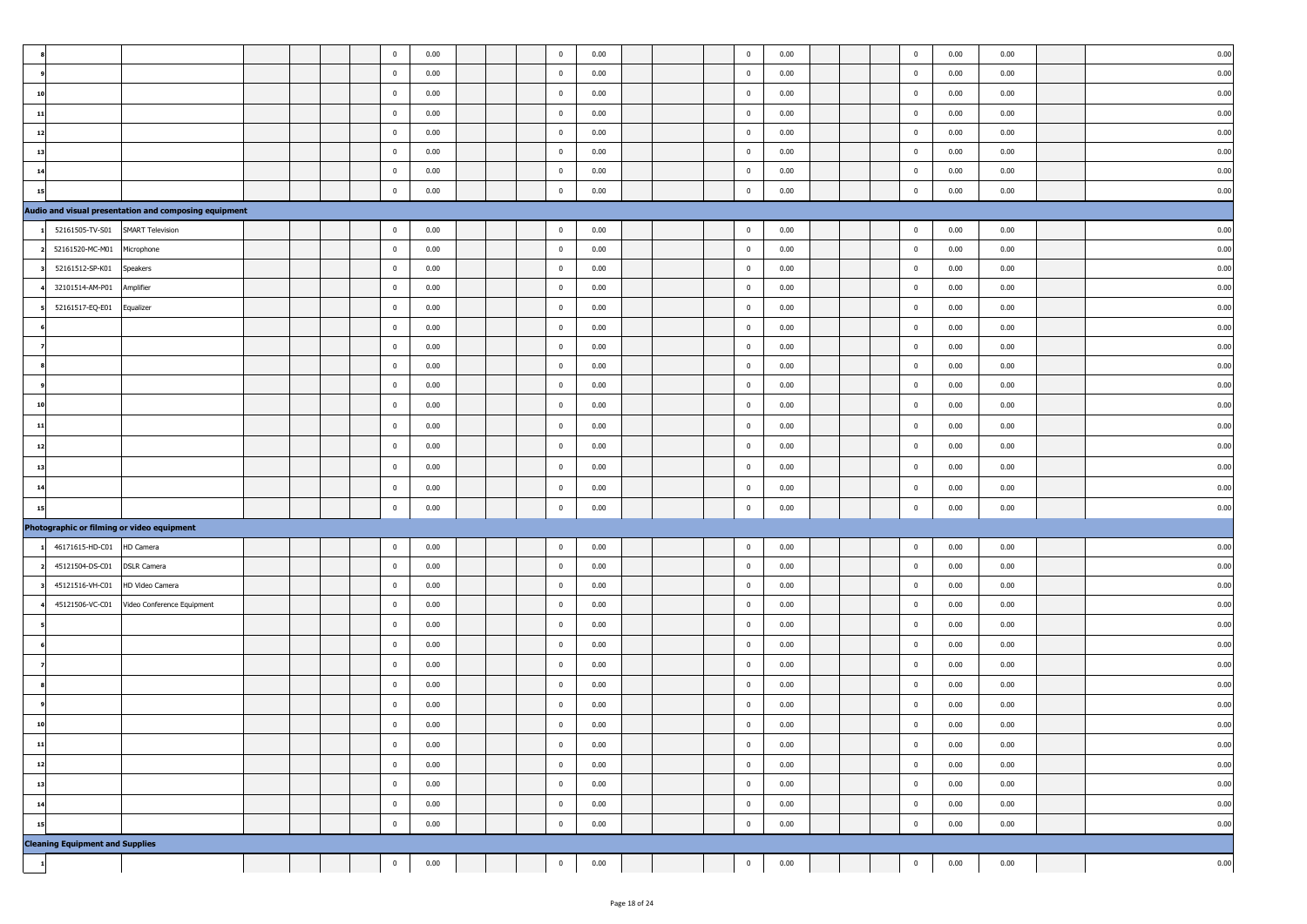|              |                                        |                                                       |  |  | $\mathbf 0$             | 0.00 |  | $\overline{\mathbf{0}}$                            | 0.00 |  | $\mathbf 0$             | 0.00 |  | $\mathbf 0$    | 0.00 | 0.00 | 0.00      |
|--------------|----------------------------------------|-------------------------------------------------------|--|--|-------------------------|------|--|----------------------------------------------------|------|--|-------------------------|------|--|----------------|------|------|-----------|
|              |                                        |                                                       |  |  | $\overline{0}$          | 0.00 |  | $\overline{\mathbf{0}}$                            | 0.00 |  | $\mathbf 0$             | 0.00 |  | $\mathbf{0}$   | 0.00 | 0.00 | 0.00      |
| 10           |                                        |                                                       |  |  | $\overline{0}$          | 0.00 |  | $\overline{\mathbf{0}}$                            | 0.00 |  | $\overline{0}$          | 0.00 |  | $\overline{0}$ | 0.00 | 0.00 | 0.00      |
| 11           |                                        |                                                       |  |  | $\overline{0}$          | 0.00 |  | $\bf{0}$                                           | 0.00 |  | $\overline{\mathbf{0}}$ | 0.00 |  | $\pmb{0}$      | 0.00 | 0.00 | 0.00      |
| 12           |                                        |                                                       |  |  | $\overline{0}$          | 0.00 |  | $\overline{\mathbf{0}}$                            | 0.00 |  | $\overline{0}$          | 0.00 |  | $\overline{0}$ | 0.00 | 0.00 | 0.00      |
| 13           |                                        |                                                       |  |  | $\overline{\mathbf{0}}$ | 0.00 |  | $\overline{\mathbf{0}}$                            | 0.00 |  | $\mathbf 0$             | 0.00 |  | $\bf{0}$       | 0.00 | 0.00 | 0.00      |
| 14           |                                        |                                                       |  |  | $\overline{\mathbf{0}}$ | 0.00 |  | $\overline{\mathbf{0}}$                            | 0.00 |  | $\mathbf 0$             | 0.00 |  | $\pmb{0}$      | 0.00 | 0.00 | 0.00      |
| 15           |                                        |                                                       |  |  | $\overline{0}$          | 0.00 |  | $\overline{\mathbf{0}}$                            | 0.00 |  | $\mathbf 0$             | 0.00 |  | $\mathbf 0$    | 0.00 | 0.00 | 0.00      |
|              |                                        | Audio and visual presentation and composing equipment |  |  |                         |      |  |                                                    |      |  |                         |      |  |                |      |      |           |
|              | 52161505-TV-S01                        | <b>SMART Television</b>                               |  |  | $\overline{0}$          | 0.00 |  | $\overline{\mathbf{0}}$                            | 0.00 |  | $\overline{0}$          | 0.00 |  | $\overline{0}$ | 0.00 | 0.00 | 0.00      |
|              | 52161520-MC-M01                        | Microphone                                            |  |  | $\mathbf 0$             | 0.00 |  | $\overline{\mathbf{0}}$                            | 0.00 |  | $\overline{\mathbf{0}}$ | 0.00 |  | $\mathbf 0$    | 0.00 | 0.00 | 0.00      |
|              | 52161512-SP-K01                        | Speakers                                              |  |  | $\overline{0}$          | 0.00 |  | $\overline{\mathbf{0}}$                            | 0.00 |  | $\overline{\mathbf{0}}$ | 0.00 |  | $\mathbf 0$    | 0.00 | 0.00 | 0.00      |
|              | 32101514-AM-P01                        | Amplifier                                             |  |  | $\overline{0}$          | 0.00 |  | $\overline{\mathbf{0}}$                            | 0.00 |  | $\overline{\mathbf{0}}$ | 0.00 |  | $\mathbf 0$    | 0.00 | 0.00 | 0.00      |
|              | 52161517-EQ-E01                        | Equalizer                                             |  |  | $\overline{0}$          | 0.00 |  | $\overline{\mathbf{0}}$                            | 0.00 |  | $\mathbf 0$             | 0.00 |  | $\overline{0}$ | 0.00 | 0.00 | 0.00      |
|              |                                        |                                                       |  |  | $\overline{0}$          | 0.00 |  | $\bf{0}$                                           | 0.00 |  | $\mathbf 0$             | 0.00 |  | $\pmb{0}$      | 0.00 | 0.00 | 0.00      |
|              |                                        |                                                       |  |  | $\mathbf 0$             | 0.00 |  | $\bf{0}$                                           | 0.00 |  | $\overline{\mathbf{0}}$ | 0.00 |  | $\overline{0}$ | 0.00 | 0.00 | 0.00      |
|              |                                        |                                                       |  |  | $\mathbf 0$             | 0.00 |  | $\overline{\mathbf{0}}$                            | 0.00 |  | $\mathbf 0$             | 0.00 |  | $\bf{0}$       | 0.00 | 0.00 | 0.00      |
|              |                                        |                                                       |  |  | $\mathbf 0$             | 0.00 |  | $\overline{\mathbf{0}}$                            | 0.00 |  | $\mathbf 0$             | 0.00 |  | $\mathbf 0$    | 0.00 | 0.00 | 0.00      |
| 10           |                                        |                                                       |  |  | $\overline{0}$          | 0.00 |  | $\bf{0}$                                           | 0.00 |  | $\mathbf 0$             | 0.00 |  | $\mathbf 0$    | 0.00 | 0.00 | 0.00      |
| 11           |                                        |                                                       |  |  | $\overline{\mathbf{0}}$ | 0.00 |  | $\overline{\mathbf{0}}$                            | 0.00 |  | $\mathbf 0$             | 0.00 |  | $\mathbf 0$    | 0.00 | 0.00 | 0.00      |
| 12           |                                        |                                                       |  |  | $\overline{0}$          | 0.00 |  | $\overline{\mathbf{0}}$                            | 0.00 |  | $\mathbf 0$             | 0.00 |  | $\pmb{0}$      | 0.00 | 0.00 | 0.00      |
| 13           |                                        |                                                       |  |  | $\overline{0}$          | 0.00 |  | $\bf{0}$                                           | 0.00 |  | $\mathbf 0$             | 0.00 |  | $\pmb{0}$      | 0.00 | 0.00 | 0.00      |
| 14           |                                        |                                                       |  |  | $\mathbf 0$             | 0.00 |  | $\overline{\mathbf{0}}$                            | 0.00 |  | $\mathbf 0$             | 0.00 |  | $\pmb{0}$      | 0.00 | 0.00 | 0.00      |
| 15           |                                        |                                                       |  |  | $\mathbf 0$             | 0.00 |  | $\mathbf 0$                                        | 0.00 |  | $\mathbf 0$             | 0.00 |  | $\mathbf 0$    | 0.00 | 0.00 | 0.00      |
|              |                                        | Photographic or filming or video equipment            |  |  |                         |      |  |                                                    |      |  |                         |      |  |                |      |      |           |
|              | 46171615-HD-C01                        | HD Camera                                             |  |  | $\mathbf 0$             | 0.00 |  | $\overline{\mathbf{0}}$                            | 0.00 |  | $\overline{\mathbf{0}}$ | 0.00 |  | $\mathbf 0$    | 0.00 | 0.00 | 0.00      |
|              | 45121504-DS-C01                        | <b>DSLR Camera</b>                                    |  |  | $\overline{0}$          | 0.00 |  | $\overline{\mathbf{0}}$                            | 0.00 |  | $\overline{0}$          | 0.00 |  | $\mathbf 0$    | 0.00 | 0.00 | 0.00      |
|              | 45121516-VH-C01                        | HD Video Camera                                       |  |  | $\overline{0}$          | 0.00 |  | $\overline{0}$                                     | 0.00 |  | $\bf{0}$                | 0.00 |  | $\overline{0}$ | 0.00 | 0.00 | 0.00      |
|              | 45121506-VC-C01                        | Video Conference Equipment                            |  |  | $\overline{0}$          | 0.00 |  | $\overline{\mathbf{0}}$                            | 0.00 |  | $\mathbf 0$             | 0.00 |  | $\overline{0}$ | 0.00 | 0.00 | 0.00      |
|              |                                        |                                                       |  |  | $\overline{\mathbf{0}}$ | 0.00 |  | $\mathbf 0$                                        | 0.00 |  | $\mathbf 0$             | 0.00 |  | $\mathbf 0$    | 0.00 | 0.00 | 0.00      |
|              |                                        |                                                       |  |  | $\mathbf 0$             | 0.00 |  | $\overline{\mathbf{0}}$                            | 0.00 |  | $\mathbf 0$             | 0.00 |  | $\mathbf 0$    | 0.00 | 0.00 | 0.00      |
|              |                                        |                                                       |  |  | $\overline{0}$          | 0.00 |  | $\overline{\mathbf{0}}$                            | 0.00 |  | $\mathbf 0$             | 0.00 |  | $\overline{0}$ | 0.00 | 0.00 | 0.00      |
|              |                                        |                                                       |  |  | $\overline{\mathbf{0}}$ | 0.00 |  | $\overline{\mathbf{0}}$                            | 0.00 |  | $\mathbf 0$             | 0.00 |  | $\mathbf 0$    | 0.00 | 0.00 | 0.00      |
|              |                                        |                                                       |  |  | $\overline{0}$          | 0.00 |  | $\pmb{0}$                                          | 0.00 |  | $\mathbf 0$             | 0.00 |  | $\mathbf 0$    | 0.00 | 0.00 | 0.00      |
|              |                                        |                                                       |  |  | $\overline{0}$          | 0.00 |  | $\overline{0}$                                     | 0.00 |  | $\overline{\mathbf{0}}$ | 0.00 |  | $\pmb{0}$      | 0.00 | 0.00 | 0.00      |
|              |                                        |                                                       |  |  | $\overline{0}$          | 0.00 |  | $\overline{0}$                                     | 0.00 |  | $\mathbf 0$             | 0.00 |  | $\mathbf{0}$   | 0.00 | 0.00 | 0.00      |
| 11<br>12     |                                        |                                                       |  |  | $\mathbf 0$             |      |  |                                                    |      |  | $\overline{0}$          |      |  |                |      |      |           |
|              |                                        |                                                       |  |  |                         | 0.00 |  | $\overline{\mathbf{0}}$<br>$\overline{\mathbf{0}}$ | 0.00 |  |                         | 0.00 |  | $\overline{0}$ | 0.00 | 0.00 | 0.00      |
| 13           |                                        |                                                       |  |  | $\mathbf 0$             | 0.00 |  |                                                    | 0.00 |  | $\bf{0}$                | 0.00 |  | $\bf{0}$       | 0.00 | 0.00 | 0.00      |
| 14           |                                        |                                                       |  |  | $\overline{0}$          | 0.00 |  | $\overline{0}$                                     | 0.00 |  | $\overline{0}$          | 0.00 |  | $\overline{0}$ | 0.00 | 0.00 | 0.00      |
| 15           |                                        |                                                       |  |  | $\overline{0}$          | 0.00 |  | $\overline{\mathbf{0}}$                            | 0.00 |  | $\mathbf 0$             | 0.00 |  | $\overline{0}$ | 0.00 | 0.00 | 0.00      |
|              | <b>Cleaning Equipment and Supplies</b> |                                                       |  |  |                         |      |  |                                                    |      |  |                         |      |  |                |      |      |           |
| $\mathbf{1}$ |                                        |                                                       |  |  | $\mathbf 0$             | 0.00 |  | $\mathbf 0$                                        | 0.00 |  | $\bf{0}$                | 0.00 |  | $\mathbf 0$    | 0.00 | 0.00 | $_{0.00}$ |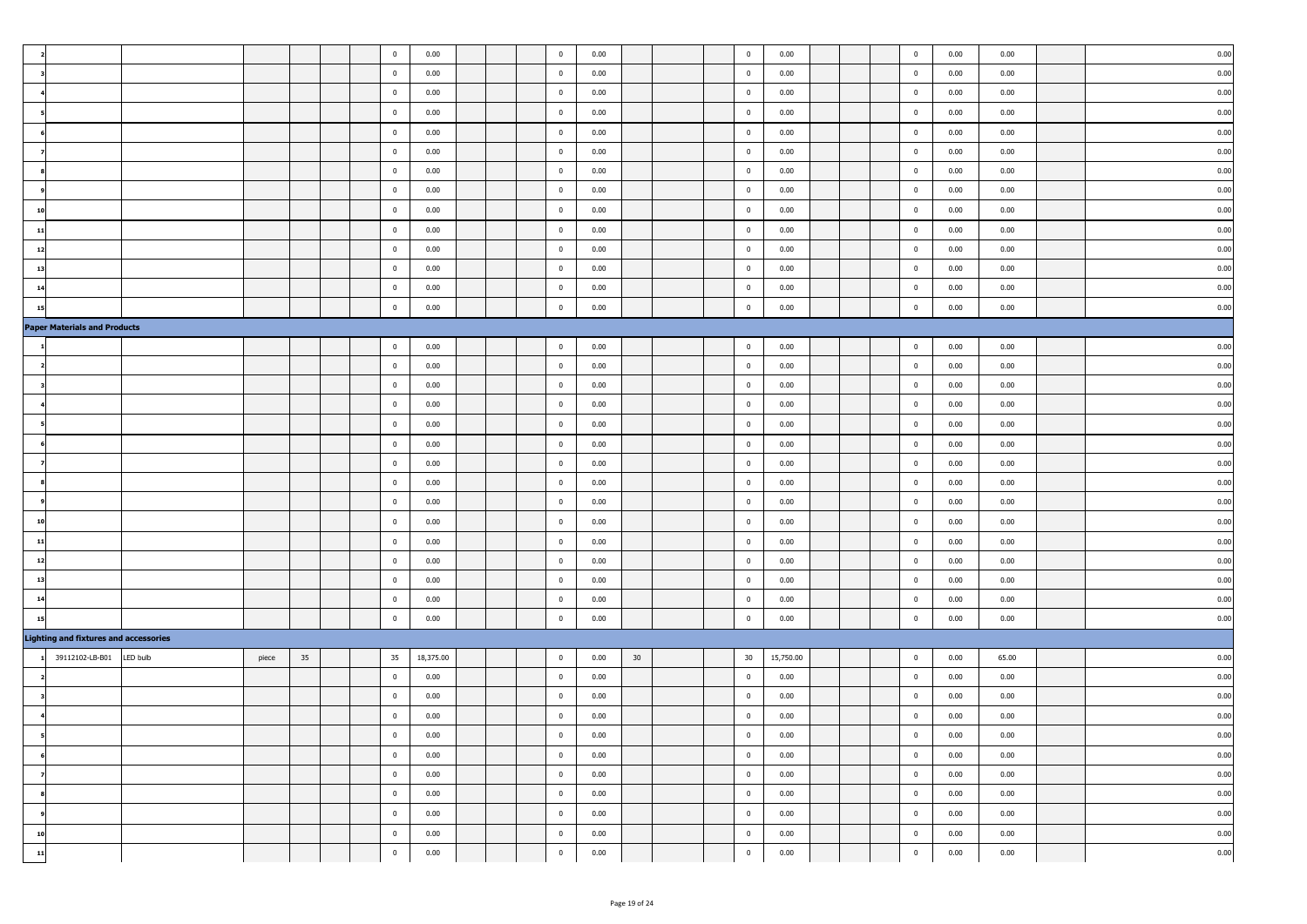|                                              |          |       |    |  | $\mathbf 0$             | 0.00      |  | $\overline{\mathbf{0}}$ | 0.00 |    |  | $\mathbf 0$             | 0.00      |  | $\mathbf 0$             | 0.00     | 0.00  | 0.00 |
|----------------------------------------------|----------|-------|----|--|-------------------------|-----------|--|-------------------------|------|----|--|-------------------------|-----------|--|-------------------------|----------|-------|------|
|                                              |          |       |    |  | $\overline{0}$          | 0.00      |  | $\mathbf 0$             | 0.00 |    |  | $\mathbf 0$             | 0.00      |  | $\bf{0}$                | 0.00     | 0.00  | 0.00 |
|                                              |          |       |    |  | $\overline{0}$          | 0.00      |  | $\bf{0}$                | 0.00 |    |  | $\mathbf 0$             | 0.00      |  | $\bf{0}$                | 0.00     | 0.00  | 0.00 |
|                                              |          |       |    |  | $\bf{0}$                | 0.00      |  | $\overline{0}$          | 0.00 |    |  | $\overline{\mathbf{0}}$ | 0.00      |  | $\overline{0}$          | 0.00     | 0.00  | 0.00 |
|                                              |          |       |    |  | $\overline{0}$          | 0.00      |  | $\overline{0}$          | 0.00 |    |  | $\bf{0}$                | 0.00      |  | $\bf{0}$                | 0.00     | 0.00  | 0.00 |
|                                              |          |       |    |  | $\bf{0}$                | 0.00      |  | $\overline{0}$          | 0.00 |    |  | $\mathbf 0$             | 0.00      |  | $\mathbf 0$             | 0.00     | 0.00  | 0.00 |
|                                              |          |       |    |  | $\bf{0}$                | 0.00      |  | $\bf{0}$                | 0.00 |    |  | $\mathbf 0$             | 0.00      |  | $\overline{\mathbf{0}}$ | 0.00     | 0.00  | 0.00 |
|                                              |          |       |    |  | $\overline{0}$          | 0.00      |  | $\overline{0}$          | 0.00 |    |  | $\mathbf 0$             | 0.00      |  | $\bf{0}$                | 0.00     | 0.00  | 0.00 |
| 10                                           |          |       |    |  | $\overline{\mathbf{0}}$ | 0.00      |  | $\bf{0}$                | 0.00 |    |  | $\overline{\mathbf{0}}$ | 0.00      |  | $\bf{0}$                | 0.00     | 0.00  | 0.00 |
| 11                                           |          |       |    |  | $\overline{0}$          | 0.00      |  | $\overline{0}$          | 0.00 |    |  | $\overline{0}$          | 0.00      |  | $\bf{0}$                | 0.00     | 0.00  | 0.00 |
| 12                                           |          |       |    |  | $\overline{0}$          | 0.00      |  | $\overline{0}$          | 0.00 |    |  | $\overline{0}$          | 0.00      |  | $\bf{0}$                | 0.00     | 0.00  | 0.00 |
| 13                                           |          |       |    |  | $\overline{\mathbf{0}}$ | 0.00      |  | $\bf{0}$                | 0.00 |    |  | $\mathbf 0$             | 0.00      |  | $\bf{0}$                | 0.00     | 0.00  | 0.00 |
| 14                                           |          |       |    |  | $\overline{\mathbf{0}}$ | 0.00      |  | $\bf{0}$                | 0.00 |    |  | $\overline{\mathbf{0}}$ | 0.00      |  | $\bf{0}$                | 0.00     | 0.00  | 0.00 |
| 15                                           |          |       |    |  | $\bf{0}$                | 0.00      |  | $\overline{\mathbf{0}}$ | 0.00 |    |  | $\overline{\mathbf{0}}$ | 0.00      |  | $\mathbf 0$             | 0.00     | 0.00  | 0.00 |
| <b>Paper Materials and Products</b>          |          |       |    |  |                         |           |  |                         |      |    |  |                         |           |  |                         |          |       |      |
|                                              |          |       |    |  | $\overline{\mathbf{0}}$ | 0.00      |  | $\overline{0}$          | 0.00 |    |  | $\bf{0}$                | 0.00      |  | $\bf{0}$                | 0.00     | 0.00  | 0.00 |
|                                              |          |       |    |  | $\overline{\mathbf{0}}$ | 0.00      |  | $\overline{0}$          | 0.00 |    |  | $\mathbf 0$             | 0.00      |  | $\overline{0}$          | 0.00     | 0.00  | 0.00 |
|                                              |          |       |    |  | $\overline{\mathbf{0}}$ | 0.00      |  | $\bf{0}$                | 0.00 |    |  | $\mathbf 0$             | 0.00      |  | $\bf{0}$                | 0.00     | 0.00  | 0.00 |
|                                              |          |       |    |  | $\overline{0}$          | 0.00      |  | $\overline{0}$          | 0.00 |    |  | $\overline{0}$          | 0.00      |  | $\bf{0}$                | 0.00     | 0.00  | 0.00 |
|                                              |          |       |    |  | $\overline{\mathbf{0}}$ | 0.00      |  | $\bf{0}$                | 0.00 |    |  | $\overline{\mathbf{0}}$ | 0.00      |  | $\bf{0}$                | 0.00     | 0.00  | 0.00 |
|                                              |          |       |    |  | $\overline{0}$          | 0.00      |  | $\overline{0}$          | 0.00 |    |  | $\overline{0}$          | 0.00      |  | $\bf{0}$                | 0.00     | 0.00  | 0.00 |
|                                              |          |       |    |  | $\overline{0}$          | 0.00      |  | $\overline{0}$          | 0.00 |    |  | $\overline{0}$          | 0.00      |  | $\bf{0}$                | 0.00     | 0.00  | 0.00 |
|                                              |          |       |    |  | $\bf{0}$                | 0.00      |  | $\bf{0}$                | 0.00 |    |  | $\mathbf 0$             | 0.00      |  | $\bf{0}$                | 0.00     | 0.00  | 0.00 |
|                                              |          |       |    |  | $\overline{0}$          | 0.00      |  | $\bf{0}$                | 0.00 |    |  | $\mathbf 0$             | 0.00      |  | $\overline{0}$          | 0.00     | 0.00  | 0.00 |
|                                              |          |       |    |  | $\bf{0}$                | 0.00      |  | $\overline{\mathbf{0}}$ | 0.00 |    |  | $\mathbf 0$             | 0.00      |  | $\mathbf 0$             | 0.00     | 0.00  | 0.00 |
| 11                                           |          |       |    |  | $\overline{0}$          | 0.00      |  | $\overline{\mathbf{0}}$ | 0.00 |    |  | $\mathbf 0$             | 0.00      |  | $\bf{0}$                | 0.00     | 0.00  | 0.00 |
| 12                                           |          |       |    |  | $\overline{0}$          | 0.00      |  | $\overline{0}$          | 0.00 |    |  | $\mathbf 0$             | 0.00      |  | $\bf{0}$                | 0.00     | 0.00  | 0.00 |
| 13                                           |          |       |    |  | $\bf{0}$                | 0.00      |  | $\overline{0}$          | 0.00 |    |  | $\mathbf 0$             | 0.00      |  | $\mathbf 0$             | 0.00     | 0.00  | 0.00 |
| 14                                           |          |       |    |  | $\bf{0}$                | 0.00      |  | $\overline{\mathbf{0}}$ | 0.00 |    |  | $\overline{0}$          | 0.00      |  | $\overline{\mathbf{0}}$ | 0.00     | 0.00  | 0.00 |
| 15                                           |          |       |    |  | $\overline{\mathbf{0}}$ | 0.00      |  | $\pmb{0}$               | 0.00 |    |  | $\mathbf 0$             | 0.00      |  | $\mathbf 0$             | 0.00     | 0.00  | 0.00 |
| <b>Lighting and fixtures and accessories</b> |          |       |    |  |                         |           |  |                         |      |    |  |                         |           |  |                         |          |       |      |
| 39112102-LB-B01                              | LED bulb | piece | 35 |  | 35                      | 18,375.00 |  | $\overline{0}$          | 0.00 | 30 |  | 30                      | 15,750.00 |  | $\bf{0}$                | 0.00     | 65.00 | 0.00 |
|                                              |          |       |    |  | $\overline{0}$          | 0.00      |  | $\overline{0}$          | 0.00 |    |  | $\overline{0}$          | 0.00      |  | $\bf{0}$                | 0.00     | 0.00  | 0.00 |
|                                              |          |       |    |  | $\overline{0}$          | 0.00      |  | $\overline{0}$          | 0.00 |    |  | $\overline{0}$          | 0.00      |  | $\overline{\mathbf{0}}$ | 0.00     | 0.00  | 0.00 |
|                                              |          |       |    |  | $\overline{0}$          | 0.00      |  | $\bf{0}$                | 0.00 |    |  | $\mathbf 0$             | 0.00      |  | $\bf{0}$                | 0.00     | 0.00  | 0.00 |
|                                              |          |       |    |  | $\Omega$                | $0.00\,$  |  |                         | 0.00 |    |  | $\pmb{0}$               | 0.00      |  | $\pmb{0}$               | 0.00     | 0.00  | 0.00 |
| - 6                                          |          |       |    |  | $\overline{0}$          | 0.00      |  | $\mathbf 0$             | 0.00 |    |  | $\overline{0}$          | 0.00      |  | $\overline{0}$          | 0.00     | 0.00  | 0.00 |
| $\overline{z}$                               |          |       |    |  | $\overline{0}$          | 0.00      |  | $\overline{0}$          | 0.00 |    |  | $\overline{0}$          | 0.00      |  | $\overline{0}$          | 0.00     | 0.00  | 0.00 |
| 8                                            |          |       |    |  | $\bf{0}$                | 0.00      |  | $\bf{0}$                | 0.00 |    |  | $\bf{0}$                | 0.00      |  | $\bf{0}$                | 0.00     | 0.00  | 0.00 |
| 9                                            |          |       |    |  | $\overline{0}$          | 0.00      |  | $\mathbf 0$             | 0.00 |    |  | $\mathbf 0$             | 0.00      |  | $\overline{0}$          | 0.00     | 0.00  | 0.00 |
| 10                                           |          |       |    |  | $\overline{\mathbf{0}}$ | 0.00      |  | $\mathbf 0$             | 0.00 |    |  | $\mathbf 0$             | 0.00      |  | $\overline{0}$          | 0.00     | 0.00  | 0.00 |
| 11                                           |          |       |    |  | $\bf{0}$                | 0.00      |  | $\mathbf 0$             | 0.00 |    |  | $\bf{0}$                | 0.00      |  | $\bf{0}$                | $0.00\,$ | 0.00  | 0.00 |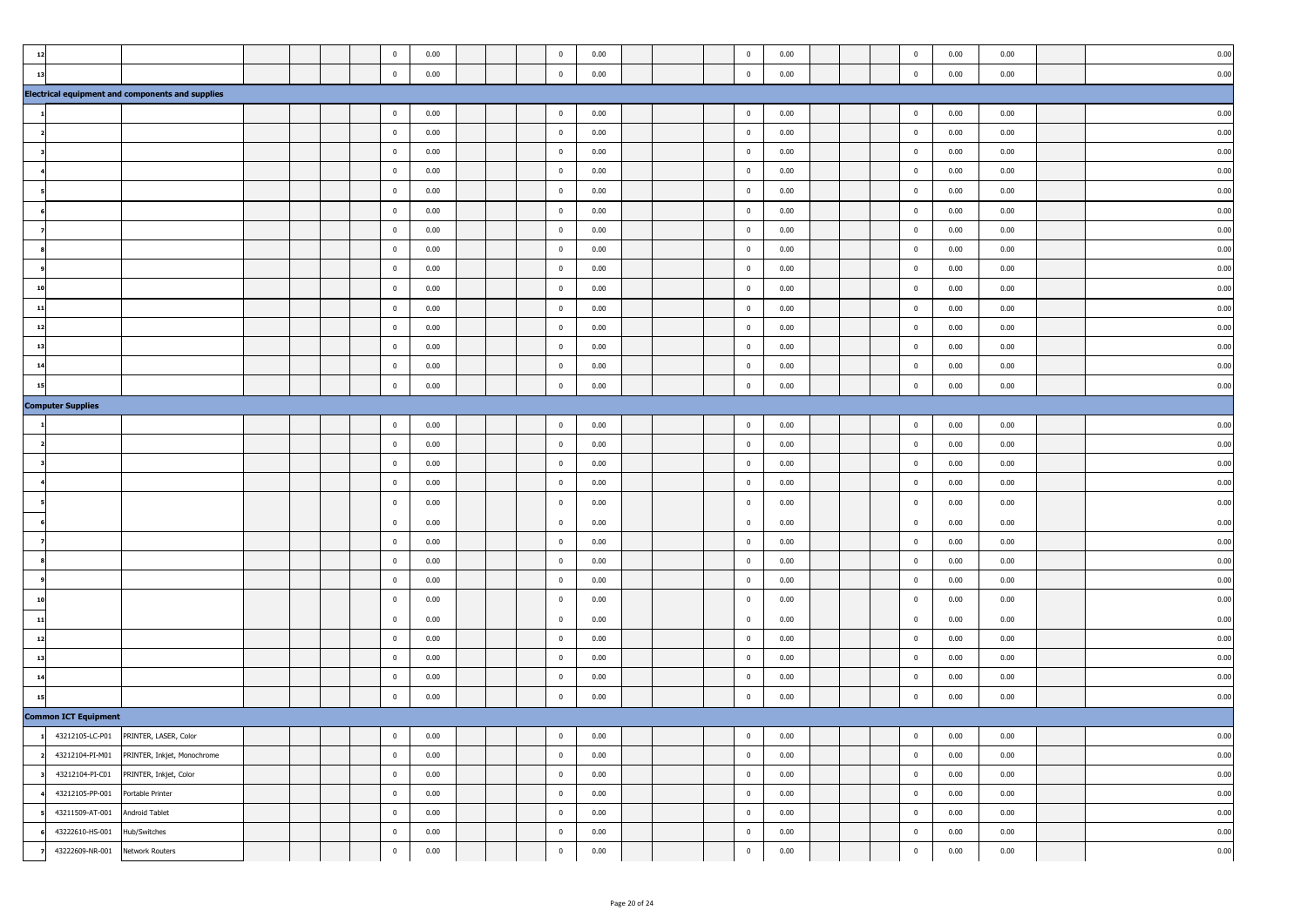| $1\,$                                                 |                                                                                      |  | $\bf{0}$                                        | 0.00                 |  | $\bf{0}$                                  | 0.00                 |  | $\overline{0}$                      | 0.00                 |  | $\bf{0}$                            | 0.00                 | 0.00                 | 0.00                 |
|-------------------------------------------------------|--------------------------------------------------------------------------------------|--|-------------------------------------------------|----------------------|--|-------------------------------------------|----------------------|--|-------------------------------------|----------------------|--|-------------------------------------|----------------------|----------------------|----------------------|
| 13                                                    |                                                                                      |  | $\bf{0}$                                        | 0.00                 |  | $\mathbf 0$                               | 0.00                 |  | $\mathbf 0$                         | 0.00                 |  | $\mathbf 0$                         | 0.00                 | 0.00                 | 0.00                 |
|                                                       | <b>Electrical equipment and components and supplies</b>                              |  |                                                 |                      |  |                                           |                      |  |                                     |                      |  |                                     |                      |                      |                      |
|                                                       |                                                                                      |  | $\mathbf 0$                                     | 0.00                 |  | $\overline{\mathbf{0}}$                   | 0.00                 |  | $\bf{0}$                            | 0.00                 |  | $\bf{0}$                            | 0.00                 | 0.00                 | 0.00                 |
|                                                       |                                                                                      |  | $\mathbf 0$                                     | 0.00                 |  | $\mathbf 0$                               | 0.00                 |  | $\bf{0}$                            | 0.00                 |  | $\mathbf 0$                         | 0.00                 | 0.00                 | 0.00                 |
|                                                       |                                                                                      |  | $\bf{0}$                                        | 0.00                 |  | $\bf{0}$                                  | 0.00                 |  | $\overline{0}$                      | 0.00                 |  | $\mathbf{0}$                        | 0.00                 | 0.00                 | 0.00                 |
|                                                       |                                                                                      |  | $\bf{0}$                                        | 0.00                 |  | $\overline{\mathbf{0}}$                   | 0.00                 |  | $\overline{0}$                      | 0.00                 |  | $\mathbf{0}$                        | 0.00                 | 0.00                 | 0.00                 |
|                                                       |                                                                                      |  | $\bf{0}$                                        | 0.00                 |  | $\mathbf 0$                               | 0.00                 |  | $\pmb{0}$                           | 0.00                 |  | $\mathbf{0}$                        | 0.00                 | 0.00                 | 0.00                 |
|                                                       |                                                                                      |  | $\mathbf 0$                                     | 0.00                 |  | $\bf{0}$                                  | 0.00                 |  | $\bf{0}$                            | 0.00                 |  | $\mathbf 0$                         | 0.00                 | 0.00                 | 0.00                 |
|                                                       |                                                                                      |  | $\overline{\mathbf{0}}$                         | 0.00                 |  | $\bf{0}$                                  | 0.00                 |  | $\overline{0}$                      | 0.00                 |  | $\mathbf 0$                         | 0.00                 | 0.00                 | 0.00                 |
|                                                       |                                                                                      |  | $\bf{0}$                                        | 0.00                 |  | $\bf{0}$                                  | 0.00                 |  | $\overline{0}$                      | 0.00                 |  | $\bf{0}$                            | 0.00                 | 0.00                 | 0.00                 |
|                                                       |                                                                                      |  | $\bf{0}$                                        | 0.00                 |  | $\overline{0}$                            | 0.00                 |  | $\overline{0}$                      | 0.00                 |  | $\mathbf{0}$                        | 0.00                 | 0.00                 | 0.00                 |
|                                                       |                                                                                      |  | $\bf{0}$                                        | 0.00                 |  | $\mathbf 0$                               | 0.00                 |  | $\overline{\mathbf{0}}$             | 0.00                 |  | $\overline{0}$                      | 0.00                 | 0.00                 | 0.00                 |
| 11                                                    |                                                                                      |  | $\mathbf 0$                                     | 0.00                 |  | $\bf{0}$                                  | 0.00                 |  | $\bf{0}$                            | 0.00                 |  | $\overline{0}$                      | 0.00                 | 0.00                 | 0.00                 |
| 12                                                    |                                                                                      |  | $\pmb{0}$                                       | 0.00                 |  | $\bf{0}$                                  | 0.00                 |  | $\bf{0}$                            | 0.00                 |  | $\mathbf 0$                         | 0.00                 | 0.00                 | 0.00                 |
| 13                                                    |                                                                                      |  | $\mathbf 0$                                     | 0.00                 |  | $\mathbf 0$                               | 0.00                 |  | $\bf{0}$                            | 0.00                 |  | $\mathbf 0$                         | 0.00                 | 0.00                 | 0.00                 |
| 14                                                    |                                                                                      |  | $\bf{0}$                                        | 0.00                 |  | $\mathbf 0$                               | 0.00                 |  | $\overline{0}$                      | 0.00                 |  | $\mathbf{0}$                        | 0.00                 | 0.00                 | 0.00                 |
| 15                                                    |                                                                                      |  | $\bf{0}$                                        | 0.00                 |  | $\pmb{0}$                                 | 0.00                 |  | $\mathbf 0$                         | 0.00                 |  | $\mathbf{0}$                        | 0.00                 | 0.00                 | 0.00                 |
| <b>Computer Supplies</b>                              |                                                                                      |  |                                                 |                      |  |                                           |                      |  |                                     |                      |  |                                     |                      |                      |                      |
|                                                       |                                                                                      |  | $\mathbf 0$                                     | 0.00                 |  | $\bf{0}$                                  | 0.00                 |  | $\bf{0}$                            | 0.00                 |  | $\mathbf 0$                         | 0.00                 | 0.00                 | 0.00                 |
|                                                       |                                                                                      |  | $\overline{\mathbf{0}}$                         | 0.00                 |  | $\bf{0}$                                  | 0.00                 |  | $\overline{0}$                      | 0.00                 |  | $\mathbf 0$                         | 0.00                 | 0.00                 | 0.00                 |
|                                                       |                                                                                      |  | $\bf{0}$                                        | 0.00                 |  | $\bf{0}$                                  | 0.00                 |  | $\overline{0}$                      | 0.00                 |  | $\bf{0}$                            | 0.00                 | 0.00                 | 0.00                 |
|                                                       |                                                                                      |  | $\overline{0}$                                  | 0.00                 |  | $\overline{0}$                            | 0.00                 |  | $\overline{0}$                      | 0.00                 |  | $\mathbf{0}$                        | 0.00                 | 0.00                 | 0.00                 |
|                                                       |                                                                                      |  | 0                                               | 0.00                 |  | $\mathbf 0$                               | 0.00                 |  | $\overline{0}$                      | 0.00                 |  | $\mathbf{0}$                        | 0.00                 | 0.00                 | 0.00                 |
|                                                       |                                                                                      |  | $\bf{0}$                                        | 0.00                 |  | $\pmb{0}$                                 | 0.00                 |  | $\overline{0}$                      | 0.00                 |  | $\mathbf{0}$                        | 0.00                 | 0.00                 | 0.00                 |
|                                                       |                                                                                      |  | $\overline{\mathbf{0}}$                         | 0.00                 |  | $\bf{0}$                                  | 0.00                 |  | $\bf{0}$                            | 0.00                 |  | $\mathbf 0$                         | 0.00                 | 0.00                 | 0.00                 |
|                                                       |                                                                                      |  | $\overline{0}$                                  | 0.00                 |  | $\mathbf 0$                               | 0.00                 |  | $\bf{0}$                            | 0.00                 |  | $\mathbf 0$                         | 0.00                 | 0.00                 | 0.00                 |
|                                                       |                                                                                      |  | $\overline{0}$                                  | 0.00                 |  | $\mathbf 0$                               | 0.00                 |  | $\overline{0}$                      | 0.00                 |  | $\bf{0}$                            | 0.00                 | 0.00                 | 0.00                 |
|                                                       |                                                                                      |  | 0                                               | 0.00                 |  | $\pmb{0}$                                 | 0.00                 |  | $\overline{0}$                      | 0.00                 |  | $\mathbf{0}$                        | 0.00                 | 0.00                 | 0.00                 |
| 11                                                    |                                                                                      |  | $\bf{0}$                                        | 0.00                 |  | $\overline{0}$                            | 0.00                 |  | $\bf{0}$                            | 0.00                 |  | $\mathbf{0}$                        | 0.00                 | 0.00                 | 0.00                 |
| 12                                                    |                                                                                      |  | $\overline{\mathbf{0}}$                         | 0.00                 |  | $\bf{0}$                                  | 0.00                 |  | $\overline{0}$                      | 0.00                 |  | $\bf{0}$                            | 0.00                 | 0.00                 | 0.00                 |
| 13                                                    |                                                                                      |  | $\mathbf 0$                                     | 0.00                 |  | $\bf{0}$                                  | 0.00                 |  | $\mathbf 0$                         | 0.00                 |  | $\mathbf 0$                         | 0.00                 | 0.00                 | 0.00                 |
| 14                                                    |                                                                                      |  | $\bf{0}$                                        | 0.00                 |  | $\overline{0}$                            | 0.00                 |  | $\overline{0}$                      | 0.00                 |  | $\bf{0}$                            | 0.00                 | 0.00                 | 0.00                 |
| 15                                                    |                                                                                      |  | $\mathbf 0$                                     | 0.00                 |  | $\mathbf 0$                               | 0.00                 |  | $\mathbf 0$                         | 0.00                 |  | $\overline{0}$                      | 0.00                 | 0.00                 | 0.00                 |
| <b>Common ICT Equipment</b><br>$\mathbf{1}$           |                                                                                      |  |                                                 |                      |  |                                           |                      |  |                                     |                      |  |                                     |                      |                      |                      |
|                                                       | 43212105-LC-P01 PRINTER, LASER, Color<br>43212104-PI-M01 PRINTER, Inkjet, Monochrome |  | $\bf{0}$                                        | 0.00<br>0.00         |  | $\bf{0}$                                  | 0.00<br>0.00         |  | $\bf{0}$                            | 0.00<br>0.00         |  | $\mathbf 0$                         | 0.00<br>0.00         | 0.00<br>0.00         | 0.00<br>0.00         |
| 43212104-PI-C01                                       | PRINTER, Inkjet, Color                                                               |  | $\bf{0}$                                        | 0.00                 |  | $\overline{\mathbf{0}}$                   | 0.00                 |  | $\mathbb O$                         | 0.00                 |  | $\bf{0}$                            | 0.00                 | 0.00                 | 0.00                 |
|                                                       |                                                                                      |  |                                                 |                      |  |                                           |                      |  |                                     |                      |  |                                     |                      |                      |                      |
|                                                       |                                                                                      |  |                                                 |                      |  |                                           |                      |  |                                     |                      |  |                                     |                      |                      |                      |
|                                                       |                                                                                      |  |                                                 |                      |  |                                           |                      |  |                                     |                      |  |                                     |                      |                      |                      |
| 43222609-NR-001                                       | Network Routers                                                                      |  | $\mathbf 0$                                     | 0.00                 |  | $\mathbf 0$                               | 0.00                 |  | $\mathbf 0$                         | 0.00                 |  | $\bf{0}$                            | 0.00                 | 0.00                 | 0.00                 |
| 43212105-PP-001<br>43211509-AT-001<br>43222610-HS-001 | Portable Printer<br>Android Tablet<br>Hub/Switches                                   |  | $\overline{0}$<br>$\overline{0}$<br>$\mathbf 0$ | 0.00<br>0.00<br>0.00 |  | $\bf{0}$<br>$\overline{0}$<br>$\mathbf 0$ | 0.00<br>0.00<br>0.00 |  | $\bf{0}$<br>$\bf{0}$<br>$\mathbf 0$ | 0.00<br>0.00<br>0.00 |  | $\bf{0}$<br>$\bf{0}$<br>$\mathbf 0$ | 0.00<br>0.00<br>0.00 | 0.00<br>0.00<br>0.00 | 0.00<br>0.00<br>0.00 |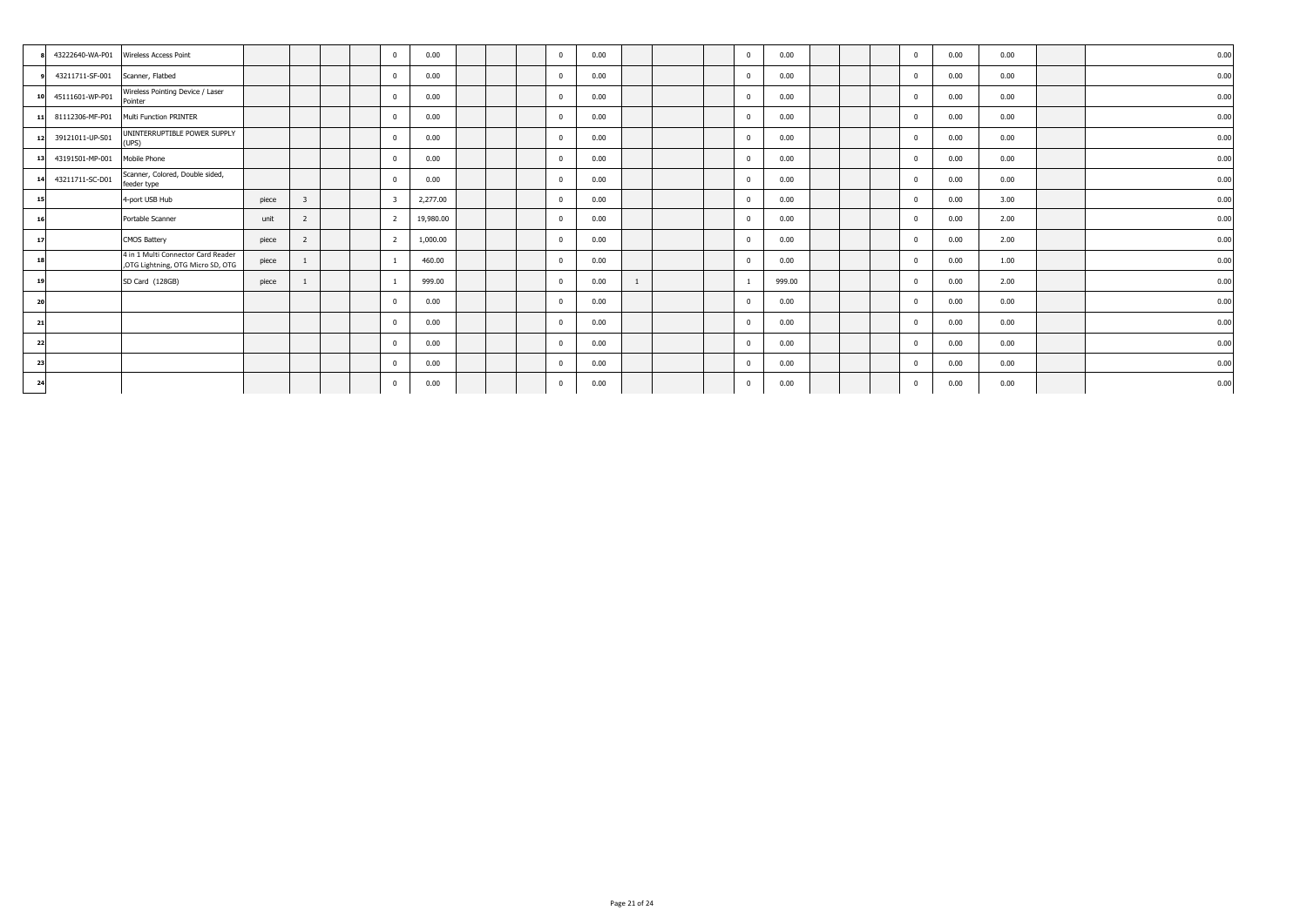|    |                                  | 43222640-WA-P01 Wireless Access Point                                   |       |                |  | $\overline{0}$ | 0.00      |  | $\Omega$   | 0.00 |  | $\overline{0}$ | 0.00   |  | $\Omega$ | 0.00 | 0.00 | 0.00 |
|----|----------------------------------|-------------------------------------------------------------------------|-------|----------------|--|----------------|-----------|--|------------|------|--|----------------|--------|--|----------|------|------|------|
|    | 43211711-SF-001 Scanner, Flatbed |                                                                         |       |                |  | $\mathbf{0}$   | 0.00      |  | $\Omega$   | 0.00 |  | $\overline{0}$ | 0.00   |  |          | 0.00 | 0.00 | 0.00 |
| 10 | 45111601-WP-P01                  | Wireless Pointing Device / Laser<br>Pointer                             |       |                |  | $\overline{0}$ | 0.00      |  |            | 0.00 |  | $\mathbf{0}$   | 0.00   |  |          | 0.00 | 0.00 | 0.00 |
|    | 11 81112306-MF-P01               | Multi Function PRINTER                                                  |       |                |  | $\overline{0}$ | 0.00      |  | $\Omega$   | 0.00 |  | $\overline{0}$ | 0.00   |  |          | 0.00 | 0.00 | 0.00 |
| 12 | 39121011-UP-S01                  | UNINTERRUPTIBLE POWER SUPPLY<br>(UPS)                                   |       |                |  | $\overline{0}$ | 0.00      |  |            | 0.00 |  | $\overline{0}$ | 0.00   |  |          | 0.00 | 0.00 | 0.00 |
| 13 | 43191501-MP-001                  | Mobile Phone                                                            |       |                |  | $\overline{0}$ | 0.00      |  | $\Omega$   | 0.00 |  | $\mathbf{0}$   | 0.00   |  |          | 0.00 | 0.00 | 0.00 |
| 14 | 43211711-SC-D01                  | Scanner, Colored, Double sided,<br>feeder type                          |       |                |  | $\mathbf{0}$   | 0.00      |  | $\Omega$   | 0.00 |  | $\overline{0}$ | 0.00   |  |          | 0.00 | 0.00 | 0.00 |
| 15 |                                  | 4-port USB Hub                                                          | piece | $\overline{3}$ |  | $\overline{3}$ | 2,277.00  |  | $\sqrt{2}$ | 0.00 |  | $\mathbf{0}$   | 0.00   |  |          | 0.00 | 3.00 | 0.00 |
| 16 |                                  | Portable Scanner                                                        | unit  | 2              |  | $\overline{2}$ | 19,980.00 |  |            | 0.00 |  | $\overline{0}$ | 0.00   |  |          | 0.00 | 2.00 | 0.00 |
| 17 |                                  | <b>CMOS Battery</b>                                                     | piece | 2              |  | $\overline{2}$ | 1,000.00  |  | $\Omega$   | 0.00 |  | $\overline{0}$ | 0.00   |  | $\Omega$ | 0.00 | 2.00 | 0.00 |
| 18 |                                  | 4 in 1 Multi Connector Card Reader<br>,OTG Lightning, OTG Micro SD, OTG | piece |                |  |                | 460.00    |  |            | 0.00 |  | $\mathbf{0}$   | 0.00   |  |          | 0.00 | 1.00 | 0.00 |
| 19 |                                  | SD Card (128GB)                                                         | piece |                |  |                | 999.00    |  | $\Omega$   | 0.00 |  |                | 999.00 |  |          | 0.00 | 2.00 | 0.00 |
| 20 |                                  |                                                                         |       |                |  | $\overline{0}$ | 0.00      |  | $\Omega$   | 0.00 |  | $\overline{0}$ | 0.00   |  |          | 0.00 | 0.00 | 0.00 |
| 21 |                                  |                                                                         |       |                |  | $\overline{0}$ | 0.00      |  |            | 0.00 |  | $\mathbf{0}$   | 0.00   |  |          | 0.00 | 0.00 | 0.00 |
| 22 |                                  |                                                                         |       |                |  | $\overline{0}$ | 0.00      |  |            | 0.00 |  | $\mathbf{0}$   | 0.00   |  |          | 0.00 | 0.00 | 0.00 |
| 23 |                                  |                                                                         |       |                |  | $\overline{0}$ | 0.00      |  | $\Omega$   | 0.00 |  | $\overline{0}$ | 0.00   |  |          | 0.00 | 0.00 | 0.00 |
| 24 |                                  |                                                                         |       |                |  | $\mathbf{0}$   | 0.00      |  | $\Omega$   | 0.00 |  | $\overline{0}$ | 0.00   |  | $\Omega$ | 0.00 | 0.00 | 0.00 |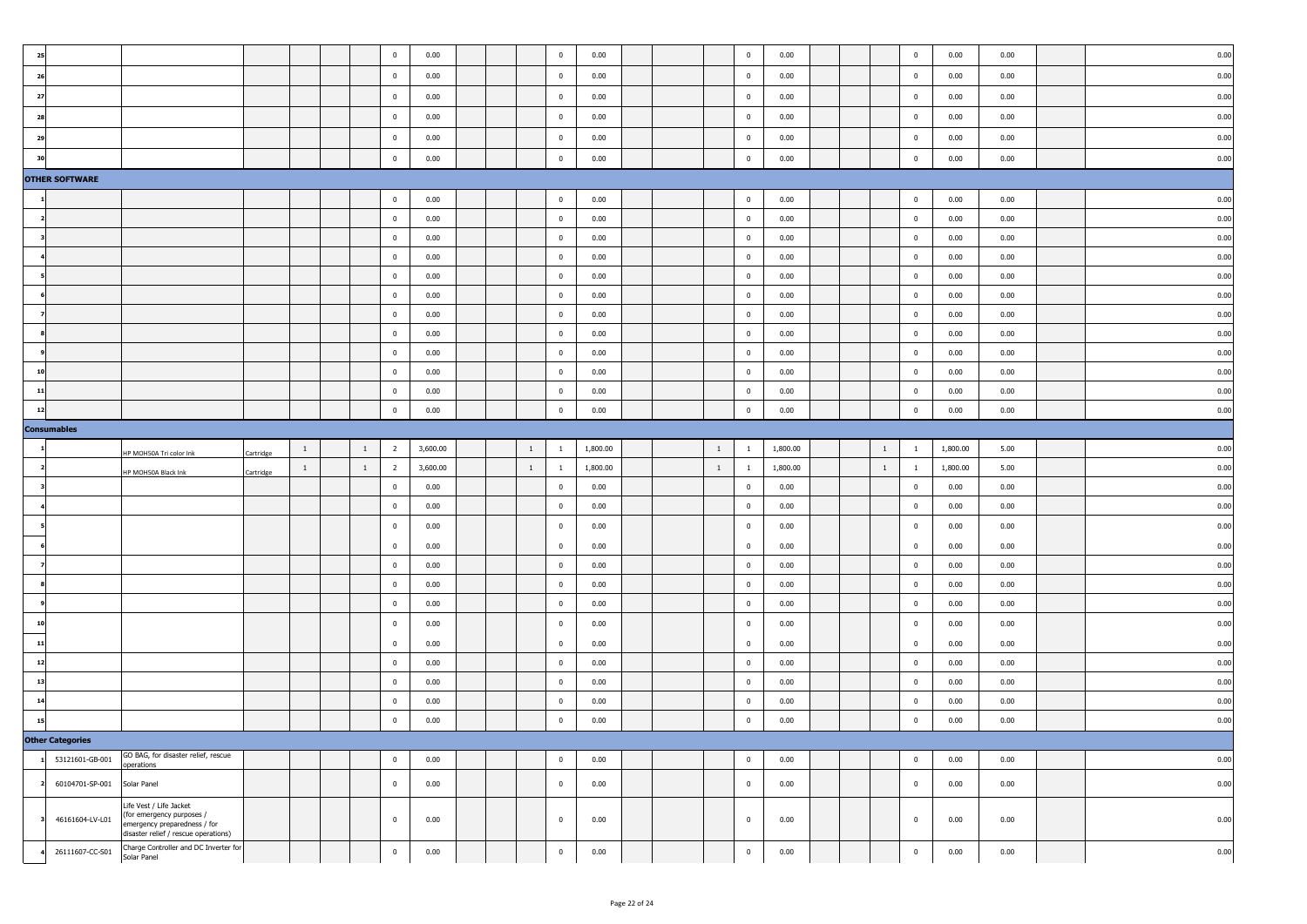| 25             |                             |                                                                                                                              |           |                |              | $\overline{0}$          | 0.00     |  |              | $\bf{0}$       | 0.00     |  |                | $\bf{0}$                | 0.00     |  |              | $\overline{0}$          | 0.00     | 0.00 | 0.00 |
|----------------|-----------------------------|------------------------------------------------------------------------------------------------------------------------------|-----------|----------------|--------------|-------------------------|----------|--|--------------|----------------|----------|--|----------------|-------------------------|----------|--|--------------|-------------------------|----------|------|------|
| 26             |                             |                                                                                                                              |           |                |              | $\overline{0}$          | 0.00     |  |              | $\bf{0}$       | 0.00     |  |                | $\overline{0}$          | 0.00     |  |              | $\pmb{0}$               | 0.00     | 0.00 | 0.00 |
| 27             |                             |                                                                                                                              |           |                |              | $\overline{0}$          | 0.00     |  |              | $\bf{0}$       | 0.00     |  |                | $\overline{0}$          | 0.00     |  |              | $\overline{0}$          | 0.00     | 0.00 | 0.00 |
| 28             |                             |                                                                                                                              |           |                |              | $\overline{0}$          | 0.00     |  |              | $\bf{0}$       | 0.00     |  |                | $\overline{\mathbf{0}}$ | 0.00     |  |              | $\overline{0}$          | 0.00     | 0.00 | 0.00 |
| 29             |                             |                                                                                                                              |           |                |              | $\overline{0}$          | 0.00     |  |              | $\bf{0}$       | 0.00     |  |                | $\overline{0}$          | 0.00     |  |              | $\overline{0}$          | 0.00     | 0.00 | 0.00 |
| 3 <sub>0</sub> |                             |                                                                                                                              |           |                |              | $\overline{\mathbf{0}}$ | 0.00     |  |              | $\mathbf 0$    | 0.00     |  |                | $\mathbf 0$             | 0.00     |  |              | $\mathbf 0$             | 0.00     | 0.00 | 0.00 |
|                | <b>OTHER SOFTWARE</b>       |                                                                                                                              |           |                |              |                         |          |  |              |                |          |  |                |                         |          |  |              |                         |          |      |      |
|                |                             |                                                                                                                              |           |                |              | $\overline{0}$          | 0.00     |  |              | $\bf{0}$       | 0.00     |  |                | $\bf{0}$                | 0.00     |  |              | $\overline{0}$          | 0.00     | 0.00 | 0.00 |
|                |                             |                                                                                                                              |           |                |              | $\mathbf 0$             | 0.00     |  |              | $\bf{0}$       | 0.00     |  |                | $\bf{0}$                | 0.00     |  |              | $\overline{0}$          | 0.00     | 0.00 | 0.00 |
|                |                             |                                                                                                                              |           |                |              | $\overline{0}$          | 0.00     |  |              | $\bf{0}$       | 0.00     |  |                | $\overline{0}$          | 0.00     |  |              | $\bf{0}$                | 0.00     | 0.00 | 0.00 |
|                |                             |                                                                                                                              |           |                |              | $\overline{0}$          | 0.00     |  |              | $\bf{0}$       | 0.00     |  |                | $\overline{0}$          | 0.00     |  |              | $\bf{0}$                | 0.00     | 0.00 | 0.00 |
|                |                             |                                                                                                                              |           |                |              | $\overline{0}$          | 0.00     |  |              | $\bf{0}$       | 0.00     |  |                | $\overline{0}$          | 0.00     |  |              | $\bf{0}$                | 0.00     | 0.00 | 0.00 |
|                |                             |                                                                                                                              |           |                |              | $\overline{0}$          | 0.00     |  |              | $\bf{0}$       | 0.00     |  |                | $\overline{0}$          | 0.00     |  |              | $\bf{0}$                | 0.00     | 0.00 | 0.00 |
|                |                             |                                                                                                                              |           |                |              | $\overline{\mathbf{0}}$ | 0.00     |  |              | $\bf{0}$       | 0.00     |  |                | $\overline{\mathbf{0}}$ | 0.00     |  |              | $\bf{0}$                | 0.00     | 0.00 | 0.00 |
|                |                             |                                                                                                                              |           |                |              | $\overline{0}$          | 0.00     |  |              | $\bf{0}$       | 0.00     |  |                | $\overline{0}$          | 0.00     |  |              | $\bf{0}$                | 0.00     | 0.00 | 0.00 |
|                |                             |                                                                                                                              |           |                |              | $\overline{0}$          | 0.00     |  |              | $\mathbf{0}$   | 0.00     |  |                | $\mathbf{0}$            | 0.00     |  |              | $\overline{0}$          | 0.00     | 0.00 | 0.00 |
| $\overline{1}$ |                             |                                                                                                                              |           |                |              | $\overline{0}$          | 0.00     |  |              | $\mathbf{0}$   | 0.00     |  |                | $\overline{0}$          | 0.00     |  |              | $\overline{0}$          | 0.00     | 0.00 | 0.00 |
| 11             |                             |                                                                                                                              |           |                |              | $\mathbf 0$             | 0.00     |  |              | $\mathbf 0$    | 0.00     |  |                | $\mathbf 0$             | 0.00     |  |              | $\overline{0}$          | 0.00     | 0.00 | 0.00 |
| 12             |                             |                                                                                                                              |           |                |              | $\bf{0}$                | 0.00     |  |              | $\bf{0}$       | 0.00     |  |                | $\mathbf 0$             | 0.00     |  |              | $\mathbf 0$             | 0.00     | 0.00 | 0.00 |
|                | <b>Consumables</b>          |                                                                                                                              |           |                |              |                         |          |  |              |                |          |  |                |                         |          |  |              |                         |          |      |      |
|                |                             | HP MOH50A Tri color Ink                                                                                                      | Cartridge | $\overline{1}$ | 1            | $\overline{2}$          | 3,600.00 |  | $\mathbf{1}$ | $\mathbf{1}$   | 1,800.00 |  | $\mathbf{1}$   | $\mathbf{1}$            | 1,800.00 |  | $\mathbf{1}$ | $\mathbf{1}$            | 1,800.00 | 5.00 | 0.00 |
|                |                             | HP MOH50A Black Ink                                                                                                          | Cartridge | $\overline{1}$ | $\mathbf{1}$ | $\overline{2}$          | 3,600.00 |  | $\mathbf{1}$ | $\mathbf{1}$   | 1,800.00 |  | $\mathbf{1}^-$ | $\mathbf{1}$            | 1,800.00 |  | $\mathbf{1}$ | $\mathbf{1}$            | 1,800.00 | 5.00 | 0.00 |
|                |                             |                                                                                                                              |           |                |              | $\overline{0}$          | 0.00     |  |              | $\bf{0}$       | 0.00     |  |                | $\overline{0}$          | 0.00     |  |              | $\pmb{0}$               | 0.00     | 0.00 | 0.00 |
|                |                             |                                                                                                                              |           |                |              | $\overline{0}$          | 0.00     |  |              | $\bf{0}$       | 0.00     |  |                | $\overline{0}$          | 0.00     |  |              | $\overline{0}$          | 0.00     | 0.00 | 0.00 |
|                |                             |                                                                                                                              |           |                |              | $\overline{0}$          | 0.00     |  |              | $\overline{0}$ | 0.00     |  |                | $\overline{0}$          | 0.00     |  |              | $\bf{0}$                | 0.00     | 0.00 | 0.00 |
|                |                             |                                                                                                                              |           |                |              | $\overline{0}$          | 0.00     |  |              | $\bf{0}$       | 0.00     |  |                | $\mathbf 0$             | 0.00     |  |              | $\mathbf 0$             | 0.00     | 0.00 | 0.00 |
|                |                             |                                                                                                                              |           |                |              | $\overline{\mathbf{0}}$ | 0.00     |  |              | $\bf{0}$       | 0.00     |  |                | $\overline{\mathbf{0}}$ | 0.00     |  |              | $\overline{\mathbf{0}}$ | 0.00     | 0.00 | 0.00 |
|                |                             |                                                                                                                              |           |                |              | $\overline{0}$          | 0.00     |  |              | $\bf{0}$       | 0.00     |  |                | $\overline{\mathbf{0}}$ | 0.00     |  |              | $\bf{0}$                | 0.00     | 0.00 | 0.00 |
|                |                             |                                                                                                                              |           |                |              | $\overline{0}$          | 0.00     |  |              | $\bf{0}$       | 0.00     |  |                | $\overline{0}$          | 0.00     |  |              | $\overline{0}$          | 0.00     | 0.00 | 0.00 |
|                |                             |                                                                                                                              |           |                |              | $\overline{0}$          | 0.00     |  |              | $\bf{0}$       | 0.00     |  |                | $\overline{0}$          | 0.00     |  |              | $\bf{0}$                | 0.00     | 0.00 | 0.00 |
|                |                             |                                                                                                                              |           |                |              | $\mathbf 0$             | 0.00     |  |              | $\mathbf{0}$   | 0.00     |  |                | $\overline{0}$          | 0.00     |  |              | $\overline{0}$          | 0.00     | 0.00 | 0.00 |
| 12             |                             |                                                                                                                              |           |                |              | $\overline{0}$          | 0.00     |  |              | $\bf{0}$       | 0.00     |  |                | $\overline{\mathbf{0}}$ | 0.00     |  |              | $\mathbf{0}$            | 0.00     | 0.00 | 0.00 |
|                |                             |                                                                                                                              |           |                |              | $\mathbf 0$             | 0.00     |  |              | $\bf{0}$       | 0.00     |  |                | $\overline{\mathbf{0}}$ | 0.00     |  |              | $\bf{0}$                | 0.00     | 0.00 | 0.00 |
|                |                             |                                                                                                                              |           |                |              | $\overline{0}$          | 0.00     |  |              | $\bf{0}$       | 0.00     |  |                | $\overline{0}$          | 0.00     |  |              | $\pmb{0}$               | 0.00     | 0.00 | 0.00 |
|                |                             |                                                                                                                              |           |                |              | $\overline{0}$          | 0.00     |  |              | $\mathbf 0$    | 0.00     |  |                | $\pmb{0}$               | 0.00     |  |              | $\overline{0}$          | 0.00     | 0.00 | 0.00 |
|                | Other Categories            |                                                                                                                              |           |                |              |                         |          |  |              |                |          |  |                |                         |          |  |              |                         |          |      |      |
|                | 53121601-GB-001             | GO BAG, for disaster relief, rescue<br>operations                                                                            |           |                |              | $\overline{0}$          | 0.00     |  |              | $\bf{0}$       | 0.00     |  |                | $\mathbf 0$             | 0.00     |  |              | $\overline{0}$          | 0.00     | 0.00 | 0.00 |
|                | 60104701-SP-001 Solar Panel |                                                                                                                              |           |                |              | $\overline{\mathbf{0}}$ | 0.00     |  |              | $\mathbf{0}$   | 0.00     |  |                | $\overline{\mathbf{0}}$ | 0.00     |  |              | $\pmb{0}$               | 0.00     | 0.00 | 0.00 |
|                | 46161604-LV-L01             | Life Vest / Life Jacket<br>(for emergency purposes /<br>emergency preparedness / for<br>disaster relief / rescue operations) |           |                |              | $\overline{\mathbf{0}}$ | 0.00     |  |              | $\mathbf{0}$   | 0.00     |  |                | $\mathbf 0$             | 0.00     |  |              | $\pmb{0}$               | 0.00     | 0.00 | 0.00 |
|                | 26111607-CC-S01             | Charge Controller and DC Inverter for<br>Solar Panel                                                                         |           |                |              | $\mathbf 0$             | 0.00     |  |              | $\mathbf 0$    | 0.00     |  |                | $\mathbf 0$             | 0.00     |  |              | $\mathbf 0$             | 0.00     | 0.00 | 0.00 |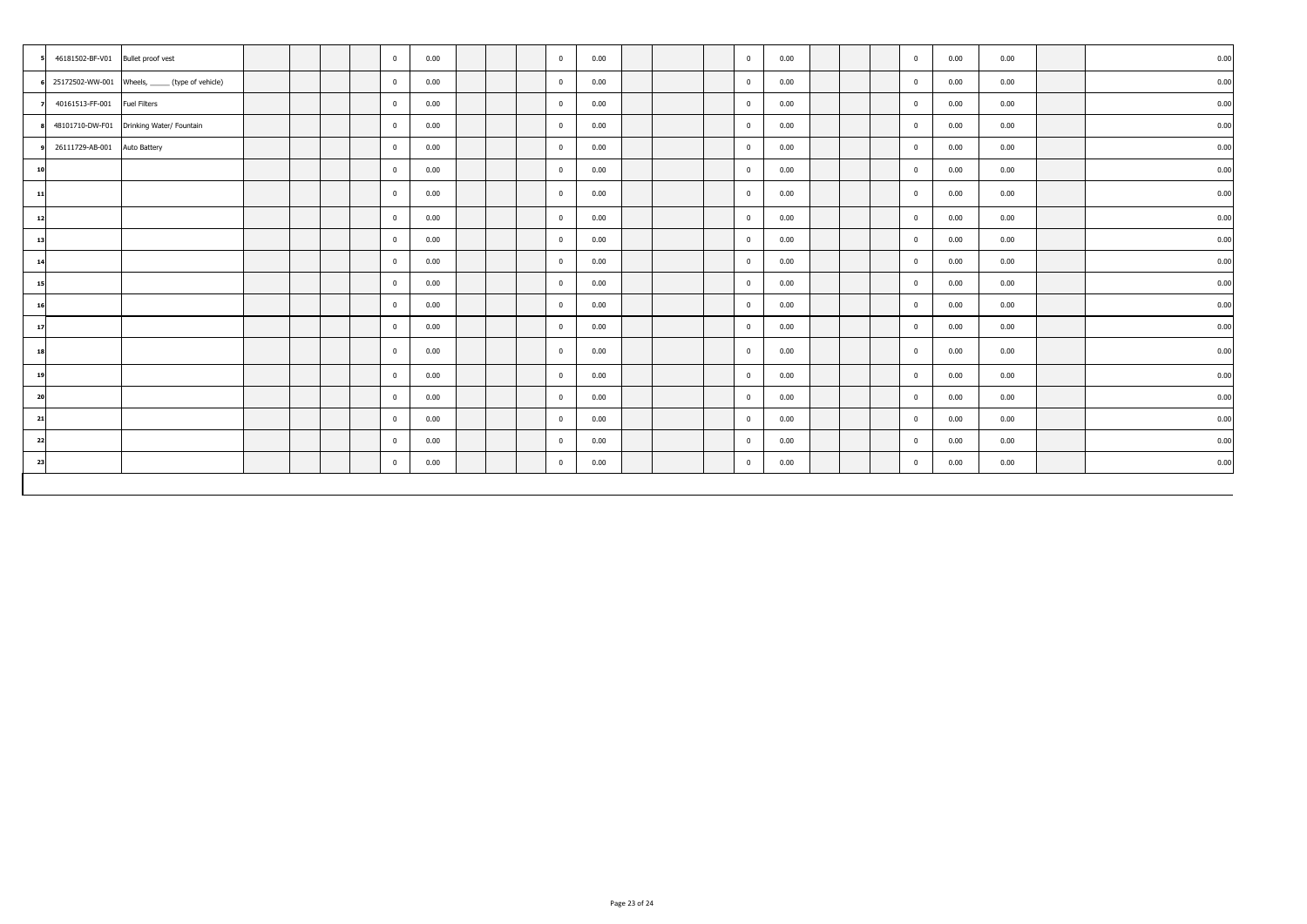| 46181502-BF-V01 Bullet proof vest |                                                  |  |  | $\overline{0}$ | 0.00 |  | $\overline{0}$ | 0.00 |  | $\overline{0}$ | 0.00 |  | $\mathbf{0}$ | 0.00 | 0.00 | 0.00 |
|-----------------------------------|--------------------------------------------------|--|--|----------------|------|--|----------------|------|--|----------------|------|--|--------------|------|------|------|
|                                   | 25172502-WW-001 Wheels, ______ (type of vehicle) |  |  | $\mathbf{0}$   | 0.00 |  | $\overline{0}$ | 0.00 |  | $\overline{0}$ | 0.00 |  | $\mathbf{0}$ | 0.00 | 0.00 | 0.00 |
| 40161513-FF-001                   | <b>Fuel Filters</b>                              |  |  | $\mathbf{0}$   | 0.00 |  | $\overline{0}$ | 0.00 |  | $\overline{0}$ | 0.00 |  | $\mathbf{0}$ | 0.00 | 0.00 | 0.00 |
|                                   | 48101710-DW-F01 Drinking Water/ Fountain         |  |  | $\mathbf 0$    | 0.00 |  | $\overline{0}$ | 0.00 |  | $\overline{0}$ | 0.00 |  | $\mathbf{0}$ | 0.00 | 0.00 | 0.00 |
| 26111729-AB-001                   | Auto Battery                                     |  |  | $\overline{0}$ | 0.00 |  | $\mathbf{0}$   | 0.00 |  | $\mathbf{0}$   | 0.00 |  | $\mathbf{0}$ | 0.00 | 0.00 | 0.00 |
| 10                                |                                                  |  |  | $\bf{0}$       | 0.00 |  | $\bf{0}$       | 0.00 |  | $\overline{0}$ | 0.00 |  | $\mathbf{0}$ | 0.00 | 0.00 | 0.00 |
| 11                                |                                                  |  |  | $\bf{0}$       | 0.00 |  | $\mathbf{0}$   | 0.00 |  | $\overline{0}$ | 0.00 |  | $\mathbf{0}$ | 0.00 | 0.00 | 0.00 |
| 12                                |                                                  |  |  | $\bf{0}$       | 0.00 |  | $\bf{0}$       | 0.00 |  | $\overline{0}$ | 0.00 |  | $\mathbf{0}$ | 0.00 | 0.00 | 0.00 |
| 13                                |                                                  |  |  | $\mathbf 0$    | 0.00 |  | $\overline{0}$ | 0.00 |  | $\overline{0}$ | 0.00 |  | $\mathbf{0}$ | 0.00 | 0.00 | 0.00 |
| 14                                |                                                  |  |  | $\overline{0}$ | 0.00 |  | $\overline{0}$ | 0.00 |  | $\overline{0}$ | 0.00 |  | $\mathbf{0}$ | 0.00 | 0.00 | 0.00 |
| 15                                |                                                  |  |  | $\mathbf{0}$   | 0.00 |  | $\overline{0}$ | 0.00 |  | $\overline{0}$ | 0.00 |  | $\mathbf{0}$ | 0.00 | 0.00 | 0.00 |
| 16                                |                                                  |  |  | $\mathbf{0}$   | 0.00 |  | $\overline{0}$ | 0.00 |  | $\overline{0}$ | 0.00 |  | $\mathbf{0}$ | 0.00 | 0.00 | 0.00 |
| 17                                |                                                  |  |  | $\bf{0}$       | 0.00 |  | $\bf{0}$       | 0.00 |  | $\overline{0}$ | 0.00 |  | $\mathbf{0}$ | 0.00 | 0.00 | 0.00 |
| 18                                |                                                  |  |  | $\overline{0}$ | 0.00 |  | $\mathbf{0}$   | 0.00 |  | $\overline{0}$ | 0.00 |  | $\mathbf{0}$ | 0.00 | 0.00 | 0.00 |
| 19                                |                                                  |  |  | $\mathbf{0}$   | 0.00 |  | $\overline{0}$ | 0.00 |  | $\overline{0}$ | 0.00 |  | $\mathbf{0}$ | 0.00 | 0.00 | 0.00 |
| 20                                |                                                  |  |  | $\overline{0}$ | 0.00 |  | $\overline{0}$ | 0.00 |  | $\overline{0}$ | 0.00 |  | $\mathbf{0}$ | 0.00 | 0.00 | 0.00 |
| 21                                |                                                  |  |  | $\mathbf{0}$   | 0.00 |  | $\overline{0}$ | 0.00 |  | $\overline{0}$ | 0.00 |  | $\mathbf{0}$ | 0.00 | 0.00 | 0.00 |
| 22                                |                                                  |  |  | $\mathbf{0}$   | 0.00 |  | $\bf{0}$       | 0.00 |  | $\mathbf{0}$   | 0.00 |  | $\mathbf{0}$ | 0.00 | 0.00 | 0.00 |
| 23                                |                                                  |  |  | $\mathbf{0}$   | 0.00 |  | $\overline{0}$ | 0.00 |  | $\overline{0}$ | 0.00 |  | $\mathbf{0}$ | 0.00 | 0.00 | 0.00 |
|                                   |                                                  |  |  |                |      |  |                |      |  |                |      |  |              |      |      |      |